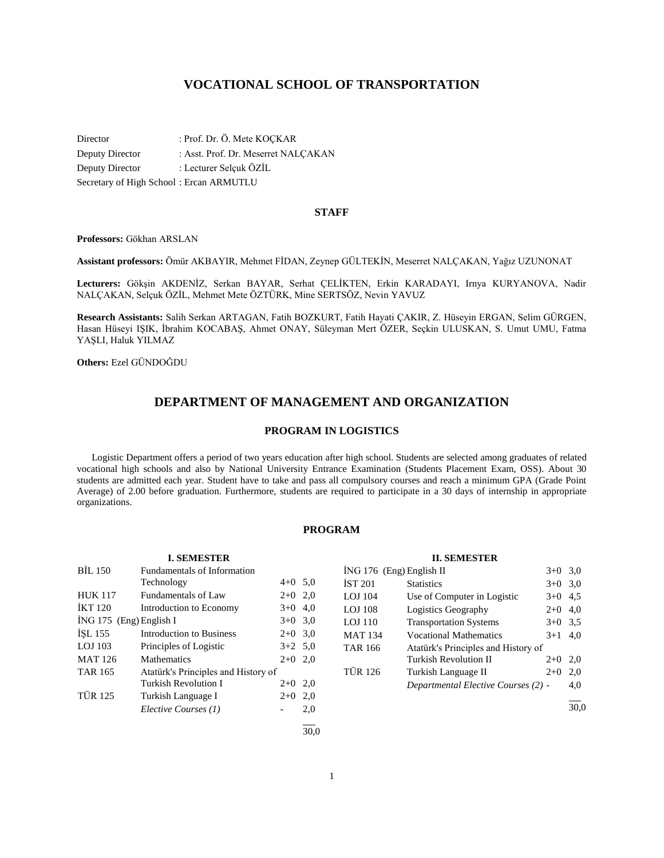# **VOCATIONAL SCHOOL OF TRANSPORTATION**

Director : Prof. Dr. Ö. Mete KOÇKAR Deputy Director : Asst. Prof. Dr. Meserret NALÇAKAN Deputy Director : Lecturer Selçuk ÖZİL Secretary of High School : Ercan ARMUTLU

#### **STAFF**

**Professors:** Gökhan ARSLAN

**Assistant professors:** Ömür AKBAYIR, Mehmet FİDAN, Zeynep GÜLTEKİN, Meserret NALÇAKAN, Yağız UZUNONAT

**Lecturers:** Gökşin AKDENİZ, Serkan BAYAR, Serhat ÇELİKTEN, Erkin KARADAYI, Irnya KURYANOVA, Nadir NALÇAKAN, Selçuk ÖZİL, Mehmet Mete ÖZTÜRK, Mine SERTSÖZ, Nevin YAVUZ

**Research Assistants:** Salih Serkan ARTAGAN, Fatih BOZKURT, Fatih Hayati ÇAKIR, Z. Hüseyin ERGAN, Selim GÜRGEN, Hasan Hüseyi IŞIK, İbrahim KOCABAŞ, Ahmet ONAY, Süleyman Mert ÖZER, Seçkin ULUSKAN, S. Umut UMU, Fatma YAŞLI, Haluk YILMAZ

**Others:** Ezel GÜNDOĞDU

# **DEPARTMENT OF MANAGEMENT AND ORGANIZATION**

#### **PROGRAM IN LOGISTICS**

 Logistic Department offers a period of two years education after high school. Students are selected among graduates of related vocational high schools and also by National University Entrance Examination (Students Placement Exam, OSS). About 30 students are admitted each year. Student have to take and pass all compulsory courses and reach a minimum GPA (Grade Point Average) of 2.00 before graduation. Furthermore, students are required to participate in a 30 days of internship in appropriate organizations.

### **PROGRAM**

|                           | <b>I. SEMESTER</b>                  |           |      |
|---------------------------|-------------------------------------|-----------|------|
| <b>BIL 150</b>            | <b>Fundamentals of Information</b>  |           |      |
|                           | Technology                          | $4+0$ 5.0 |      |
| <b>HUK 117</b>            | Fundamentals of Law                 | $2+0$     | 2,0  |
| <b>IKT 120</b>            | Introduction to Economy             | $3+0$     | 4,0  |
| $ING 175$ (Eng) English I |                                     | $3+0$ 3.0 |      |
| <b>ISL 155</b>            | Introduction to Business            | $2+0$     | 3,0  |
| LOJ 103                   | Principles of Logistic              | $3+2$ 5,0 |      |
| <b>MAT 126</b>            | <b>Mathematics</b>                  | $2+0$     | 2.0  |
| <b>TAR 165</b>            | Atatürk's Principles and History of |           |      |
|                           | Turkish Revolution I                | $2+0$     | 2,0  |
| <b>TÜR 125</b>            | Turkish Language I                  | $2+0$     | 2,0  |
|                           | Elective Courses (1)                |           | 2,0  |
|                           |                                     |           | 30.0 |

| <b>II. SEMESTER</b>                   |                                     |           |     |  |
|---------------------------------------|-------------------------------------|-----------|-----|--|
| ING 176 (Eng) English II<br>$3+0$ 3.0 |                                     |           |     |  |
| İST 201                               | <b>Statistics</b>                   | $3+0$ 3,0 |     |  |
| LOJ 104                               | Use of Computer in Logistic         | $3+0$ 4.5 |     |  |
| LOJ 108                               | Logistics Geography                 | $2+0$ 4,0 |     |  |
| LOJ 110                               | <b>Transportation Systems</b>       | $3+0$ 3.5 |     |  |
| MAT 134                               | <b>Vocational Mathematics</b>       | $3+1$ 4,0 |     |  |
| TAR 166                               | Atatürk's Principles and History of |           |     |  |
|                                       | <b>Turkish Revolution II</b>        | $2+0$     | 2,0 |  |
| TÜR 126                               | Turkish Language II                 | $2+0$     | 2,0 |  |
|                                       | Departmental Elective Courses (2) - |           | 4.0 |  |

l 30,0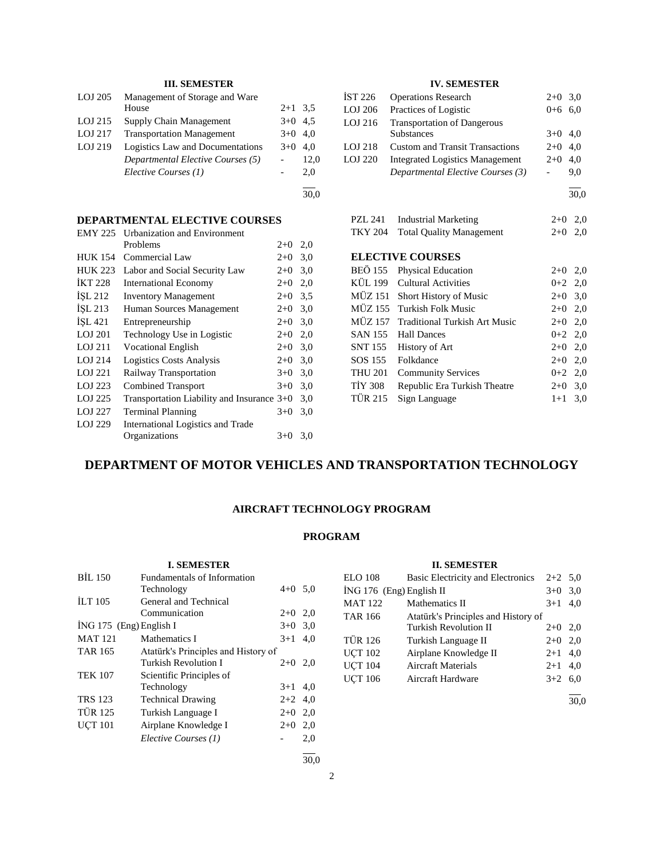# **III. SEMESTER**

| LOJ 205   | Management of Storage and Ware    |           |      |
|-----------|-----------------------------------|-----------|------|
|           | House                             | $2+1$ 3.5 |      |
| LOJ 215   | Supply Chain Management           | $3+0$ 4.5 |      |
| $LOJ$ 217 | <b>Transportation Management</b>  | $3+0$ 4.0 |      |
| LOJ 219   | Logistics Law and Documentations  | $3+0$ 4.0 |      |
|           | Departmental Elective Courses (5) |           | 12,0 |
|           | Elective Courses (1)              |           | 2.0  |
|           |                                   |           |      |

30,0

# **DEPARTMENTAL ELECTIVE COURSES**

| <b>EMY 225</b> | <b>Urbanization and Environment</b>        |       |     |
|----------------|--------------------------------------------|-------|-----|
|                | Problems                                   | $2+0$ | 2,0 |
| <b>HUK 154</b> | Commercial Law                             | $2+0$ | 3,0 |
| <b>HUK 223</b> | Labor and Social Security Law              | $2+0$ | 3,0 |
| <b>IKT 228</b> | <b>International Economy</b>               | $2+0$ | 2,0 |
| ISL 212        | <b>Inventory Management</b>                | $2+0$ | 3.5 |
| İŞL 213        | Human Sources Management                   | $2+0$ | 3,0 |
| ISL 421        | Entrepreneurship                           | $2+0$ | 3,0 |
| LOJ 201        | Technology Use in Logistic                 | $2+0$ | 2,0 |
| LOJ 211        | <b>Vocational English</b>                  | $2+0$ | 3,0 |
| LOJ 214        | <b>Logistics Costs Analysis</b>            | $2+0$ | 3,0 |
| LOJ 221        | Railway Transportation                     | $3+0$ | 3,0 |
| LOJ 223        | <b>Combined Transport</b>                  | $3+0$ | 3,0 |
| LOJ 225        | Transportation Liability and Insurance 3+0 |       | 3,0 |
| LOJ 227        | <b>Terminal Planning</b>                   | $3+0$ | 3,0 |
| LOJ 229        | International Logistics and Trade          |       |     |
|                | Organizations                              | $3+0$ | 3,0 |

# **IV. SEMESTER**

| İST 226 | <b>Operations Research</b>             | $2+0$ 3.0 |      |
|---------|----------------------------------------|-----------|------|
| LOJ 206 | Practices of Logistic                  | $0+6$ 6.0 |      |
| LOJ 216 | <b>Transportation of Dangerous</b>     |           |      |
|         | <b>Substances</b>                      | $3+0$ 4.0 |      |
| LOJ 218 | <b>Custom and Transit Transactions</b> | $2+0$ 4.0 |      |
| LOJ 220 | <b>Integrated Logistics Management</b> | $2+0$     | 4.0  |
|         | Departmental Elective Courses (3)      |           | 9,0  |
|         |                                        |           | 30,0 |

PZL 241 Industrial Marketing 2+0 2,0 TKY 204 Total Quality Management 2+0 2,0

## **ELECTIVE COURSES**

|                | BEÖ 155 Physical Education            | $2+0$ 2,0 |  |
|----------------|---------------------------------------|-----------|--|
|                | KÜL 199 Cultural Activities           | $0+2$ 2,0 |  |
|                | MÜZ 151 Short History of Music        | $2+0$ 3,0 |  |
|                | MÜZ 155 Turkish Folk Music            | $2+0$ 2,0 |  |
|                | MÜZ 157 Traditional Turkish Art Music | $2+0$ 2,0 |  |
|                | SAN 155 Hall Dances                   | $0+2$ 2,0 |  |
|                | SNT 155 History of Art                | $2+0$ 2,0 |  |
|                | SOS 155 Folkdance                     | $2+0$ 2,0 |  |
| <b>THU 201</b> | <b>Community Services</b>             | $0+2$ 2,0 |  |
| TIY 308        | Republic Era Turkish Theatre          | $2+0$ 3,0 |  |
|                | TÜR 215 Sign Language                 | $1+1$ 3.0 |  |

# **DEPARTMENT OF MOTOR VEHICLES AND TRANSPORTATION TECHNOLOGY**

# **AIRCRAFT TECHNOLOGY PROGRAM**

# **PROGRAM**

|                         | <b>I. SEMESTER</b>                  |           |              |
|-------------------------|-------------------------------------|-----------|--------------|
| <b>BİL 150</b>          | Fundamentals of Information         |           |              |
|                         | Technology                          | $4+0$ 5.0 |              |
| <b>ILT</b> 105          | General and Technical               |           |              |
|                         | Communication                       | $2+0$     | 2,0          |
| İNG 175 (Eng) English I |                                     |           | 3,0<br>$3+0$ |
| <b>MAT 121</b>          | Mathematics I                       | $3+1$     | 4,0          |
| TAR 165                 | Atatürk's Principles and History of |           |              |
|                         | Turkish Revolution I                | $2+0$ 2,0 |              |
| <b>TEK 107</b>          | Scientific Principles of            |           |              |
|                         | Technology                          | $3+1$     | 4,0          |
| <b>TRS 123</b>          | <b>Technical Drawing</b>            | $2+2$     | 4,0          |
| <b>TÜR 125</b>          | Turkish Language I                  | $2+0$     | 2,0          |
| <b>UCT 101</b>          | Airplane Knowledge I                | $2+0$     | 2,0          |
|                         | Elective Courses (1)                |           | 2,0          |
|                         |                                     |           |              |

# **II. SEMESTER** ELO 108 Basic Electricity and Electronics 2+2 5,0  $i$ NG 176 (Eng) English II  $3+0$  3,0 MAT  $122$  Mathematics II  $3+1$  4,0 TAR 166 Atatürk's Principles and History of<br>Turkish Revolution II 2+0 2,0 Turkish Revolution II TÜR 126 Turkish Language II 2+0 2,0 UÇT 102 Airplane Knowledge II  $2+1$  4,0 UÇT 104 Aircraft Materials 2+1 4,0 UÇT 106 Aircraft Hardware 3+2 6,0 l

30,0

l 30,0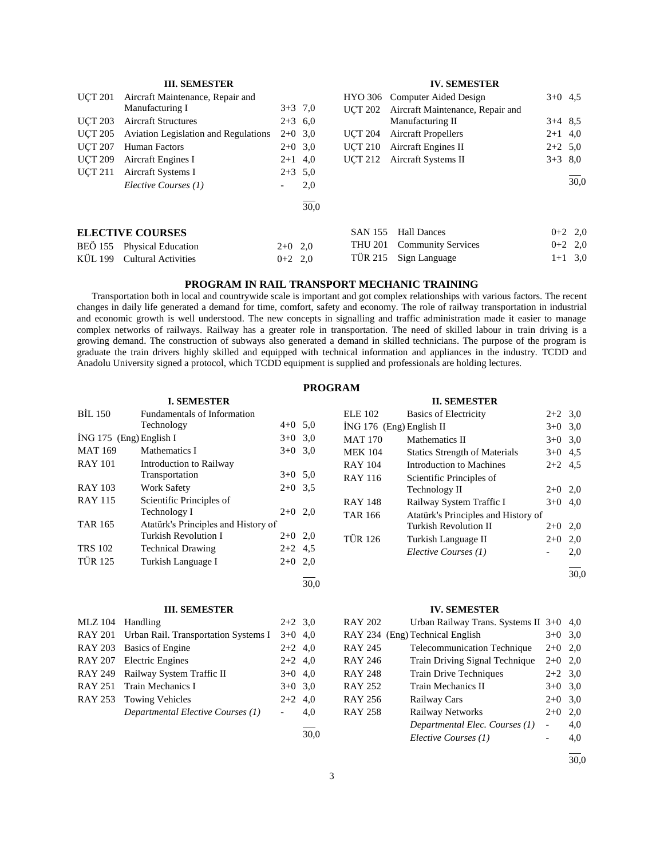# **III. SEMESTER**

| <b>UCT 201</b> | Aircraft Maintenance, Repair and            |           |           |                | HYO 306 Computer Aided Design    | $3+0$ 4.5 |           |
|----------------|---------------------------------------------|-----------|-----------|----------------|----------------------------------|-----------|-----------|
|                | Manufacturing I                             |           | $3+3$ 7.0 | UCT 202        | Aircraft Maintenance, Repair and |           |           |
| <b>UCT 203</b> | <b>Aircraft Structures</b>                  | $2+3$ 6.0 |           |                | Manufacturing II                 | $3+4$ 8.5 |           |
| <b>UCT 205</b> | <b>Aviation Legislation and Regulations</b> | $2+0$ 3.0 |           | UCT 204        | <b>Aircraft Propellers</b>       | $2+1$ 4,0 |           |
| <b>UCT 207</b> | Human Factors                               |           | $2+0$ 3.0 | <b>UCT 210</b> | Aircraft Engines II              | $2+2$ 5.0 |           |
| <b>UCT 209</b> | Aircraft Engines I                          | $2+1$ 4,0 |           | UCT 212        | Aircraft Systems II              | $3+3$ 8.0 |           |
| <b>UCT 211</b> | Aircraft Systems I                          | $2+3$ 5.0 |           |                |                                  |           |           |
|                | Elective Courses (1)                        |           | 2,0       |                |                                  |           | 30.0      |
|                |                                             |           | 30,0      |                |                                  |           |           |
|                | <b>ELECTIVE COURSES</b>                     |           |           | <b>SAN 155</b> | <b>Hall Dances</b>               |           | $0+2$ 2,0 |
| BEÖ 155        | <b>Physical Education</b>                   | $2+0$ 2,0 |           | THU 201        | <b>Community Services</b>        |           | $0+2$ 2,0 |
| KÜL 199        | <b>Cultural Activities</b>                  | $0+2$ 2,0 |           | TÜR 215        | Sign Language                    |           | $1+1$ 3.0 |

# **PROGRAM IN RAIL TRANSPORT MECHANIC TRAINING**

 Transportation both in local and countrywide scale is important and got complex relationships with various factors. The recent changes in daily life generated a demand for time, comfort, safety and economy. The role of railway transportation in industrial and economic growth is well understood. The new concepts in signalling and traffic administration made it easier to manage complex networks of railways. Railway has a greater role in transportation. The need of skilled labour in train driving is a growing demand. The construction of subways also generated a demand in skilled technicians. The purpose of the program is graduate the train drivers highly skilled and equipped with technical information and appliances in the industry. TCDD and Anadolu University signed a protocol, which TCDD equipment is supplied and professionals are holding lectures.

|                         |                                     |           | <b>PROGRAM</b> |                            |                                      |           |      |
|-------------------------|-------------------------------------|-----------|----------------|----------------------------|--------------------------------------|-----------|------|
|                         | <b>I. SEMESTER</b>                  |           |                |                            | <b>II. SEMESTER</b>                  |           |      |
| <b>BIL 150</b>          | Fundamentals of Information         |           |                | <b>ELE 102</b>             | <b>Basics of Electricity</b>         | $2+2$ 3.0 |      |
|                         | Technology                          | $4+0$ 5.0 |                | $ING 176$ (Eng) English II |                                      | $3+0$ 3,0 |      |
| İNG 175 (Eng) English I |                                     | $3+0$ 3.0 |                | <b>MAT 170</b>             | Mathematics II                       | $3+0$ 3,0 |      |
| <b>MAT 169</b>          | Mathematics I                       | $3+0$ 3.0 |                | <b>MEK 104</b>             | <b>Statics Strength of Materials</b> | $3+0$ 4.5 |      |
| <b>RAY 101</b>          | Introduction to Railway             |           |                | <b>RAY 104</b>             | Introduction to Machines             | $2+2$ 4.5 |      |
|                         | Transportation                      | $3+0$ 5.0 |                | <b>RAY 116</b>             | Scientific Principles of             |           |      |
| <b>RAY 103</b>          | <b>Work Safety</b>                  | $2+0$ 3.5 |                |                            | Technology II                        | $2+0$ 2,0 |      |
| <b>RAY 115</b>          | Scientific Principles of            |           |                | <b>RAY 148</b>             | Railway System Traffic I             | $3+0$ 4,0 |      |
|                         | Technology I                        | $2+0$ 2,0 |                | <b>TAR 166</b>             | Atatürk's Principles and History of  |           |      |
| <b>TAR 165</b>          | Atatürk's Principles and History of |           |                |                            | Turkish Revolution II                | $2+0$ 2,0 |      |
|                         | Turkish Revolution I                | $2+0$ 2,0 |                | <b>TÜR 126</b>             | Turkish Language II                  | $2+0$ 2,0 |      |
| <b>TRS 102</b>          | <b>Technical Drawing</b>            | $2+2$ 4.5 |                |                            | Elective Courses (1)                 |           | 2,0  |
| <b>TÜR 125</b>          | Turkish Language I                  | $2+0$ 2,0 |                |                            |                                      |           |      |
|                         |                                     |           | 30.0           |                            |                                      |           | 30,0 |

#### **III. SEMESTER**

| MLZ 104 Handling |                                              | $2+2$ 3.0 |     |
|------------------|----------------------------------------------|-----------|-----|
|                  | RAY 201 Urban Rail. Transportation Systems I | $3+0$ 4,0 |     |
|                  | RAY 203 Basics of Engine                     | $2+2$ 4,0 |     |
|                  | RAY 207 Electric Engines                     | $2+2$ 4,0 |     |
|                  | RAY 249 Railway System Traffic II            | $3+0$ 4,0 |     |
|                  | RAY 251 Train Mechanics I                    | $3+0$ 3.0 |     |
|                  | RAY 253 Towing Vehicles                      | $2+2$ 4,0 |     |
|                  | Departmental Elective Courses (1)            |           | 4.0 |
|                  |                                              |           |     |

### **IV. SEMESTER**

**IV. SEMESTER**

| RAY 202 | Urban Railway Trans. Systems $II$ 3+0 |           | 4,0 |
|---------|---------------------------------------|-----------|-----|
|         | RAY 234 (Eng) Technical English       | $3+0$     | 3,0 |
| RAY 245 | Telecommunication Technique           | $2+0$     | 2,0 |
| RAY 246 | Train Driving Signal Technique        | $2+0$ 2,0 |     |
| RAY 248 | <b>Train Drive Techniques</b>         | $2+2$ 3,0 |     |
| RAY 252 | Train Mechanics II                    | $3+0$     | 3,0 |
| RAY 256 | <b>Railway Cars</b>                   | $2+0$     | 3,0 |
| RAY 258 | <b>Railway Networks</b>               | $2+0$     | 2,0 |
|         | Departmental Elec. Courses (1)        |           | 4,0 |
|         | Elective Courses (1)                  |           | 4,0 |
|         |                                       |           |     |

30,0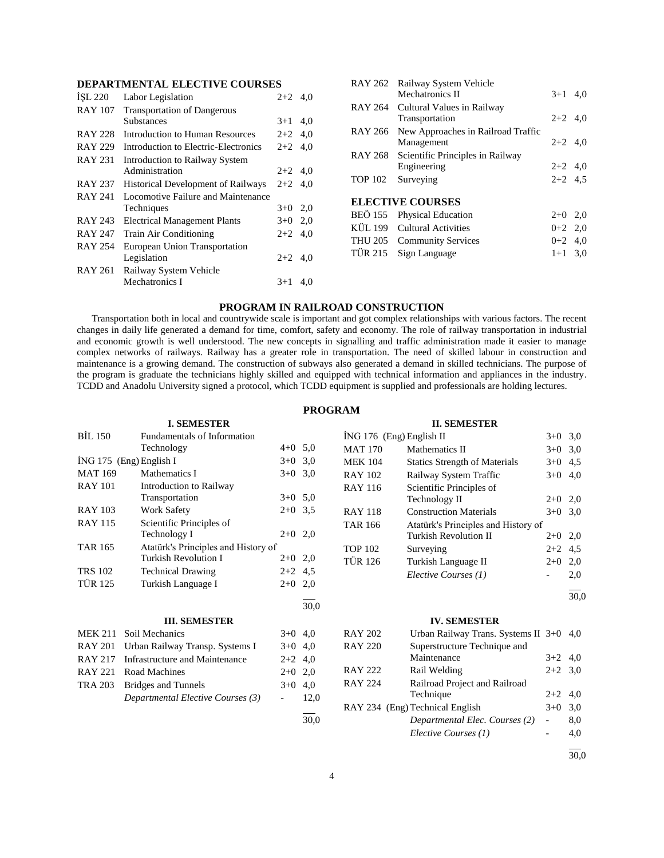| ISL 220        | Labor Legislation                         | $2+2$ 4.0 |     |
|----------------|-------------------------------------------|-----------|-----|
| <b>RAY 107</b> | <b>Transportation of Dangerous</b>        |           |     |
|                | <b>Substances</b>                         | $3+1$     | 4,0 |
| <b>RAY 228</b> | Introduction to Human Resources           | $2+2$ 4,0 |     |
| <b>RAY 229</b> | Introduction to Electric-Electronics      | $2+2$ 4,0 |     |
| RAY 231        | Introduction to Railway System            |           |     |
|                | Administration                            | $2+2$ 4,0 |     |
| <b>RAY 237</b> | <b>Historical Development of Railways</b> | $2+2$ 4.0 |     |
| <b>RAY 241</b> | Locomotive Failure and Maintenance        |           |     |
|                | Techniques                                | $3+0$ 2,0 |     |
| RAY 243        | <b>Electrical Management Plants</b>       | $3+0$ 2,0 |     |
| <b>RAY 247</b> | <b>Train Air Conditioning</b>             | $2+2$     | 4.0 |
| <b>RAY 254</b> | European Union Transportation             |           |     |
|                | Legislation                               | $2+2$ 4,0 |     |
| <b>RAY 261</b> | Railway System Vehicle                    |           |     |
|                | Mechatronics I                            | $3+1$     | 4.0 |
|                |                                           |           |     |

|                | RAY 262 Railway System Vehicle             |           |     |
|----------------|--------------------------------------------|-----------|-----|
|                | Mechatronics II                            | $3+1$     | 4.0 |
|                | RAY 264 Cultural Values in Railway         |           |     |
|                | Transportation                             | $2+2$ 4,0 |     |
|                | RAY 266 New Approaches in Railroad Traffic |           |     |
|                | Management                                 | $2+2$ 4.0 |     |
| RAY 268        | Scientific Principles in Railway           |           |     |
|                | Engineering                                | $2+2$ 4,0 |     |
| <b>TOP 102</b> | Surveying                                  | $2+2$ 4.5 |     |
|                |                                            |           |     |
|                | <b>ELECTIVE COURSES</b>                    |           |     |
|                | BEÖ 155 Physical Education                 | $2+0$ 2,0 |     |
|                | KÜL 199 Cultural Activities                | $0+2$ 2,0 |     |
|                | THU 205 Community Services                 | $0+2$ 4.0 |     |
|                | TÜR 215 Sign Language                      | $1+1$ 3.0 |     |
|                |                                            |           |     |

# **PROGRAM IN RAILROAD CONSTRUCTION**

 Transportation both in local and countrywide scale is important and got complex relationships with various factors. The recent changes in daily life generated a demand for time, comfort, safety and economy. The role of railway transportation in industrial and economic growth is well understood. The new concepts in signalling and traffic administration made it easier to manage complex networks of railways. Railway has a greater role in transportation. The need of skilled labour in construction and maintenance is a growing demand. The construction of subways also generated a demand in skilled technicians. The purpose of the program is graduate the technicians highly skilled and equipped with technical information and appliances in the industry. TCDD and Anadolu University signed a protocol, which TCDD equipment is supplied and professionals are holding lectures.

# **PROGRAM**

|                | <b>I. SEMESTER</b>                  |                          |      |                          | <b>II. SEMESTER</b>                  |                          |           |
|----------------|-------------------------------------|--------------------------|------|--------------------------|--------------------------------------|--------------------------|-----------|
| <b>BIL 150</b> | Fundamentals of Information         |                          |      | ING 176 (Eng) English II |                                      |                          | $3+0$ 3,0 |
|                | Technology                          | $4+0$ 5,0                |      | <b>MAT 170</b>           | Mathematics II                       |                          | $3+0$ 3,0 |
|                | İNG 175 (Eng) English I             | $3+0$                    | 3,0  | <b>MEK 104</b>           | <b>Statics Strength of Materials</b> | $3+0$ 4.5                |           |
| <b>MAT 169</b> | Mathematics I                       | $3+0$                    | 3,0  | <b>RAY 102</b>           | Railway System Traffic               | $3+0$                    | 4,0       |
| <b>RAY 101</b> | Introduction to Railway             |                          |      | <b>RAY 116</b>           | Scientific Principles of             |                          |           |
|                | Transportation                      | $3+0$ 5,0                |      |                          | Technology II                        | $2+0$ 2,0                |           |
| <b>RAY 103</b> | <b>Work Safety</b>                  | $2+0$ 3,5                |      | <b>RAY 118</b>           | <b>Construction Materials</b>        |                          | $3+0$ 3,0 |
| <b>RAY 115</b> | Scientific Principles of            |                          |      | <b>TAR 166</b>           | Atatürk's Principles and History of  |                          |           |
|                | Technology I                        | $2+0$ 2,0                |      |                          | <b>Turkish Revolution II</b>         | $2+0$ 2,0                |           |
| <b>TAR 165</b> | Atatürk's Principles and History of |                          |      | <b>TOP 102</b>           | Surveying                            | $2+2$                    | 4,5       |
|                | <b>Turkish Revolution I</b>         | $2+0$                    | 2,0  | <b>TÜR 126</b>           | Turkish Language II                  | $2+0$                    | 2,0       |
| <b>TRS 102</b> | <b>Technical Drawing</b>            | $2+2$ 4.5                |      |                          | Elective Courses (1)                 |                          | 2,0       |
| <b>TÜR 125</b> | Turkish Language I                  | $2+0$                    | 2,0  |                          |                                      |                          |           |
|                |                                     |                          | 30,0 |                          |                                      |                          | 30,0      |
|                | <b>III. SEMESTER</b>                |                          |      |                          | <b>IV. SEMESTER</b>                  |                          |           |
| <b>MEK 211</b> | Soil Mechanics                      | $3+0$ 4,0                |      | <b>RAY 202</b>           | Urban Railway Trans. Systems II 3+0  |                          | 4,0       |
| <b>RAY 201</b> | Urban Railway Transp. Systems I     | $3+0$ 4,0                |      | <b>RAY 220</b>           | Superstructure Technique and         |                          |           |
| <b>RAY 217</b> | Infrastructure and Maintenance      | $2+2$                    | 4,0  |                          | Maintenance                          | $3+2$                    | 4,0       |
| <b>RAY 221</b> | Road Machines                       | $2+0$                    | 2.0  | <b>RAY 222</b>           | Rail Welding                         | $2+2$ 3,0                |           |
| <b>TRA 203</b> | <b>Bridges and Tunnels</b>          | $3+0$                    | 4,0  | <b>RAY 224</b>           | Railroad Project and Railroad        |                          |           |
|                | Departmental Elective Courses (3)   | $\overline{\phantom{a}}$ | 12,0 |                          | Technique                            | $2+2$                    | 4,0       |
|                |                                     |                          |      |                          | RAY 234 (Eng) Technical English      | $3+0$                    | 3,0       |
|                |                                     |                          | 30,0 |                          | Departmental Elec. Courses (2)       | $\overline{\phantom{a}}$ | 8,0       |
|                |                                     |                          |      |                          | Elective Courses (1)                 |                          | 4,0       |

 $\overline{a}$ 30,0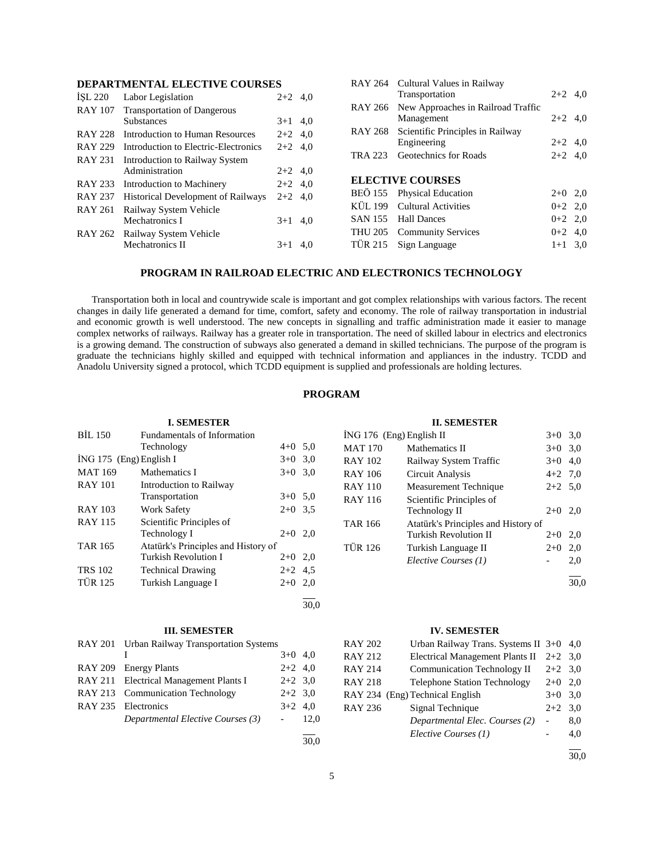| ISL 220        | Labor Legislation                         | $2+2$ 4.0 |     |
|----------------|-------------------------------------------|-----------|-----|
| <b>RAY 107</b> | <b>Transportation of Dangerous</b>        |           |     |
|                | <b>Substances</b>                         | $3+1$     | 4.0 |
| <b>RAY 228</b> | Introduction to Human Resources           | $2+2$ 4,0 |     |
| <b>RAY 229</b> | Introduction to Electric-Electronics      | $2+2$ 4,0 |     |
| <b>RAY 231</b> | Introduction to Railway System            |           |     |
|                | Administration                            | $2+2$ 4.0 |     |
| RAY 233        | Introduction to Machinery                 | $2+2$ 4,0 |     |
| <b>RAY 237</b> | <b>Historical Development of Railways</b> | $2 + 2$   | 4.0 |
| RAY 261        | Railway System Vehicle                    |           |     |
|                | Mechatronics I                            | $3+1$     | 4.0 |
| <b>RAY 262</b> | Railway System Vehicle                    |           |     |
|                | Mechatronics II                           | $3+1$     | 4.0 |
|                |                                           |           |     |

|                | RAY 264 Cultural Values in Railway<br>Transportation | $2+2$ 4.0 |  |
|----------------|------------------------------------------------------|-----------|--|
|                | RAY 266 New Approaches in Railroad Traffic           |           |  |
|                | Management                                           | $2+2$ 4.0 |  |
| RAY 268        | Scientific Principles in Railway                     |           |  |
|                | Engineering                                          | $2+2$ 4,0 |  |
| TRA 223        | Geotechnics for Roads                                | $2+2$ 4.0 |  |
|                |                                                      |           |  |
|                | <b>ELECTIVE COURSES</b>                              |           |  |
|                | BEÖ 155 Physical Education                           | $2+0$ 2,0 |  |
|                | KÜL 199 Cultural Activities                          | $0+2$ 2,0 |  |
|                | SAN 155 Hall Dances                                  | $0+2$ 2.0 |  |
|                | THU 205 Community Services                           | $0+2$ 4,0 |  |
| <b>TÜR 215</b> | Sign Language                                        | $1+1$ 3.0 |  |

#### **PROGRAM IN RAILROAD ELECTRIC AND ELECTRONICS TECHNOLOGY**

 Transportation both in local and countrywide scale is important and got complex relationships with various factors. The recent changes in daily life generated a demand for time, comfort, safety and economy. The role of railway transportation in industrial and economic growth is well understood. The new concepts in signalling and traffic administration made it easier to manage complex networks of railways. Railway has a greater role in transportation. The need of skilled labour in electrics and electronics is a growing demand. The construction of subways also generated a demand in skilled technicians. The purpose of the program is graduate the technicians highly skilled and equipped with technical information and appliances in the industry. TCDD and Anadolu University signed a protocol, which TCDD equipment is supplied and professionals are holding lectures.

# **PROGRAM**

# **I. SEMESTER** BİL 150 Fundamentals of Information Technology 4+0 5,0 İNG 175 (Eng) English I 3+0 3,0 MAT 169 Mathematics I  $3+0$  3,0 RAY 101 Introduction to Railway Transportation 3+0 5,0 RAY 103 Work Safety 2+0 3,5 RAY 115 Scientific Principles of Technology I  $2+0$  2,0 TAR 165 Atatürk's Principles and History of Turkish Revolution I 2+0 2,0 TRS 102 Technical Drawing 2+2 4,5 TÜR 125 Turkish Language I 2+0 2,0 l 30,0

#### **III. SEMESTER**

| RAY 201 Urban Railway Transportation Systems |           |  |
|----------------------------------------------|-----------|--|
|                                              | $3+0$ 4.0 |  |
| RAY 209 Energy Plants                        | $2+2$ 4,0 |  |
| RAY 211 Electrical Management Plants I       | $2+2$ 3.0 |  |
| RAY 213 Communication Technology             | $2+2$ 3.0 |  |
| RAY 235 Electronics                          | $3+2$ 4.0 |  |
| Departmental Elective Courses (3)            | $-12.0$   |  |
|                                              |           |  |

<sup>30,0</sup>

#### **II. SEMESTER**

| ING 176 (Eng) English II |                                     | $3+0$ 3.0 |     |
|--------------------------|-------------------------------------|-----------|-----|
| <b>MAT 170</b>           | Mathematics II                      | $3+0$ 3.0 |     |
| RAY 102                  | Railway System Traffic              | $3+0$ 4.0 |     |
| <b>RAY 106</b>           | Circuit Analysis                    | $4+2$ 7.0 |     |
| <b>RAY 110</b>           | Measurement Technique               | $2+2$ 5,0 |     |
| <b>RAY 116</b>           | Scientific Principles of            |           |     |
|                          | Technology II                       | $2+0$     | 2.0 |
| TAR 166                  | Atatürk's Principles and History of |           |     |
|                          | Turkish Revolution II               | $2+0$ 2,0 |     |
| <b>TÜR 126</b>           | Turkish Language II                 | $2+0$     | 2,0 |
|                          | Elective Courses (1)                |           | 2,0 |
|                          |                                     |           |     |

# **IV. SEMESTER**

| RAY 202        | Urban Railway Trans. Systems II $3+0$ 4,0 |           |     |
|----------------|-------------------------------------------|-----------|-----|
| RAY 212        | <b>Electrical Management Plants II</b>    | $2+2$ 3.0 |     |
| <b>RAY 214</b> | <b>Communication Technology II</b>        | $2+2$ 3.0 |     |
| RAY 218        | <b>Telephone Station Technology</b>       | $2+0$ 2,0 |     |
|                | RAY 234 (Eng) Technical English           | $3+0$ 3.0 |     |
| RAY 236        | Signal Technique                          | $2+2$ 3.0 |     |
|                | Departmental Elec. Courses (2)            |           | 8,0 |
|                | Elective Courses (1)                      |           | 4,0 |
|                |                                           |           |     |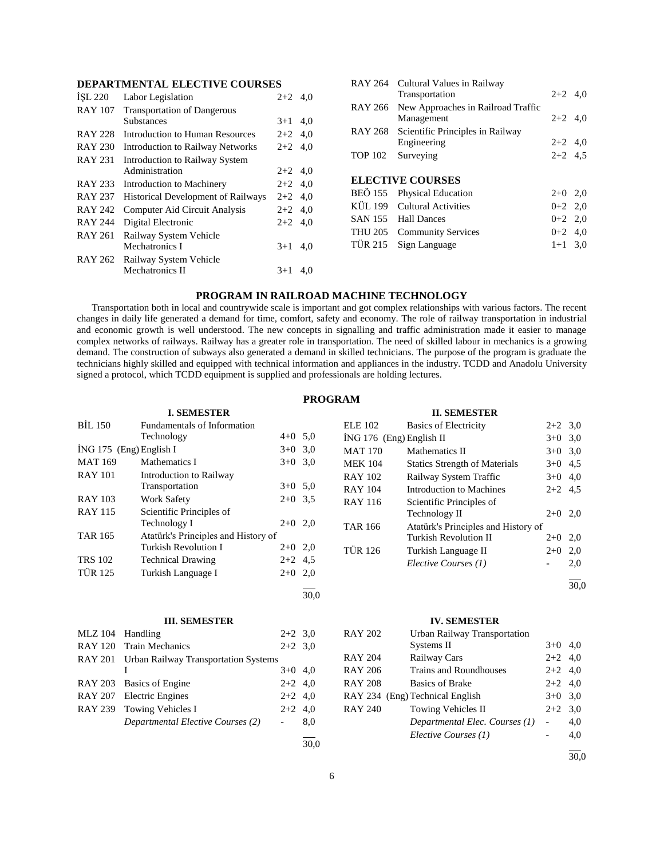| ISL 220        | Labor Legislation                         | $2+2$     | 4.0 |
|----------------|-------------------------------------------|-----------|-----|
| <b>RAY 107</b> | <b>Transportation of Dangerous</b>        |           |     |
|                | <b>Substances</b>                         | $3+1$     | 4.0 |
| <b>RAY 228</b> | Introduction to Human Resources           | $2+2$     | 4,0 |
| <b>RAY 230</b> | <b>Introduction to Railway Networks</b>   | $2+2$     | 4,0 |
| <b>RAY 231</b> | Introduction to Railway System            |           |     |
|                | Administration                            | $2+2$ 4.0 |     |
| <b>RAY 233</b> | Introduction to Machinery                 | $2+2$ 4.0 |     |
| <b>RAY 237</b> | <b>Historical Development of Railways</b> | $2+2$     | 4,0 |
| <b>RAY 242</b> | Computer Aid Circuit Analysis             | $2+2$     | 4.0 |
| <b>RAY 244</b> | Digital Electronic                        | $2+2$     | 4.0 |
| <b>RAY 261</b> | Railway System Vehicle                    |           |     |
|                | Mechatronics I                            | $3+1$     | 4,0 |
| RAY 262        | Railway System Vehicle                    |           |     |
|                | Mechatronics II                           | $3+1$     | 4.0 |
|                |                                           |           |     |

|                | RAY 264 Cultural Values in Railway<br>Transportation | $2+2$ 4,0 |  |
|----------------|------------------------------------------------------|-----------|--|
|                | RAY 266 New Approaches in Railroad Traffic           |           |  |
|                | Management                                           | $2+2$ 4,0 |  |
| RAY 268        | Scientific Principles in Railway                     |           |  |
|                | Engineering                                          | $2+2$ 4,0 |  |
| <b>TOP 102</b> | Surveying                                            | $2+2$ 4.5 |  |
|                |                                                      |           |  |
|                | <b>ELECTIVE COURSES</b>                              |           |  |
|                | BEÖ 155 Physical Education                           | $2+0$ 2,0 |  |
|                | KÜL 199 Cultural Activities                          | $0+2$ 2,0 |  |
|                |                                                      |           |  |
|                | SAN 155 Hall Dances                                  | $0+2$ 2,0 |  |
|                | THU 205 Community Services                           | $0+2$ 4,0 |  |
| TÜR 215        | Sign Language                                        | $1+1$ 3.0 |  |

# **PROGRAM IN RAILROAD MACHINE TECHNOLOGY**

 Transportation both in local and countrywide scale is important and got complex relationships with various factors. The recent changes in daily life generated a demand for time, comfort, safety and economy. The role of railway transportation in industrial and economic growth is well understood. The new concepts in signalling and traffic administration made it easier to manage complex networks of railways. Railway has a greater role in transportation. The need of skilled labour in mechanics is a growing demand. The construction of subways also generated a demand in skilled technicians. The purpose of the program is graduate the technicians highly skilled and equipped with technical information and appliances in the industry. TCDD and Anadolu University signed a protocol, which TCDD equipment is supplied and professionals are holding lectures.

# **PROGRAM**

|                | <b>I. SEMESTER</b>                          |                          |      |                | <b>II. SEMESTER</b>                  |                          |      |
|----------------|---------------------------------------------|--------------------------|------|----------------|--------------------------------------|--------------------------|------|
| <b>BIL 150</b> | Fundamentals of Information                 |                          |      | <b>ELE 102</b> | <b>Basics of Electricity</b>         | $2+2$ 3,0                |      |
|                | Technology                                  | $4+0$ 5,0                |      |                | İNG 176 (Eng) English II             | $3+0$ 3.0                |      |
|                | $ING 175$ (Eng) English I                   | $3+0$                    | 3,0  | <b>MAT 170</b> | Mathematics II                       | $3+0$ 3.0                |      |
| <b>MAT 169</b> | Mathematics I                               | $3+0$ 3,0                |      | <b>MEK 104</b> | <b>Statics Strength of Materials</b> | $3+0$ 4.5                |      |
| <b>RAY 101</b> | Introduction to Railway                     |                          |      | <b>RAY 102</b> | Railway System Traffic               | $3+0$ 4,0                |      |
|                | Transportation                              | $3+0$ 5.0                |      | <b>RAY 104</b> | Introduction to Machines             | $2+2$ 4.5                |      |
| <b>RAY 103</b> | <b>Work Safety</b>                          | $2+0$ 3,5                |      | <b>RAY 116</b> | Scientific Principles of             |                          |      |
| <b>RAY 115</b> | Scientific Principles of                    |                          |      |                | Technology II                        | $2+0$ 2,0                |      |
|                | Technology I                                | $2+0$ 2,0                |      | <b>TAR 166</b> | Atatürk's Principles and History of  |                          |      |
| <b>TAR 165</b> | Atatürk's Principles and History of         |                          |      |                | Turkish Revolution II                | $2+0$ 2,0                |      |
|                | Turkish Revolution I                        | $2+0$ 2,0                |      | <b>TÜR 126</b> | Turkish Language II                  | $2+0$ 2,0                |      |
| <b>TRS 102</b> | <b>Technical Drawing</b>                    | $2+2$ 4.5                |      |                | Elective Courses (1)                 |                          | 2,0  |
| <b>TÜR 125</b> | Turkish Language I                          | $2+0$                    | 2,0  |                |                                      |                          |      |
|                |                                             |                          |      |                |                                      |                          | 30,0 |
|                |                                             |                          | 30,0 |                |                                      |                          |      |
|                | <b>III. SEMESTER</b>                        |                          |      |                | <b>IV. SEMESTER</b>                  |                          |      |
| <b>MLZ</b> 104 | Handling                                    | $2+2$ 3,0                |      | <b>RAY 202</b> | Urban Railway Transportation         |                          |      |
| <b>RAY 120</b> | <b>Train Mechanics</b>                      | $2+2$ 3,0                |      |                | Systems II                           | $3+0$ 4,0                |      |
| <b>RAY 201</b> | <b>Urban Railway Transportation Systems</b> |                          |      | <b>RAY 204</b> | Railway Cars                         | $2+2$                    | 4,0  |
|                | Ι                                           | $3+0$ 4,0                |      | <b>RAY 206</b> | <b>Trains and Roundhouses</b>        | $2 + 2$                  | 4,0  |
| <b>RAY 203</b> | <b>Basics of Engine</b>                     | $2+2$                    | 4,0  | <b>RAY 208</b> | <b>Basics of Brake</b>               | $2+2$ 4,0                |      |
| <b>RAY 207</b> | <b>Electric Engines</b>                     | $2+2$                    | 4,0  |                | RAY 234 (Eng) Technical English      | $3+0$ 3.0                |      |
| <b>RAY 239</b> | <b>Towing Vehicles I</b>                    | $2+2$                    | 4,0  | <b>RAY 240</b> | Towing Vehicles II                   | $2+2$                    | 3,0  |
|                | Departmental Elective Courses (2)           | $\overline{\phantom{a}}$ | 8,0  |                | Departmental Elec. Courses (1)       | $\overline{\phantom{a}}$ | 4,0  |
|                |                                             |                          |      |                | Elective Courses (1)                 |                          | 4,0  |
|                |                                             |                          | 30,0 |                |                                      |                          |      |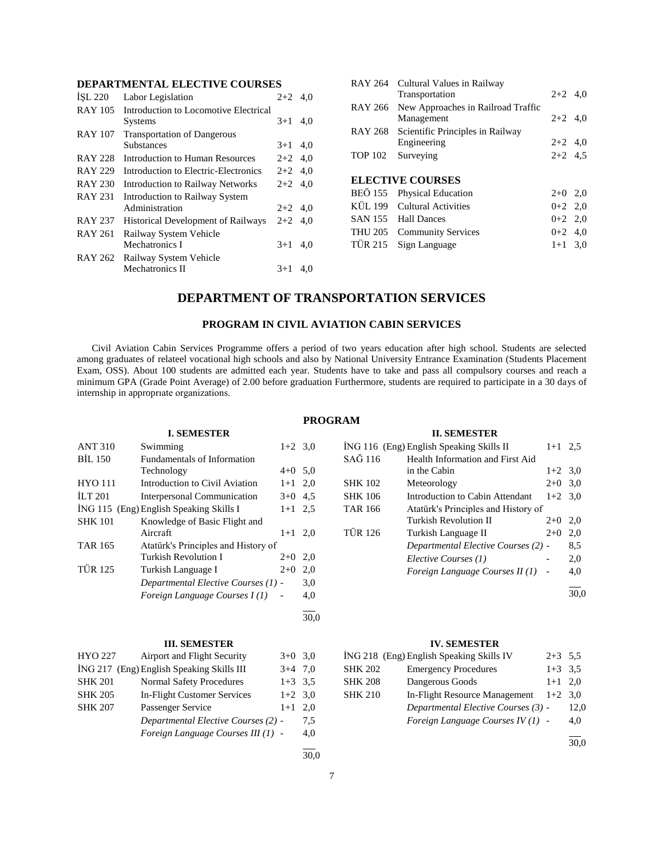| ISL 220        | Labor Legislation                         | $2 + 2$   | 4.0 |
|----------------|-------------------------------------------|-----------|-----|
| <b>RAY 105</b> | Introduction to Locomotive Electrical     |           |     |
|                | Systems                                   | $3+1$     | 4.0 |
| <b>RAY 107</b> | <b>Transportation of Dangerous</b>        |           |     |
|                | <b>Substances</b>                         | $3+1$     | 4.0 |
| <b>RAY 228</b> | Introduction to Human Resources           | $2+2$ 4,0 |     |
| <b>RAY 229</b> | Introduction to Electric-Electronics      | $2+2$     | 4,0 |
| <b>RAY 230</b> | <b>Introduction to Railway Networks</b>   | $2+2$ 4.0 |     |
| <b>RAY 231</b> | <b>Introduction to Railway System</b>     |           |     |
|                | Administration                            | $2+2$ 4.0 |     |
| <b>RAY 237</b> | <b>Historical Development of Railways</b> | $2+2$     | 4.0 |
| RAY 261        | Railway System Vehicle                    |           |     |
|                | Mechatronics I                            | $3+1$     | 4,0 |
| RAY 262        | Railway System Vehicle                    |           |     |
|                | Mechatronics II                           | $3+1$     | 4.0 |
|                |                                           |           |     |

|                | RAY 264 Cultural Values in Railway<br>Transportation | $2+2$ 4.0 |  |
|----------------|------------------------------------------------------|-----------|--|
| RAY 266        | New Approaches in Railroad Traffic                   |           |  |
|                | Management                                           | $2+2$ 4,0 |  |
| RAY 268        | Scientific Principles in Railway                     |           |  |
|                | Engineering                                          | $2+2$ 4,0 |  |
| <b>TOP 102</b> | Surveying                                            | $2+2$ 4.5 |  |
|                |                                                      |           |  |
|                | <b>ELECTIVE COURSES</b>                              |           |  |
| BEÖ 155        | <b>Physical Education</b>                            | $2+0$ 2,0 |  |
|                | KÜL 199 Cultural Activities                          | $0+2$ 2,0 |  |
|                | SAN 155 Hall Dances                                  | $0+2$ 2,0 |  |
| THU 205        | <b>Community Services</b>                            | $0+2$ 4.0 |  |
|                |                                                      |           |  |
| TÜR 215        | Sign Language                                        | $1+1$ 3.0 |  |

# **DEPARTMENT OF TRANSPORTATION SERVICES**

# **PROGRAM IN CIVIL AVIATION CABIN SERVICES**

 Civil Aviation Cabin Services Programme offers a period of two years education after high school. Students are selected among graduates of relateel vocational high schools and also by National University Entrance Examination (Students Placement Exam, OSS). About 100 students are admitted each year. Students have to take and pass all compulsory courses and reach a minimum GPA (Grade Point Average) of 2.00 before graduation Furthermore, students are required to participate in a 30 days of internship in approprıate organizations.

| <b>I. SEMESTER</b>                                    |                                         |                                     |           |           |  |
|-------------------------------------------------------|-----------------------------------------|-------------------------------------|-----------|-----------|--|
|                                                       | <b>ANT 310</b><br>Swimming              |                                     |           | $1+2$ 3,0 |  |
|                                                       | <b>BIL 150</b>                          | <b>Fundamentals of Information</b>  |           |           |  |
|                                                       |                                         | Technology                          | $4+0$ 5,0 |           |  |
|                                                       | <b>HYO 111</b>                          | Introduction to Civil Aviation      | $1+1$ 2,0 |           |  |
|                                                       | <b>ILT 201</b>                          | <b>Interpersonal Communication</b>  | $3+0$ 4.5 |           |  |
|                                                       | İNG 115 (Eng) English Speaking Skills I |                                     |           |           |  |
|                                                       | <b>SHK 101</b>                          | Knowledge of Basic Flight and       |           |           |  |
|                                                       |                                         | Aircraft                            | $1+1$     | 2,0       |  |
| <b>TAR 165</b><br>Atatürk's Principles and History of |                                         |                                     |           |           |  |
|                                                       |                                         | Turkish Revolution I                | $2+0$     | 2,0       |  |
|                                                       | <b>TÜR 125</b>                          | Turkish Language I                  | $2+0$     | 2,0       |  |
|                                                       |                                         | Departmental Elective Courses (1) - |           | 3,0       |  |
|                                                       |                                         | Foreign Language Courses I(1)       |           | 4,0       |  |
|                                                       |                                         |                                     |           |           |  |

# **III. SEMESTER**

| HYO 227        | Airport and Flight Security               | $3+0$     | 3,0 |
|----------------|-------------------------------------------|-----------|-----|
|                | ING 217 (Eng) English Speaking Skills III | $3+4$     | 7.0 |
| <b>SHK 201</b> | <b>Normal Safety Procedures</b>           | $1+3$ 3.5 |     |
| <b>SHK 205</b> | In-Flight Customer Services               | $1+2$ 3.0 |     |
| <b>SHK 207</b> | Passenger Service                         | $1+1$     | 2.0 |
|                | Departmental Elective Courses (2) -       |           | 7.5 |
|                | Foreign Language Courses III (1) -        |           | 4,0 |
|                |                                           |           |     |

#### **PROGRAM**

# **II. SEMESTER**  $\overline{1}$ NG 116 (Eng) English Speaking Skills II 1+1 2,5 SAĞ 116 Health Information and First Aid in the Cabin  $1+2$  3,0 SHK 102 Meteorology 2+0 3,0 SHK 106 Introduction to Cabin Attendant 1+2 3,0 TAR 166 Atatürk's Principles and History of Turkish Revolution II  $2+0$  2,0 TÜR 126 Turkish Language II 2+0 2,0 *Departmental Elective Courses (2)* - 8,5 *Elective Courses (1)* - 2,0 *Foreign Language Courses II (1)* - 4,0 l 30,0

# **IV. SEMESTER**

|                | ING 218 (Eng) English Speaking Skills IV | $2+3$ 5.5 |      |
|----------------|------------------------------------------|-----------|------|
| <b>SHK 202</b> | <b>Emergency Procedures</b>              | $1+3$ 3.5 |      |
| <b>SHK 208</b> | Dangerous Goods                          | $1+1$ 2.0 |      |
| <b>SHK 210</b> | In-Flight Resource Management            | $1+2$ 3.0 |      |
|                | Departmental Elective Courses (3) -      |           | 12,0 |
|                | Foreign Language Courses IV(1) -         |           | 4,0  |
|                |                                          |           |      |

30,0

30,0

l  $\frac{1}{30.0}$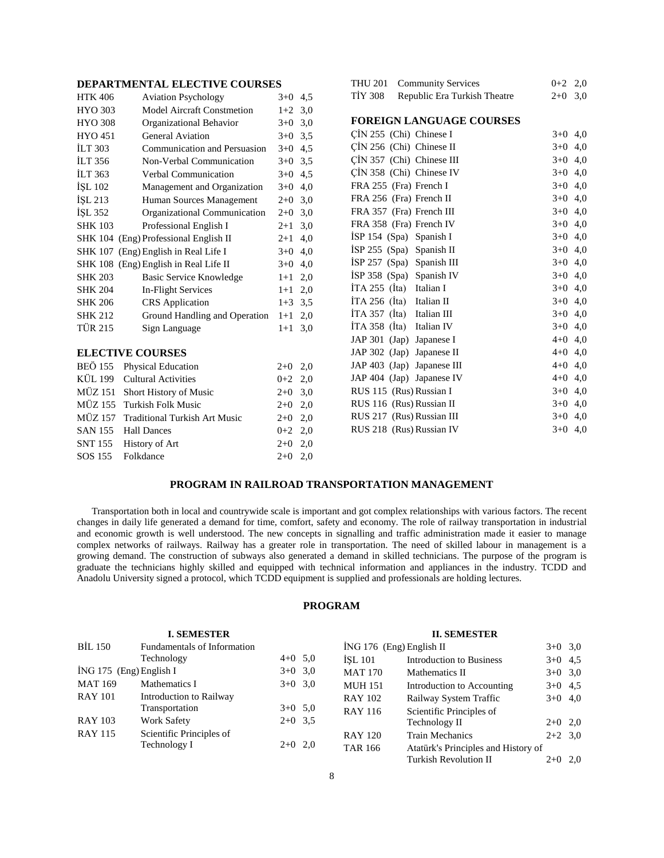| <b>HTK 406</b>          | <b>Aviation Psychology</b>            | $3+0$   | 4,5 |  |  |  |
|-------------------------|---------------------------------------|---------|-----|--|--|--|
| <b>HYO 303</b>          | <b>Model Aircraft Constmetion</b>     | $1+2$   | 3,0 |  |  |  |
| <b>HYO 308</b>          | Organizational Behavior               | $3+0$   | 3,0 |  |  |  |
| <b>HYO 451</b>          | <b>General Aviation</b>               | $3+0$   | 3,5 |  |  |  |
| <b>ILT 303</b>          | Communication and Persuasion          | $3+0$   | 4,5 |  |  |  |
| <b>ILT 356</b>          | Non-Verbal Communication              | $3+0$   | 3,5 |  |  |  |
| <b>ILT 363</b>          | Verbal Communication                  | $3+0$   | 4,5 |  |  |  |
| ISL 102                 | Management and Organization           | $3 + 0$ | 4,0 |  |  |  |
| ISL 213                 | Human Sources Management              | $2+0$   | 3,0 |  |  |  |
| ISL 352                 | Organizational Communication          | $2+0$   | 3,0 |  |  |  |
| <b>SHK 103</b>          | Professional English I                | $2+1$   | 3,0 |  |  |  |
|                         | SHK 104 (Eng) Professional English II | $2+1$   | 4,0 |  |  |  |
|                         | SHK 107 (Eng) English in Real Life I  | $3+0$   | 4,0 |  |  |  |
|                         | SHK 108 (Eng) English in Real Life II | $3+0$   | 4,0 |  |  |  |
| <b>SHK 203</b>          | Basic Service Knowledge               | $1+1$   | 2,0 |  |  |  |
| <b>SHK 204</b>          | <b>In-Flight Services</b>             | $1+1$   | 2,0 |  |  |  |
| <b>SHK 206</b>          | <b>CRS</b> Application                | $1 + 3$ | 3,5 |  |  |  |
| <b>SHK 212</b>          | Ground Handling and Operation         | $1+1$   | 2,0 |  |  |  |
| <b>TÜR 215</b>          | Sign Language                         | $1+1$   | 3,0 |  |  |  |
| <b>ELECTIVE COURSES</b> |                                       |         |     |  |  |  |
|                         |                                       |         |     |  |  |  |
|                         | BEÖ 155 Physical Education            | $2+0$   | 2,0 |  |  |  |

| DEU 133 PHYSICAL EQUICATION           | $2+0$ $2.0$ |  |
|---------------------------------------|-------------|--|
| KÜL 199 Cultural Activities           | $0+2$ 2,0   |  |
| MÜZ 151 Short History of Music        | $2+0$ 3.0   |  |
| MÜZ 155 Turkish Folk Music            | $2+0$ 2.0   |  |
| MÜZ 157 Traditional Turkish Art Music | $2+0$ 2.0   |  |
| SAN 155 Hall Dances                   | $0+2$ 2.0   |  |
| SNT 155 History of Art                | $2+0$ 2.0   |  |
| SOS 155 Folkdance                     | $2+0$ 2.0   |  |
|                                       |             |  |

| THU 201 Community Services                     | $0 + 2$   | 2,0 |
|------------------------------------------------|-----------|-----|
| <b>TİY 308</b><br>Republic Era Turkish Theatre | $2+0$     | 3,0 |
|                                                |           |     |
| <b>FOREIGN LANGUAGE COURSES</b>                |           |     |
| $\overline{C}$ IN 255 (Chi) Chinese I          | $3+0$     | 4,0 |
| $\overline{C}$ IN 256 (Chi) Chinese II         | $3+0$     | 4,0 |
| ÇİN 357 (Chi) Chinese III                      | $3+0$ 4,0 |     |
| CIN 358 (Chi) Chinese IV                       | $3+0$ 4,0 |     |
| FRA 255 (Fra) French I                         | $3+0$     | 4,0 |
| FRA 256 (Fra) French II                        | $3+0$ 4,0 |     |
| FRA 357 (Fra) French III                       | $3+0$ 4,0 |     |
| FRA 358 (Fra) French IV                        | $3+0$     | 4,0 |
| ISP 154 (Spa) Spanish I                        | $3+0$ 4,0 |     |
| $ISP 255$ (Spa) Spanish II                     | $3+0$ 4,0 |     |
| $ISP 257$ (Spa) Spanish III                    | $3+0$ 4,0 |     |
| $ISP 358$ (Spa) Spanish IV                     | $3+0$     | 4,0 |
| $ITA 255$ (Ita) Italian I                      | $3+0$ 4,0 |     |
| İTA 256 (İta) Italian II                       | $3+0$ 4,0 |     |
| ITA 357 (Ita) Italian III                      | $3+0$     | 4,0 |
| İTA 358 (İta) Italian IV                       | $3+0$ 4,0 |     |
| JAP 301 (Jap) Japanese I                       | $4 + 0$   | 4,0 |
| JAP 302 (Jap) Japanese II                      | $4 + 0$   | 4,0 |
| JAP 403 (Jap) Japanese III                     | $4 + 0$   | 4,0 |
| JAP 404 (Jap) Japanese IV                      | $4 + 0$   | 4,0 |
| RUS 115 (Rus) Russian I                        | $3+0$ 4,0 |     |
| RUS 116 (Rus) Russian II                       | $3+0$     | 4,0 |
| RUS 217 (Rus) Russian III                      | $3+0$     | 4,0 |
| RUS 218 (Rus) Russian IV                       | $3+0$     | 4,0 |
|                                                |           |     |

# **PROGRAM IN RAILROAD TRANSPORTATION MANAGEMENT**

 Transportation both in local and countrywide scale is important and got complex relationships with various factors. The recent changes in daily life generated a demand for time, comfort, safety and economy. The role of railway transportation in industrial and economic growth is well understood. The new concepts in signalling and traffic administration made it easier to manage complex networks of railways. Railway has a greater role in transportation. The need of skilled labour in management is a growing demand. The construction of subways also generated a demand in skilled technicians. The purpose of the program is graduate the technicians highly skilled and equipped with technical information and appliances in the industry. TCDD and Anadolu University signed a protocol, which TCDD equipment is supplied and professionals are holding lectures.

# **PROGRAM**

| <b>I. SEMESTER</b>        |                             |                             |           | <b>II. SEMESTER</b>                 |                            |           |  |
|---------------------------|-----------------------------|-----------------------------|-----------|-------------------------------------|----------------------------|-----------|--|
| <b>BIL 150</b>            | Fundamentals of Information |                             |           | $ING 176$ (Eng) English II          |                            | $3+0$ 3,0 |  |
|                           | Technology                  | $4+0$ 5,0                   |           | <b>ISL 101</b>                      | Introduction to Business   | $3+0$ 4.5 |  |
| $ING 175$ (Eng) English I |                             |                             | $3+0$ 3,0 | <b>MAT 170</b>                      | Mathematics II             | $3+0$ 3.0 |  |
| <b>MAT 169</b>            | Mathematics I               | $3+0$ 3.0                   |           | <b>MUH 151</b>                      | Introduction to Accounting | $3+0$ 4.5 |  |
| <b>RAY 101</b>            | Introduction to Railway     |                             |           | <b>RAY 102</b>                      | Railway System Traffic     | $3+0$ 4,0 |  |
|                           | Transportation              | $3+0$ 5,0                   |           | <b>RAY 116</b>                      | Scientific Principles of   |           |  |
| <b>RAY 103</b>            | <b>Work Safety</b>          | $2+0$ 3.5                   |           |                                     | Technology II              | $2+0$ 2,0 |  |
| <b>RAY 115</b>            | Scientific Principles of    |                             |           | <b>RAY 120</b>                      | <b>Train Mechanics</b>     | $2+2$ 3,0 |  |
|                           | Technology I                | $2+0$ 2,0<br><b>TAR 166</b> |           | Atatürk's Principles and History of |                            |           |  |
|                           |                             |                             |           |                                     | Turkish Revolution II      | $2+0$ 2.0 |  |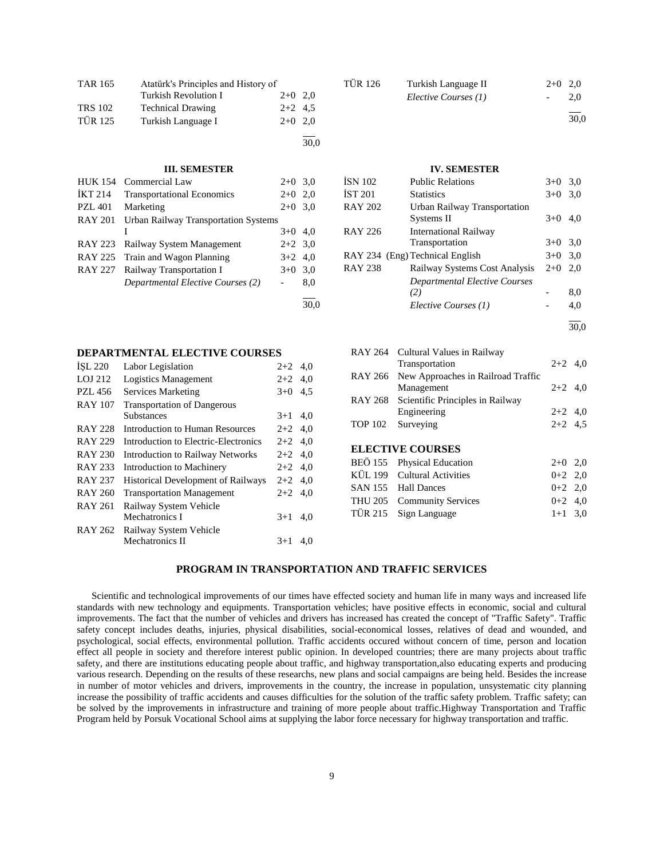| <b>TAR 165</b> | Atatürk's Principles and History of |           |      |
|----------------|-------------------------------------|-----------|------|
|                | Turkish Revolution I                | $2+0$ 2,0 |      |
| <b>TRS 102</b> | <b>Technical Drawing</b>            | $2+2$ 4.5 |      |
| <b>TÜR 125</b> | Turkish Language I                  | $2+0$ 2.0 |      |
|                |                                     |           | 30.0 |

**III. SEMESTER**

| <b>HUK 154</b> | Commercial Law                              | $2+0$ 3.0 |     |
|----------------|---------------------------------------------|-----------|-----|
| <b>İKT 214</b> | <b>Transportational Economics</b>           | $2+0$ 2,0 |     |
| <b>PZL 401</b> | Marketing                                   | $2+0$ 3.0 |     |
| <b>RAY 201</b> | <b>Urban Railway Transportation Systems</b> |           |     |
|                |                                             | $3+0$ 4,0 |     |
|                | RAY 223 Railway System Management           | $2+2$ 3.0 |     |
|                | RAY 225 Train and Wagon Planning            | $3+2$ 4,0 |     |
| RAY 227        | Railway Transportation I                    | $3+0$ 3.0 |     |
|                | Departmental Elective Courses (2)           |           | 8,0 |
|                |                                             |           |     |

| <b>ISL 220</b> | Labor Legislation                         | $2+2$     | 4.0 |
|----------------|-------------------------------------------|-----------|-----|
| LOJ 212        | Logistics Management                      | $2+2$     | 4,0 |
| PZL 456        | Services Marketing                        | $3+0$     | 4.5 |
| <b>RAY 107</b> | <b>Transportation of Dangerous</b>        |           |     |
|                | <b>Substances</b>                         | $3+1$     | 4,0 |
| <b>RAY 228</b> | Introduction to Human Resources           | $2+2$     | 4,0 |
| <b>RAY 229</b> | Introduction to Electric-Electronics      | $2+2$     | 4,0 |
| <b>RAY 230</b> | <b>Introduction to Railway Networks</b>   | $2+2$ 4.0 |     |
| RAY 233        | Introduction to Machinery                 | $2+2$     | 4,0 |
| <b>RAY 237</b> | <b>Historical Development of Railways</b> | $2+2$     | 4,0 |
| <b>RAY 260</b> | <b>Transportation Management</b>          | $2+2$     | 4,0 |
| RAY 261        | Railway System Vehicle                    |           |     |
|                | Mechatronics I                            | $3+1$     | 4,0 |
| <b>RAY 262</b> | Railway System Vehicle                    |           |     |
|                | Mechatronics II                           | $3+1$     | 4.0 |
|                |                                           |           |     |

| TÜR 126 | Turkish Language II  | $2+0$ 2.0 |     |
|---------|----------------------|-----------|-----|
|         | Elective Courses (1) | $-$       | 2.0 |
|         |                      |           |     |

30,0

#### **IV. SEMESTER**

| ÍSN 102 | <b>Public Relations</b>              | $3+0$ | 3,0  |
|---------|--------------------------------------|-------|------|
| İST 201 | <b>Statistics</b>                    | $3+0$ | 3,0  |
| RAY 202 | Urban Railway Transportation         |       |      |
|         | Systems II                           | $3+0$ | 4,0  |
| RAY 226 | <b>International Railway</b>         |       |      |
|         | Transportation                       | $3+0$ | 3,0  |
|         | RAY 234 (Eng) Technical English      | $3+0$ | 3,0  |
| RAY 238 | Railway Systems Cost Analysis        | $2+0$ | 2,0  |
|         | <b>Departmental Elective Courses</b> |       |      |
|         | (2)                                  |       | 8,0  |
|         | Elective Courses (1)                 |       | 4,0  |
|         |                                      |       | 30.0 |

|                | RAY 264 Cultural Values in Railway       |           |  |
|----------------|------------------------------------------|-----------|--|
|                | Transportation                           | $2+2$ 4,0 |  |
| RAY 266        | New Approaches in Railroad Traffic       |           |  |
|                | Management                               | $2+2$ 4,0 |  |
|                | RAY 268 Scientific Principles in Railway |           |  |
|                | Engineering                              | $2+2$ 4,0 |  |
| <b>TOP 102</b> | Surveying                                | $2+2$ 4.5 |  |
|                |                                          |           |  |
|                | <b>ELECTIVE COURSES</b>                  |           |  |
|                | BEÖ 155 Physical Education               | $2+0$ 2,0 |  |
|                | KÜL 199 Cultural Activities              | $0+2$ 2,0 |  |
|                | SAN 155 Hall Dances                      | $0+2$ 2,0 |  |
|                | THU 205 Community Services               | $0+2$ 4,0 |  |
| TÜR 215        | Sign Language                            | $1+1$ 3.0 |  |

### **PROGRAM IN TRANSPORTATION AND TRAFFIC SERVICES**

30,0

 Scientific and technological improvements of our times have effected society and human life in many ways and increased life standards with new technology and equipments. Transportation vehicles; have positive effects in economic, social and cultural improvements. The fact that the number of vehicles and drivers has increased has created the concept of "Traffic Safety". Traffic safety concept includes deaths, injuries, physical disabilities, social-economical losses, relatives of dead and wounded, and psychological, social effects, environmental pollution. Traffic accidents occured without concern of time, person and location effect all people in society and therefore interest public opinion. In developed countries; there are many projects about traffic safety, and there are institutions educating people about traffic, and highway transportation,also educating experts and producing various research. Depending on the results of these researchs, new plans and social campaigns are being held. Besides the increase in number of motor vehicles and drivers, improvements in the country, the increase in population, unsystematic city planning increase the possibility of traffic accidents and causes difficulties for the solution of the traffic safety problem. Traffic safety; can be solved by the improvements in infrastructure and training of more people about traffic.Highway Transportation and Traffic Program held by Porsuk Vocational School aims at supplying the labor force necessary for highway transportation and traffic.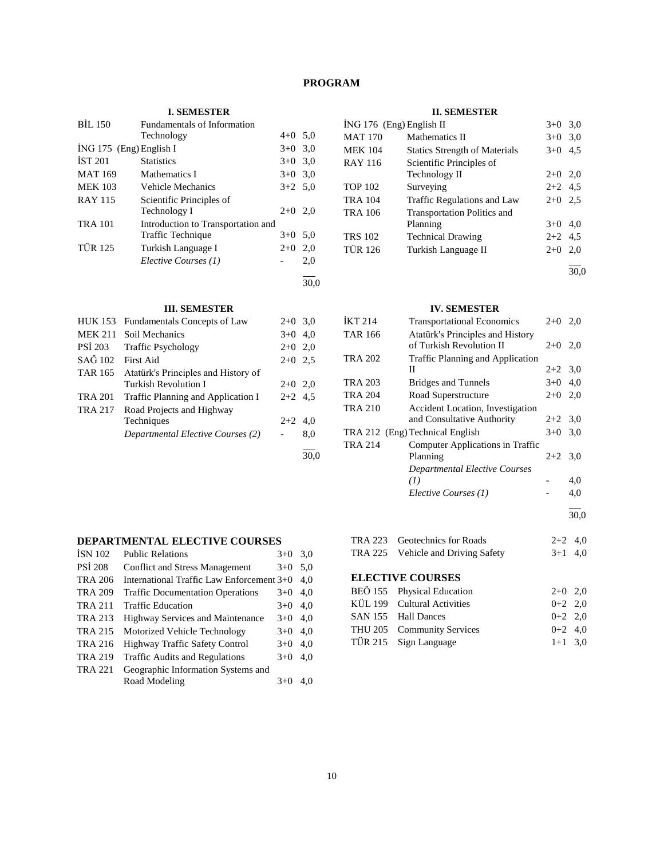# **PROGRAM**

# **I. SEMESTER**

| <b>BIL 150</b>          | Fundamentals of Information        |           |      |
|-------------------------|------------------------------------|-----------|------|
|                         | Technology                         | $4+0$ 5.0 |      |
| ING 175 (Eng) English I |                                    | $3+0$     | 3,0  |
| IST 201                 | <b>Statistics</b>                  | $3+0$     | 3,0  |
| <b>MAT 169</b>          | Mathematics I                      | $3+0$     | 3,0  |
| <b>MEK 103</b>          | Vehicle Mechanics                  | $3+2$ 5.0 |      |
| <b>RAY 115</b>          | Scientific Principles of           |           |      |
|                         | Technology I                       | $2+0$     | 2,0  |
| <b>TRA 101</b>          | Introduction to Transportation and |           |      |
|                         | Traffic Technique                  | $3+0$ 5.0 |      |
| <b>TÜR 125</b>          | Turkish Language I                 | $2+0$     | 2,0  |
|                         | Elective Courses (1)               |           | 2,0  |
|                         |                                    |           | 30.0 |

#### **III. SEMESTER**

| <b>HUK 153</b> | Fundamentals Concepts of Law        | $2+0$     | 3,0  |
|----------------|-------------------------------------|-----------|------|
| <b>MEK 211</b> | Soil Mechanics                      | $3+0$     | 4.0  |
| <b>PSI 203</b> | <b>Traffic Psychology</b>           | $2+0$     | 2,0  |
| SAĞ 102        | First Aid                           | $2+0$ 2.5 |      |
| <b>TAR 165</b> | Atatürk's Principles and History of |           |      |
|                | Turkish Revolution I                | $2+0$     | 2.0  |
| <b>TRA 201</b> | Traffic Planning and Application I  | $2+2$ 4.5 |      |
| <b>TRA 217</b> | Road Projects and Highway           |           |      |
|                | Techniques                          | $2+2$     | 4.0  |
|                | Departmental Elective Courses (2)   |           | 8,0  |
|                |                                     |           | 30.0 |

# **II. SEMESTER**

| İNG 176 (Eng) English II |                                      | $3+0$     | 3,0 |
|--------------------------|--------------------------------------|-----------|-----|
| <b>MAT 170</b>           | Mathematics II                       | $3+0$     | 3,0 |
| <b>MEK 104</b>           | <b>Statics Strength of Materials</b> | $3+0$     | 4.5 |
| <b>RAY 116</b>           | Scientific Principles of             |           |     |
|                          | Technology II                        | $2+0$ 2,0 |     |
| <b>TOP 102</b>           | Surveying                            | $2+2$ 4.5 |     |
| <b>TRA 104</b>           | Traffic Regulations and Law          | $2+0$     | 2.5 |
| TRA 106                  | <b>Transportation Politics and</b>   |           |     |
|                          | Planning                             | $3+0$ 4.0 |     |
| <b>TRS 102</b>           | <b>Technical Drawing</b>             | $2+2$ 4.5 |     |
| <b>TÜR 126</b>           | Turkish Language II                  | $2+0$     | 2,0 |
|                          |                                      |           |     |
|                          |                                      |           |     |

#### **IV. SEMESTER**

| <b>IKT 214</b> | <b>Transportational Economics</b>                            | $2+0$     | 2,0 |
|----------------|--------------------------------------------------------------|-----------|-----|
| <b>TAR 166</b> | Atatürk's Principles and History<br>of Turkish Revolution II | $2+0$ 2,0 |     |
| <b>TRA 202</b> | <b>Traffic Planning and Application</b>                      |           |     |
|                | П                                                            | $2+2$ 3.0 |     |
| <b>TRA 203</b> | <b>Bridges and Tunnels</b>                                   | $3+0$ 4,0 |     |
| <b>TRA 204</b> | Road Superstructure                                          | $2+0$     | 2,0 |
| <b>TRA 210</b> | Accident Location, Investigation                             |           |     |
|                | and Consultative Authority                                   | $2+2$ 3.0 |     |
|                | TRA 212 (Eng) Technical English                              | $3+0$     | 3,0 |
| <b>TRA 214</b> | Computer Applications in Traffic                             |           |     |
|                | Planning                                                     | $2+2$ 3.0 |     |
|                | <b>Departmental Elective Courses</b>                         |           |     |
|                | (I)                                                          |           | 4,0 |
|                | Elective Courses (1)                                         |           | 4,0 |
|                |                                                              |           |     |

# **DEPARTMENTAL ELECTIVE COURSES**

| <b>ISN 102</b> | <b>Public Relations</b>                   | $3+0$ | 3,0 |
|----------------|-------------------------------------------|-------|-----|
| <b>PSI 208</b> | Conflict and Stress Management            | $3+0$ | 5,0 |
| <b>TRA 206</b> | International Traffic Law Enforcement 3+0 |       | 4.0 |
| <b>TRA 209</b> | <b>Traffic Documentation Operations</b>   | $3+0$ | 4,0 |
| <b>TRA 211</b> | <b>Traffic Education</b>                  | $3+0$ | 4.0 |
| <b>TRA 213</b> | <b>Highway Services and Maintenance</b>   | $3+0$ | 4,0 |
| <b>TRA 215</b> | Motorized Vehicle Technology              | $3+0$ | 4.0 |
| <b>TRA 216</b> | <b>Highway Traffic Safety Control</b>     | $3+0$ | 4,0 |
| <b>TRA 219</b> | <b>Traffic Audits and Regulations</b>     | $3+0$ | 4.0 |
| <b>TRA 221</b> | Geographic Information Systems and        |       |     |
|                | Road Modeling                             | 3+0   | 4.0 |

| TRA 223 Geotechnics for Roads      | $2+2$ 4.0 |  |
|------------------------------------|-----------|--|
| TRA 225 Vehicle and Driving Safety | $3+1$ 4.0 |  |

l 30,0

# **ELECTIVE COURSES**

| BEÖ 155 Physical Education  | $2+0$ 2.0 |  |
|-----------------------------|-----------|--|
| KÜL 199 Cultural Activities | $0+2$ 2.0 |  |
| SAN 155 Hall Dances         | $0+2$ 2.0 |  |
| THU 205 Community Services  | $0+2$ 4.0 |  |
| TÜR 215 Sign Language       | $1+1$ 3.0 |  |
|                             |           |  |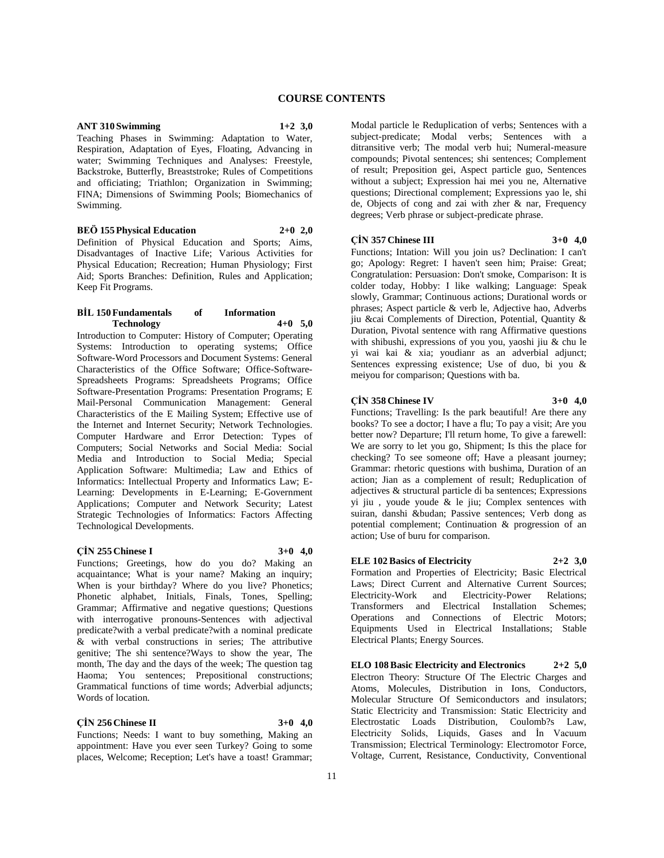## **ANT 310 Swimming 1+2 3,0**

Teaching Phases in Swimming: Adaptation to Water, Respiration, Adaptation of Eyes, Floating, Advancing in water; Swimming Techniques and Analyses: Freestyle, Backstroke, Butterfly, Breaststroke; Rules of Competitions and officiating; Triathlon; Organization in Swimming; FINA; Dimensions of Swimming Pools; Biomechanics of Swimming.

**BEÖ 155 Physical Education 2+0 2,0** Definition of Physical Education and Sports; Aims, Disadvantages of Inactive Life; Various Activities for Physical Education; Recreation; Human Physiology; First Aid; Sports Branches: Definition, Rules and Application; Keep Fit Programs.

#### **BİL 150 Fundamentals of Information Technology 4+0 5,0**

Introduction to Computer: History of Computer; Operating Systems: Introduction to operating systems; Office Software-Word Processors and Document Systems: General Characteristics of the Office Software; Office-Software-Spreadsheets Programs: Spreadsheets Programs; Office Software-Presentation Programs: Presentation Programs; E Mail-Personal Communication Management: General Characteristics of the E Mailing System; Effective use of the Internet and Internet Security; Network Technologies. Computer Hardware and Error Detection: Types of Computers; Social Networks and Social Media: Social Media and Introduction to Social Media; Special Application Software: Multimedia; Law and Ethics of Informatics: Intellectual Property and Informatics Law; E-Learning: Developments in E-Learning; E-Government Applications; Computer and Network Security; Latest Strategic Technologies of Informatics: Factors Affecting Technological Developments.

#### **ÇİN 255 Chinese I 3+0 4,0**

Functions; Greetings, how do you do? Making an acquaintance; What is your name? Making an inquiry; When is your birthday? Where do you live? Phonetics; Phonetic alphabet, Initials, Finals, Tones, Spelling; Grammar; Affirmative and negative questions; Questions with interrogative pronouns-Sentences with adjectival predicate?with a verbal predicate?with a nominal predicate & with verbal constructions in series; The attributive genitive; The shi sentence?Ways to show the year, The month, The day and the days of the week; The question tag Haoma; You sentences; Prepositional constructions; Grammatical functions of time words; Adverbial adjuncts; Words of location.

#### **ÇİN 256 Chinese II 3+0 4,0**

Functions; Needs: I want to buy something, Making an appointment: Have you ever seen Turkey? Going to some places, Welcome; Reception; Let's have a toast! Grammar;

Modal particle le Reduplication of verbs; Sentences with a subject-predicate; Modal verbs; Sentences with a ditransitive verb; The modal verb hui; Numeral-measure compounds; Pivotal sentences; shi sentences; Complement of result; Preposition gei, Aspect particle guo, Sentences without a subject; Expression hai mei you ne, Alternative questions; Directional complement; Expressions yao le, shi de, Objects of cong and zai with zher & nar, Frequency degrees; Verb phrase or subject-predicate phrase.

#### **ÇİN 357 Chinese III 3+0 4,0**

Functions; Intation: Will you join us? Declination: I can't go; Apology: Regret: I haven't seen him; Praise: Great; Congratulation: Persuasion: Don't smoke, Comparison: It is colder today, Hobby: I like walking; Language: Speak slowly, Grammar; Continuous actions; Durational words or phrases; Aspect particle & verb le, Adjective hao, Adverbs jiu &cai Complements of Direction, Potential, Quantity & Duration, Pivotal sentence with rang Affirmative questions with shibushi, expressions of you you, yaoshi jiu & chu le yi wai kai & xia; youdianr as an adverbial adjunct; Sentences expressing existence; Use of duo, bi you & meiyou for comparison; Questions with ba.

#### **ÇİN 358 Chinese IV 3+0 4,0**

Functions; Travelling: Is the park beautiful! Are there any books? To see a doctor; I have a flu; To pay a visit; Are you better now? Departure; I'll return home, To give a farewell: We are sorry to let you go, Shipment; Is this the place for checking? To see someone off; Have a pleasant journey; Grammar: rhetoric questions with bushima, Duration of an action; Jian as a complement of result; Reduplication of adjectives & structural particle di ba sentences; Expressions yi jiu , youde youde & le jiu; Complex sentences with suiran, danshi &budan; Passive sentences; Verb dong as potential complement; Continuation & progression of an action; Use of buru for comparison.

## **ELE 102 Basics of Electricity 2+2 3,0**

Formation and Properties of Electricity; Basic Electrical Laws; Direct Current and Alternative Current Sources; Electricity-Work and Electricity-Power Relations; Transformers and Electrical Installation Schemes; Operations and Connections of Electric Motors; Equipments Used in Electrical Installations; Stable Electrical Plants; Energy Sources.

**ELO 108 Basic Electricity and Electronics 2+2 5,0** Electron Theory: Structure Of The Electric Charges and Atoms, Molecules, Distribution in Ions, Conductors, Molecular Structure Of Semiconductors and insulators; Static Electricity and Transmission: Static Electricity and Electrostatic Loads Distribution, Coulomb?s Law, Electricity Solids, Liquids, Gases and İn Vacuum Transmission; Electrical Terminology: Electromotor Force, Voltage, Current, Resistance, Conductivity, Conventional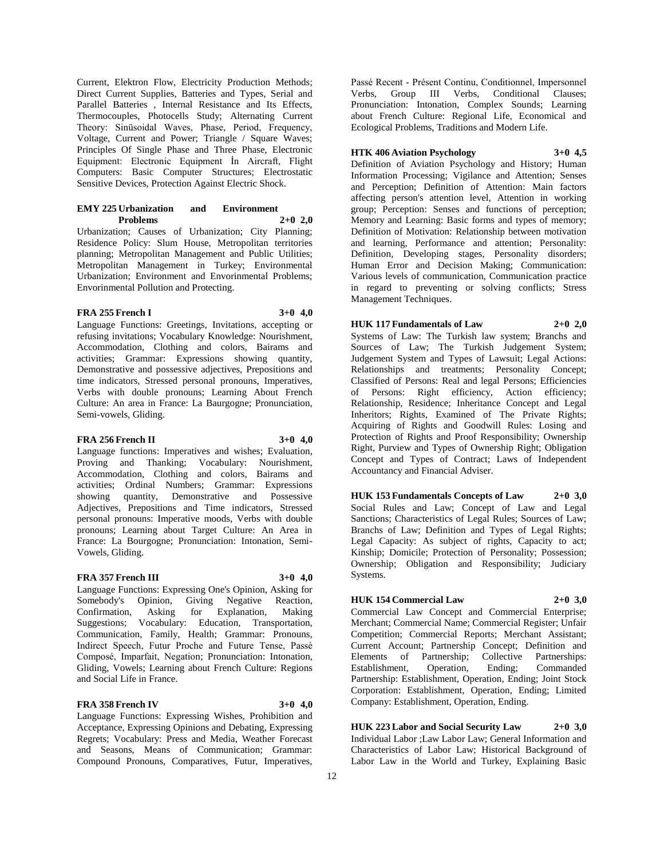Current, Elektron Flow, Electricity Production Methods; Direct Current Supplies, Batteries and Types, Serial and Parallel Batteries , Internal Resistance and Its Effects, Thermocouples, Photocells Study; Alternating Current Theory: Sinüsoidal Waves, Phase, Period, Frequency, Voltage, Current and Power; Triangle / Square Waves; Principles Of Single Phase and Three Phase, Electronic Equipment: Electronic Equipment İn Aircraft, Flight Computers: Basic Computer Structures; Electrostatic Sensitive Devices, Protection Against Electric Shock.

| <b>EMY 225 Urbanization</b> | and | <b>Environment</b> |  |
|-----------------------------|-----|--------------------|--|
| <b>Problems</b>             |     | $2+0$ 2,0          |  |

Urbanization; Causes of Urbanization; City Planning; Residence Policy: Slum House, Metropolitan territories planning; Metropolitan Management and Public Utilities; Metropolitan Management in Turkey; Environmental Urbanization; Environment and Envorinmental Problems; Envorinmental Pollution and Protecting.

#### **FRA 255 French I 3+0 4,0**

Language Functions: Greetings, Invitations, accepting or refusing invitations; Vocabulary Knowledge: Nourishment, Accommodation, Clothing and colors, Bairams and activities; Grammar: Expressions showing quantity, Demonstrative and possessive adjectives, Prepositions and time indicators, Stressed personal pronouns, Imperatives, Verbs with double pronouns; Learning About French Culture: An area in France: La Baurgogne; Pronunciation, Semi-vowels, Gliding.

#### **FRA 256 French II 3+0 4,0**

Language functions: Imperatives and wishes; Evaluation, Proving and Thanking; Vocabulary: Nourishment, Accommodation, Clothing and colors, Bairams and activities; Ordinal Numbers; Grammar: Expressions showing quantity, Demonstrative and Possessive Adjectives, Prepositions and Time indicators, Stressed personal pronouns: Imperative moods, Verbs with double pronouns; Learning about Target Culture: An Area in France: La Bourgogne; Pronunciation: Intonation, Semi-Vowels, Gliding.

#### **FRA 357 French III 3+0 4,0**

Language Functions: Expressing One's Opinion, Asking for Somebody's Opinion, Giving Negative Reaction, Confirmation, Asking for Explanation, Making Suggestions; Vocabulary: Education, Transportation, Communication, Family, Health; Grammar: Pronouns, Indirect Speech, Futur Proche and Future Tense, Passé Composé, Imparfait, Negation; Pronunciation: Intonation, Gliding, Vowels; Learning about French Culture: Regions and Social Life in France.

## **FRA 358 French IV 3+0 4,0**

Language Functions: Expressing Wishes, Prohibition and Acceptance, Expressing Opinions and Debating, Expressing Regrets; Vocabulary: Press and Media, Weather Forecast and Seasons, Means of Communication; Grammar: Compound Pronouns, Comparatives, Futur, Imperatives,

Passé Recent - Présent Continu, Conditionnel, Impersonnel Verbs, Group III Verbs, Conditional Clauses; Pronunciation: Intonation, Complex Sounds; Learning about French Culture: Regional Life, Economical and Ecological Problems, Traditions and Modern Life.

# **HTK 406 Aviation Psychology 3+0 4,5**

Definition of Aviation Psychology and History; Human Information Processing; Vigilance and Attention; Senses and Perception; Definition of Attention: Main factors affecting person's attention level, Attention in working group; Perception: Senses and functions of perception; Memory and Learning: Basic forms and types of memory; Definition of Motivation: Relationship between motivation and learning, Performance and attention; Personality: Definition, Developing stages, Personality disorders; Human Error and Decision Making; Communication: Various levels of communication, Communication practice in regard to preventing or solving conflicts; Stress Management Techniques.

# **HUK 117 Fundamentals of Law 2+0 2,0**

Systems of Law: The Turkish law system; Branchs and Sources of Law; The Turkish Judgement System; Judgement System and Types of Lawsuit; Legal Actions: Relationships and treatments; Personality Concept; Classified of Persons: Real and legal Persons; Efficiencies of Persons: Right efficiency, Action efficiency; Relationship, Residence; Inheritance Concept and Legal Inheritors; Rights, Examined of The Private Rights; Acquiring of Rights and Goodwill Rules: Losing and Protection of Rights and Proof Responsibility; Ownership Right, Purview and Types of Ownership Right; Obligation Concept and Types of Contract; Laws of Independent Accountancy and Financial Adviser.

**HUK 153 Fundamentals Concepts of Law 2+0 3,0** Social Rules and Law; Concept of Law and Legal Sanctions; Characteristics of Legal Rules; Sources of Law; Branchs of Law; Definition and Types of Legal Rights; Legal Capacity: As subject of rights, Capacity to act; Kinship; Domicile; Protection of Personality; Possession; Ownership; Obligation and Responsibility; Judiciary Systems.

#### **HUK 154 Commercial Law 2+0 3,0** Commercial Law Concept and Commercial Enterprise;

Merchant; Commercial Name; Commercial Register; Unfair Competition; Commercial Reports; Merchant Assistant; Current Account; Partnership Concept; Definition and Elements of Partnership; Collective Partnerships: Establishment, Operation, Ending; Commanded Partnership: Establishment, Operation, Ending; Joint Stock Corporation: Establishment, Operation, Ending; Limited Company: Establishment, Operation, Ending.

**HUK 223 Labor and Social Security Law 2+0 3,0** Individual Labor ;Law Labor Law; General Information and Characteristics of Labor Law; Historical Background of Labor Law in the World and Turkey, Explaining Basic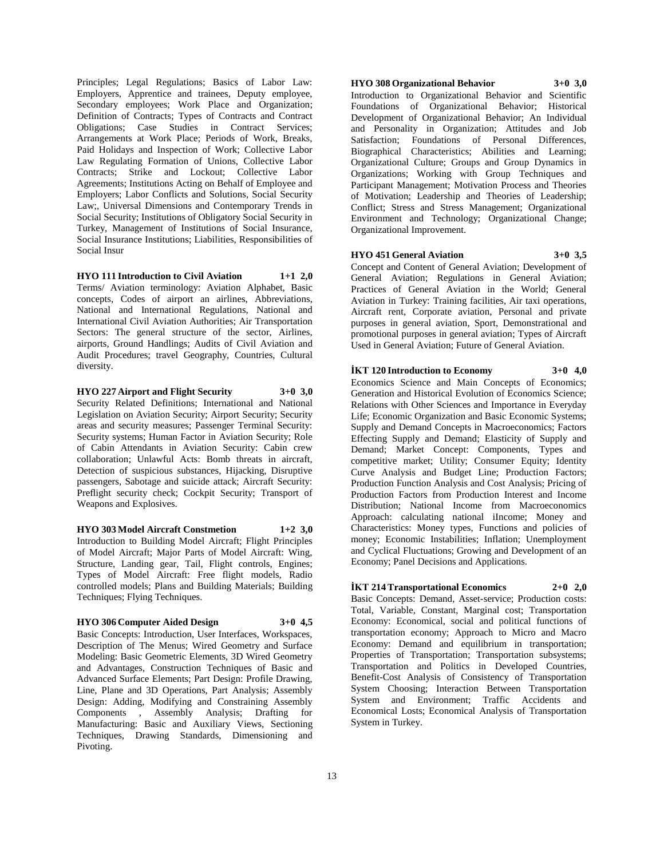Principles; Legal Regulations; Basics of Labor Law: Employers, Apprentice and trainees, Deputy employee, Secondary employees; Work Place and Organization; Definition of Contracts; Types of Contracts and Contract Obligations; Case Studies in Contract Services; Arrangements at Work Place; Periods of Work, Breaks, Paid Holidays and Inspection of Work; Collective Labor Law Regulating Formation of Unions, Collective Labor Contracts; Strike and Lockout; Collective Labor Agreements; Institutions Acting on Behalf of Employee and Employers; Labor Conflicts and Solutions, Social Security Law;, Universal Dimensions and Contemporary Trends in Social Security; Institutions of Obligatory Social Security in Turkey, Management of Institutions of Social Insurance, Social Insurance Institutions; Liabilities, Responsibilities of Social Insur

**HYO 111 Introduction to Civil Aviation 1+1 2,0** Terms/ Aviation terminology: Aviation Alphabet, Basic concepts, Codes of airport an airlines, Abbreviations, National and International Regulations, National and International Civil Aviation Authorities; Air Transportation Sectors: The general structure of the sector, Airlines, airports, Ground Handlings; Audits of Civil Aviation and Audit Procedures; travel Geography, Countries, Cultural diversity.

**HYO 227 Airport and Flight Security 3+0 3,0** Security Related Definitions; International and National Legislation on Aviation Security; Airport Security; Security areas and security measures; Passenger Terminal Security: Security systems; Human Factor in Aviation Security; Role of Cabin Attendants in Aviation Security: Cabin crew collaboration; Unlawful Acts: Bomb threats in aircraft, Detection of suspicious substances, Hijacking, Disruptive passengers, Sabotage and suicide attack; Aircraft Security: Preflight security check; Cockpit Security; Transport of Weapons and Explosives.

**HYO 303 Model Aircraft Constmetion 1+2 3,0** Introduction to Building Model Aircraft; Flight Principles of Model Aircraft; Major Parts of Model Aircraft: Wing, Structure, Landing gear, Tail, Flight controls, Engines; Types of Model Aircraft: Free flight models, Radio controlled models; Plans and Building Materials; Building Techniques; Flying Techniques.

#### **HYO 306 Computer Aided Design 3+0 4,5**

Basic Concepts: Introduction, User Interfaces, Workspaces, Description of The Menus; Wired Geometry and Surface Modeling: Basic Geometric Elements, 3D Wired Geometry and Advantages, Construction Techniques of Basic and Advanced Surface Elements; Part Design: Profile Drawing, Line, Plane and 3D Operations, Part Analysis; Assembly Design: Adding, Modifying and Constraining Assembly Components , Assembly Analysis; Drafting for Manufacturing: Basic and Auxiliary Views, Sectioning Techniques, Drawing Standards, Dimensioning and Pivoting.

# **HYO 308 Organizational Behavior 3+0 3,0**

Introduction to Organizational Behavior and Scientific Foundations of Organizational Behavior; Historical Development of Organizational Behavior; An Individual and Personality in Organization; Attitudes and Job Satisfaction; Foundations of Personal Differences, Biographical Characteristics; Abilities and Learning; Organizational Culture; Groups and Group Dynamics in Organizations; Working with Group Techniques and Participant Management; Motivation Process and Theories of Motivation; Leadership and Theories of Leadership; Conflict; Stress and Stress Management; Organizational Environment and Technology; Organizational Change; Organizational Improvement.

#### **HYO 451 General Aviation 3+0 3,5**

Concept and Content of General Aviation; Development of General Aviation; Regulations in General Aviation; Practices of General Aviation in the World; General Aviation in Turkey: Training facilities, Air taxi operations, Aircraft rent, Corporate aviation, Personal and private purposes in general aviation, Sport, Demonstrational and promotional purposes in general aviation; Types of Aircraft Used in General Aviation; Future of General Aviation.

#### **İKT 120 Introduction to Economy 3+0 4,0**

Economics Science and Main Concepts of Economics; Generation and Historical Evolution of Economics Science; Relations with Other Sciences and Importance in Everyday Life; Economic Organization and Basic Economic Systems; Supply and Demand Concepts in Macroeconomics; Factors Effecting Supply and Demand; Elasticity of Supply and Demand; Market Concept: Components, Types and competitive market; Utility; Consumer Equity; Identity Curve Analysis and Budget Line; Production Factors; Production Function Analysis and Cost Analysis; Pricing of Production Factors from Production Interest and Income Distribution; National Income from Macroeconomics Approach: calculating national iIncome; Money and Characteristics: Money types, Functions and policies of money; Economic Instabilities; Inflation; Unemployment and Cyclical Fluctuations; Growing and Development of an Economy; Panel Decisions and Applications.

#### **İKT 214 Transportational Economics 2+0 2,0**

Basic Concepts: Demand, Asset-service; Production costs: Total, Variable, Constant, Marginal cost; Transportation Economy: Economical, social and political functions of transportation economy; Approach to Micro and Macro Economy: Demand and equilibrium in transportation; Properties of Transportation; Transportation subsystems; Transportation and Politics in Developed Countries, Benefit-Cost Analysis of Consistency of Transportation System Choosing; Interaction Between Transportation System and Environment; Traffic Accidents and Economical Losts; Economical Analysis of Transportation System in Turkey.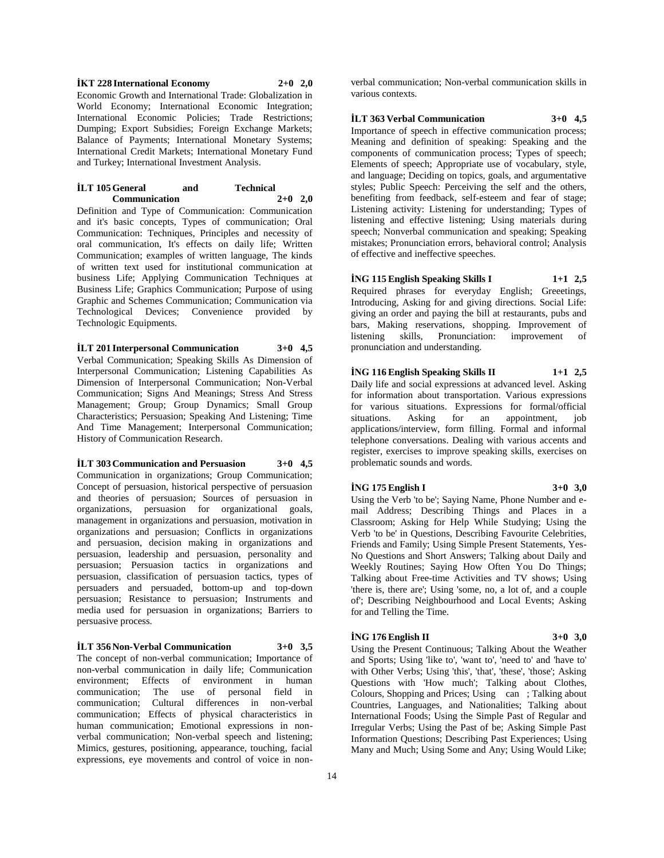**İKT 228 International Economy 2+0 2,0** Economic Growth and International Trade: Globalization in World Economy; International Economic Integration; International Economic Policies; Trade Restrictions; Dumping; Export Subsidies; Foreign Exchange Markets; Balance of Payments; International Monetary Systems; International Credit Markets; International Monetary Fund and Turkey; International Investment Analysis.

#### **İLT 105 General and Technical Communication 2+0 2,0**

Definition and Type of Communication: Communication and it's basic concepts, Types of communication; Oral Communication: Techniques, Principles and necessity of oral communication, It's effects on daily life; Written Communication; examples of written language, The kinds of written text used for institutional communication at business Life; Applying Communication Techniques at Business Life; Graphics Communication; Purpose of using Graphic and Schemes Communication; Communication via Technological Devices; Convenience provided by Technologic Equipments.

**İLT 201 Interpersonal Communication 3+0 4,5** Verbal Communication; Speaking Skills As Dimension of Interpersonal Communication; Listening Capabilities As Dimension of Interpersonal Communication; Non-Verbal Communication; Signs And Meanings; Stress And Stress Management; Group; Group Dynamics; Small Group Characteristics; Persuasion; Speaking And Listening; Time And Time Management; Interpersonal Communication; History of Communication Research.

**İLT 303 Communication and Persuasion 3+0 4,5** Communication in organizations; Group Communication; Concept of persuasion, historical perspective of persuasion and theories of persuasion; Sources of persuasion in organizations, persuasion for organizational goals, management in organizations and persuasion, motivation in organizations and persuasion; Conflicts in organizations and persuasion, decision making in organizations and persuasion, leadership and persuasion, personality and persuasion; Persuasion tactics in organizations and persuasion, classification of persuasion tactics, types of persuaders and persuaded, bottom-up and top-down persuasion; Resistance to persuasion; Instruments and media used for persuasion in organizations; Barriers to persuasive process.

#### **İLT 356 Non-Verbal Communication 3+0 3,5**

The concept of non-verbal communication; Importance of non-verbal communication in daily life; Communication environment; Effects of environment in human communication; The use of personal field in communication; Cultural differences in non-verbal communication; Effects of physical characteristics in human communication; Emotional expressions in nonverbal communication; Non-verbal speech and listening; Mimics, gestures, positioning, appearance, touching, facial expressions, eye movements and control of voice in non-

verbal communication; Non-verbal communication skills in various contexts.

**İLT 363 Verbal Communication 3+0 4,5**

Importance of speech in effective communication process; Meaning and definition of speaking: Speaking and the components of communication process; Types of speech; Elements of speech; Appropriate use of vocabulary, style, and language; Deciding on topics, goals, and argumentative styles; Public Speech: Perceiving the self and the others, benefiting from feedback, self-esteem and fear of stage; Listening activity: Listening for understanding; Types of listening and effective listening; Using materials during speech; Nonverbal communication and speaking; Speaking mistakes; Pronunciation errors, behavioral control; Analysis of effective and ineffective speeches.

# **İNG 115 English Speaking Skills I 1+1 2,5**

Required phrases for everyday English; Greeetings, Introducing, Asking for and giving directions. Social Life: giving an order and paying the bill at restaurants, pubs and bars, Making reservations, shopping. Improvement of listening skills, Pronunciation: improvement of pronunciation and understanding.

#### **İNG 116 English Speaking Skills II 1+1 2,5**

Daily life and social expressions at advanced level. Asking for information about transportation. Various expressions for various situations. Expressions for formal/official situations. Asking for an appointment, job applications/interview, form filling. Formal and informal telephone conversations. Dealing with various accents and register, exercises to improve speaking skills, exercises on problematic sounds and words.

#### **İNG 175 English I 3+0 3,0**

Using the Verb 'to be'; Saying Name, Phone Number and email Address; Describing Things and Places in a Classroom; Asking for Help While Studying; Using the Verb 'to be' in Questions, Describing Favourite Celebrities, Friends and Family; Using Simple Present Statements, Yes-No Questions and Short Answers; Talking about Daily and Weekly Routines; Saying How Often You Do Things; Talking about Free-time Activities and TV shows; Using 'there is, there are'; Using 'some, no, a lot of, and a couple of'; Describing Neighbourhood and Local Events; Asking for and Telling the Time.

### **İNG 176 English II 3+0 3,0**

Using the Present Continuous; Talking About the Weather and Sports; Using 'like to', 'want to', 'need to' and 'have to' with Other Verbs; Using 'this', 'that', 'these', 'those'; Asking Questions with 'How much'; Talking about Clothes, Colours, Shopping and Prices; Using can; Talking about Countries, Languages, and Nationalities; Talking about International Foods; Using the Simple Past of Regular and Irregular Verbs; Using the Past of be; Asking Simple Past Information Questions; Describing Past Experiences; Using Many and Much; Using Some and Any; Using Would Like;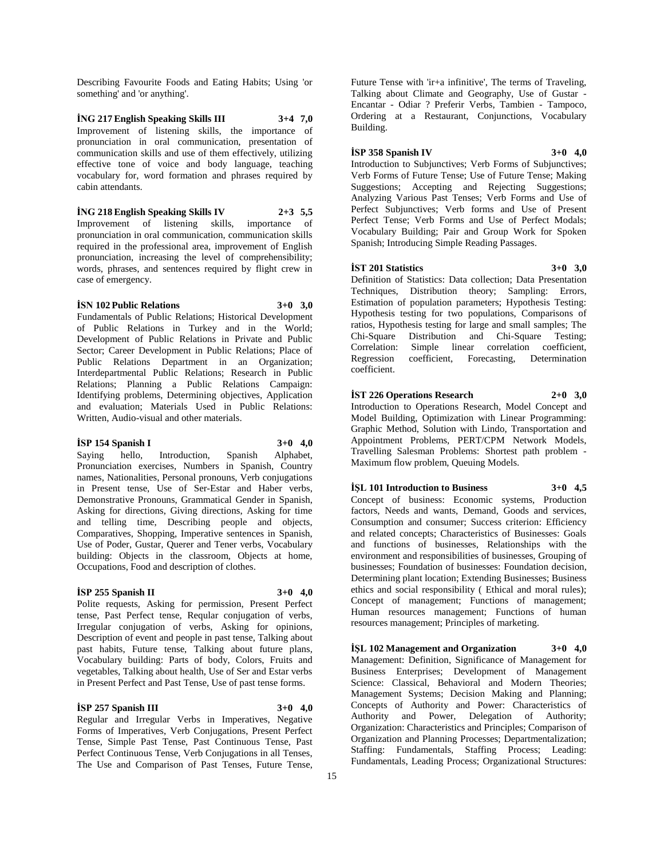Describing Favourite Foods and Eating Habits; Using 'or something' and 'or anything'.

**İNG 217 English Speaking Skills III 3+4 7,0** Improvement of listening skills, the importance of pronunciation in oral communication, presentation of communication skills and use of them effectively, utilizing effective tone of voice and body language, teaching vocabulary for, word formation and phrases required by cabin attendants.

**İNG 218 English Speaking Skills IV 2+3 5,5** Improvement of listening skills, importance of pronunciation in oral communication, communication skills required in the professional area, improvement of English pronunciation, increasing the level of comprehensibility; words, phrases, and sentences required by flight crew in case of emergency.

# **İSN 102 Public Relations 3+0 3,0**

Fundamentals of Public Relations; Historical Development of Public Relations in Turkey and in the World; Development of Public Relations in Private and Public Sector; Career Development in Public Relations; Place of Public Relations Department in an Organization; Interdepartmental Public Relations; Research in Public Relations; Planning a Public Relations Campaign: Identifying problems, Determining objectives, Application and evaluation; Materials Used in Public Relations: Written, Audio-visual and other materials.

#### **İSP 154 Spanish I 3+0 4,0**

Saying hello, Introduction, Spanish Alphabet, Pronunciation exercises, Numbers in Spanish, Country names, Nationalities, Personal pronouns, Verb conjugations in Present tense, Use of Ser-Estar and Haber verbs, Demonstrative Pronouns, Grammatical Gender in Spanish, Asking for directions, Giving directions, Asking for time and telling time, Describing people and objects, Comparatives, Shopping, Imperative sentences in Spanish, Use of Poder, Gustar, Querer and Tener verbs, Vocabulary building: Objects in the classroom, Objects at home, Occupations, Food and description of clothes.

#### **İSP 255 Spanish II 3+0 4,0**

Polite requests, Asking for permission, Present Perfect tense, Past Perfect tense, Reqular conjugation of verbs, Irregular conjugation of verbs, Asking for opinions, Description of event and people in past tense, Talking about past habits, Future tense, Talking about future plans, Vocabulary building: Parts of body, Colors, Fruits and vegetables, Talking about health, Use of Ser and Estar verbs in Present Perfect and Past Tense, Use of past tense forms.

#### **İSP 257 Spanish III 3+0 4,0**

Regular and Irregular Verbs in Imperatives, Negative Forms of Imperatives, Verb Conjugations, Present Perfect Tense, Simple Past Tense, Past Continuous Tense, Past Perfect Continuous Tense, Verb Conjugations in all Tenses, The Use and Comparison of Past Tenses, Future Tense,

Future Tense with 'ir+a infinitive', The terms of Traveling, Talking about Climate and Geography, Use of Gustar - Encantar - Odiar ? Preferir Verbs, Tambien - Tampoco, Ordering at a Restaurant, Conjunctions, Vocabulary Building.

# **İSP 358 Spanish IV 3+0 4,0**

Introduction to Subjunctives; Verb Forms of Subjunctives; Verb Forms of Future Tense; Use of Future Tense; Making Suggestions: Accepting and Rejecting Suggestions: Analyzing Various Past Tenses; Verb Forms and Use of Perfect Subjunctives; Verb forms and Use of Present Perfect Tense; Verb Forms and Use of Perfect Modals; Vocabulary Building; Pair and Group Work for Spoken Spanish; Introducing Simple Reading Passages.

#### **İST 201 Statistics 3+0 3,0**

Definition of Statistics: Data collection; Data Presentation Techniques, Distribution theory; Sampling: Errors, Estimation of population parameters; Hypothesis Testing: Hypothesis testing for two populations, Comparisons of ratios, Hypothesis testing for large and small samples; The Chi-Square Distribution and Chi-Square Testing; Correlation: Simple linear correlation coefficient, Regression coefficient, Forecasting, Determination coefficient.

**İST 226 Operations Research 2+0 3,0**

Introduction to Operations Research, Model Concept and Model Building, Optimization with Linear Programming: Graphic Method, Solution with Lindo, Transportation and Appointment Problems, PERT/CPM Network Models, Travelling Salesman Problems: Shortest path problem - Maximum flow problem, Queuing Models.

# **İŞL 101 Introduction to Business 3+0 4,5**

Concept of business: Economic systems, Production factors, Needs and wants, Demand, Goods and services, Consumption and consumer; Success criterion: Efficiency and related concepts; Characteristics of Businesses: Goals and functions of businesses, Relationships with the environment and responsibilities of businesses, Grouping of businesses; Foundation of businesses: Foundation decision, Determining plant location; Extending Businesses; Business ethics and social responsibility ( Ethical and moral rules); Concept of management; Functions of management; Human resources management; Functions of human resources management; Principles of marketing.

**İŞL 102 Management and Organization 3+0 4,0** Management: Definition, Significance of Management for Business Enterprises; Development of Management Science: Classical, Behavioral and Modern Theories; Management Systems; Decision Making and Planning; Concepts of Authority and Power: Characteristics of Authority and Power, Delegation of Authority; Organization: Characteristics and Principles; Comparison of Organization and Planning Processes; Departmentalization; Staffing: Fundamentals, Staffing Process; Leading: Fundamentals, Leading Process; Organizational Structures: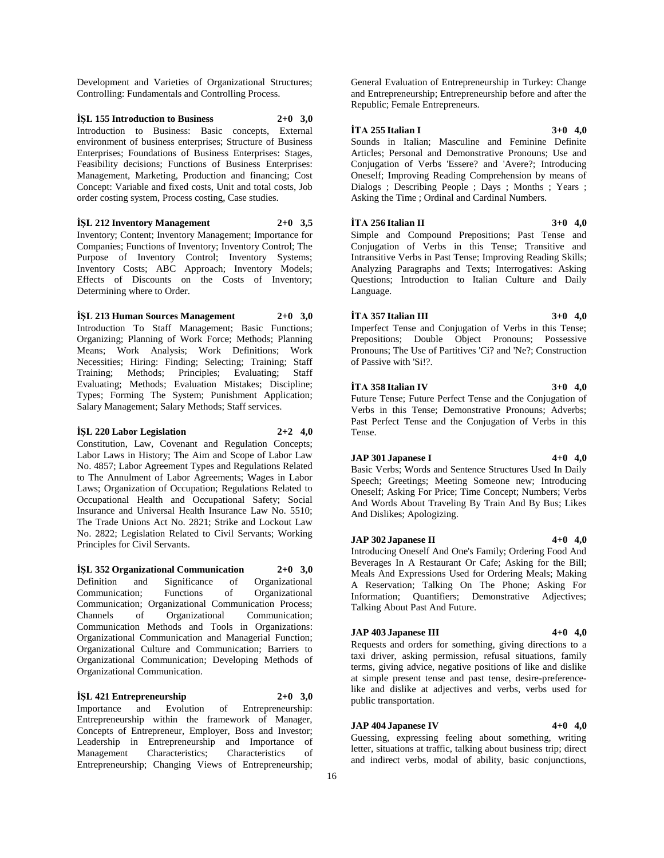Development and Varieties of Organizational Structures; Controlling: Fundamentals and Controlling Process.

**İŞL 155 Introduction to Business 2+0 3,0** Introduction to Business: Basic concepts, External environment of business enterprises; Structure of Business Enterprises; Foundations of Business Enterprises: Stages, Feasibility decisions; Functions of Business Enterprises: Management, Marketing, Production and financing; Cost Concept: Variable and fixed costs, Unit and total costs, Job order costing system, Process costing, Case studies.

**İŞL 212 Inventory Management 2+0 3,5** Inventory; Content; Inventory Management; Importance for Companies; Functions of Inventory; Inventory Control; The Purpose of Inventory Control; Inventory Systems; Inventory Costs; ABC Approach; Inventory Models; Effects of Discounts on the Costs of Inventory; Determining where to Order.

**İŞL 213 Human Sources Management 2+0 3,0** Introduction To Staff Management; Basic Functions; Organizing; Planning of Work Force; Methods; Planning Means; Work Analysis; Work Definitions; Work Necessities; Hiring: Finding; Selecting; Training; Staff Training; Methods; Principles; Evaluating; Staff Evaluating; Methods; Evaluation Mistakes; Discipline; Types; Forming The System; Punishment Application; Salary Management; Salary Methods; Staff services.

#### **İŞL 220 Labor Legislation 2+2 4,0**

Constitution, Law, Covenant and Regulation Concepts; Labor Laws in History; The Aim and Scope of Labor Law No. 4857; Labor Agreement Types and Regulations Related to The Annulment of Labor Agreements; Wages in Labor Laws; Organization of Occupation; Regulations Related to Occupational Health and Occupational Safety; Social Insurance and Universal Health Insurance Law No. 5510; The Trade Unions Act No. 2821; Strike and Lockout Law No. 2822; Legislation Related to Civil Servants; Working Principles for Civil Servants.

**İŞL 352 Organizational Communication 2+0 3,0** Definition and Significance of Organizational Communication; Functions of Organizational Communication; Organizational Communication Process; Channels of Organizational Communication; Communication Methods and Tools in Organizations: Organizational Communication and Managerial Function; Organizational Culture and Communication; Barriers to Organizational Communication; Developing Methods of Organizational Communication.

**İŞL 421 Entrepreneurship 2+0 3,0** Importance and Evolution of Entrepreneurship: Entrepreneurship within the framework of Manager, Concepts of Entrepreneur, Employer, Boss and Investor; Leadership in Entrepreneurship and Importance of Management Characteristics; Characteristics of Entrepreneurship; Changing Views of Entrepreneurship;

General Evaluation of Entrepreneurship in Turkey: Change and Entrepreneurship; Entrepreneurship before and after the Republic; Female Entrepreneurs.

**İTA 255 Italian I 3+0 4,0**

Sounds in Italian; Masculine and Feminine Definite Articles; Personal and Demonstrative Pronouns; Use and Conjugation of Verbs 'Essere? and 'Avere?; Introducing Oneself; Improving Reading Comprehension by means of Dialogs ; Describing People ; Days ; Months ; Years ; Asking the Time ; Ordinal and Cardinal Numbers.

**İTA 256 Italian II 3+0 4,0**

Simple and Compound Prepositions; Past Tense and Conjugation of Verbs in this Tense; Transitive and Intransitive Verbs in Past Tense; Improving Reading Skills; Analyzing Paragraphs and Texts; Interrogatives: Asking Questions; Introduction to Italian Culture and Daily Language.

**İTA 357 Italian III 3+0 4,0**

Imperfect Tense and Conjugation of Verbs in this Tense; Prepositions; Double Object Pronouns; Possessive Pronouns; The Use of Partitives 'Ci? and 'Ne?; Construction of Passive with 'Si!?.

#### **İTA 358 Italian IV 3+0 4,0**

Future Tense; Future Perfect Tense and the Conjugation of Verbs in this Tense; Demonstrative Pronouns; Adverbs; Past Perfect Tense and the Conjugation of Verbs in this Tense.

**JAP 301 Japanese I 4+0 4,0**

Basic Verbs; Words and Sentence Structures Used In Daily Speech; Greetings; Meeting Someone new; Introducing Oneself; Asking For Price; Time Concept; Numbers; Verbs And Words About Traveling By Train And By Bus; Likes And Dislikes; Apologizing.

**JAP 302 Japanese II 4+0 4,0** Introducing Oneself And One's Family; Ordering Food And Beverages In A Restaurant Or Cafe; Asking for the Bill; Meals And Expressions Used for Ordering Meals; Making A Reservation; Talking On The Phone; Asking For Information; Quantifiers; Demonstrative Adjectives; Talking About Past And Future.

#### **JAP 403 Japanese III 4+0 4,0**

Requests and orders for something, giving directions to a taxi driver, asking permission, refusal situations, family terms, giving advice, negative positions of like and dislike at simple present tense and past tense, desire-preferencelike and dislike at adjectives and verbs, verbs used for public transportation.

#### **JAP 404 Japanese IV 4+0 4,0**

Guessing, expressing feeling about something, writing letter, situations at traffic, talking about business trip; direct and indirect verbs, modal of ability, basic conjunctions,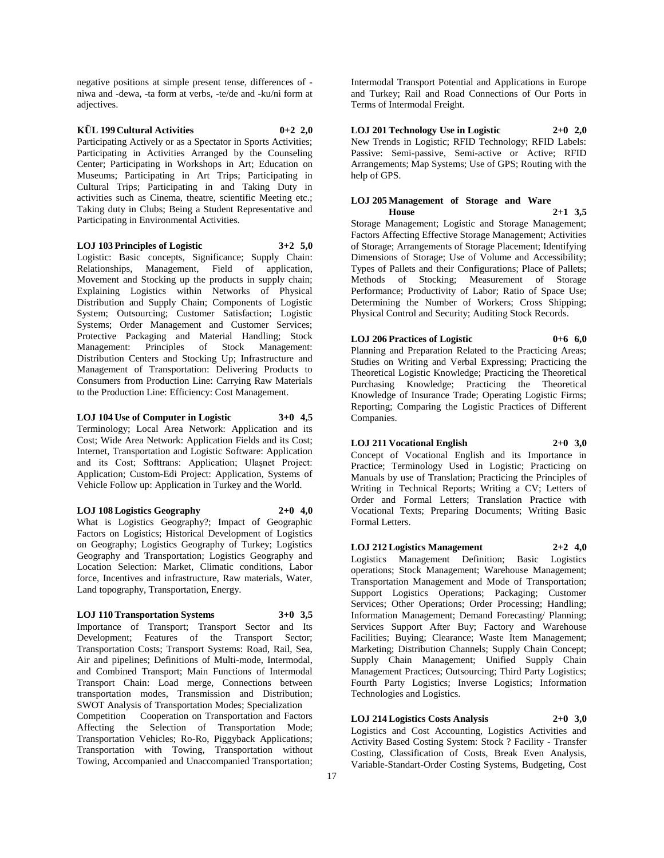negative positions at simple present tense, differences of niwa and -dewa, -ta form at verbs, -te/de and -ku/ni form at adjectives.

# **KÜL 199 Cultural Activities 0+2 2,0**

Participating Actively or as a Spectator in Sports Activities; Participating in Activities Arranged by the Counseling Center; Participating in Workshops in Art; Education on Museums; Participating in Art Trips; Participating in Cultural Trips; Participating in and Taking Duty in activities such as Cinema, theatre, scientific Meeting etc.; Taking duty in Clubs; Being a Student Representative and Participating in Environmental Activities.

#### **LOJ 103 Principles of Logistic 3+2 5,0**

Logistic: Basic concepts, Significance; Supply Chain: Relationships, Management, Field of application, Movement and Stocking up the products in supply chain; Explaining Logistics within Networks of Physical Distribution and Supply Chain; Components of Logistic System; Outsourcing; Customer Satisfaction; Logistic Systems; Order Management and Customer Services; Protective Packaging and Material Handling; Stock Management: Principles of Stock Management: Distribution Centers and Stocking Up; Infrastructure and Management of Transportation: Delivering Products to Consumers from Production Line: Carrying Raw Materials to the Production Line: Efficiency: Cost Management.

# **LOJ 104 Use of Computer in Logistic 3+0 4,5**

Terminology; Local Area Network: Application and its Cost; Wide Area Network: Application Fields and its Cost; Internet, Transportation and Logistic Software: Application and its Cost; Softtrans: Application; Ulaşnet Project: Application; Custom-Edi Project: Application, Systems of Vehicle Follow up: Application in Turkey and the World.

# **LOJ 108 Logistics Geography 2+0 4,0**

What is Logistics Geography?; Impact of Geographic Factors on Logistics; Historical Development of Logistics on Geography; Logistics Geography of Turkey; Logistics Geography and Transportation; Logistics Geography and Location Selection: Market, Climatic conditions, Labor force, Incentives and infrastructure, Raw materials, Water, Land topography, Transportation, Energy.

#### **LOJ 110 Transportation Systems 3+0 3,5**

Importance of Transport; Transport Sector and Its Development; Features of the Transport Sector; Transportation Costs; Transport Systems: Road, Rail, Sea, Air and pipelines; Definitions of Multi-mode, Intermodal, and Combined Transport; Main Functions of Intermodal Transport Chain: Load merge, Connections between transportation modes, Transmission and Distribution; SWOT Analysis of Transportation Modes; Specialization

Competition Cooperation on Transportation and Factors Affecting the Selection of Transportation Mode; Transportation Vehicles; Ro-Ro, Piggyback Applications; Transportation with Towing, Transportation without Towing, Accompanied and Unaccompanied Transportation;

Intermodal Transport Potential and Applications in Europe and Turkey; Rail and Road Connections of Our Ports in Terms of Intermodal Freight.

#### **LOJ 201 Technology Use in Logistic 2+0 2,0** New Trends in Logistic; RFID Technology; RFID Labels: Passive: Semi-passive, Semi-active or Active; RFID Arrangements; Map Systems; Use of GPS; Routing with the help of GPS.

# **LOJ 205 Management of Storage and Ware**

**House 2+1 3,5** Storage Management; Logistic and Storage Management; Factors Affecting Effective Storage Management; Activities of Storage; Arrangements of Storage Placement; Identifying Dimensions of Storage; Use of Volume and Accessibility; Types of Pallets and their Configurations; Place of Pallets; Methods of Stocking; Measurement of Storage Performance; Productivity of Labor; Ratio of Space Use; Determining the Number of Workers; Cross Shipping; Physical Control and Security; Auditing Stock Records.

# **LOJ 206 Practices of Logistic 0+6 6,0**

Planning and Preparation Related to the Practicing Areas; Studies on Writing and Verbal Expressing; Practicing the Theoretical Logistic Knowledge; Practicing the Theoretical Purchasing Knowledge; Practicing the Theoretical Knowledge of Insurance Trade; Operating Logistic Firms; Reporting; Comparing the Logistic Practices of Different Companies.

# **LOJ 211 Vocational English 2+0 3,0**

Concept of Vocational English and its Importance in Practice; Terminology Used in Logistic; Practicing on Manuals by use of Translation; Practicing the Principles of Writing in Technical Reports; Writing a CV; Letters of Order and Formal Letters; Translation Practice with Vocational Texts; Preparing Documents; Writing Basic Formal Letters.

#### **LOJ 212 Logistics Management 2+2 4,0**

Logistics Management Definition; Basic Logistics operations; Stock Management; Warehouse Management; Transportation Management and Mode of Transportation; Support Logistics Operations; Packaging; Customer Services; Other Operations; Order Processing; Handling; Information Management; Demand Forecasting/ Planning; Services Support After Buy; Factory and Warehouse Facilities; Buying; Clearance; Waste Item Management; Marketing; Distribution Channels; Supply Chain Concept; Supply Chain Management; Unified Supply Chain Management Practices; Outsourcing; Third Party Logistics; Fourth Party Logistics; Inverse Logistics; Information Technologies and Logistics.

# **LOJ 214 Logistics Costs Analysis 2+0 3,0**

Logistics and Cost Accounting, Logistics Activities and Activity Based Costing System: Stock ? Facility - Transfer Costing, Classification of Costs, Break Even Analysis, Variable-Standart-Order Costing Systems, Budgeting, Cost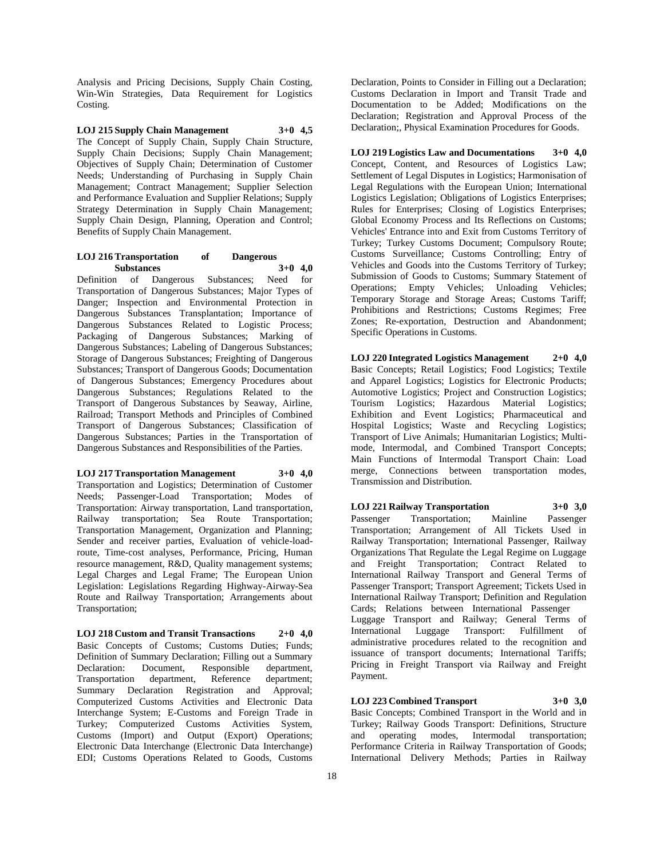Analysis and Pricing Decisions, Supply Chain Costing, Win-Win Strategies, Data Requirement for Logistics Costing.

**LOJ 215 Supply Chain Management 3+0 4,5** The Concept of Supply Chain, Supply Chain Structure, Supply Chain Decisions; Supply Chain Management; Objectives of Supply Chain; Determination of Customer Needs; Understanding of Purchasing in Supply Chain Management; Contract Management; Supplier Selection and Performance Evaluation and Supplier Relations; Supply Strategy Determination in Supply Chain Management; Supply Chain Design, Planning, Operation and Control; Benefits of Supply Chain Management.

## **LOJ 216 Transportation of Dangerous Substances 3+0 4,0**

Definition of Dangerous Substances; Need for Transportation of Dangerous Substances; Major Types of Danger; Inspection and Environmental Protection in Dangerous Substances Transplantation; Importance of Dangerous Substances Related to Logistic Process; Packaging of Dangerous Substances; Marking of Dangerous Substances; Labeling of Dangerous Substances; Storage of Dangerous Substances; Freighting of Dangerous Substances; Transport of Dangerous Goods; Documentation of Dangerous Substances; Emergency Procedures about Dangerous Substances; Regulations Related to the Transport of Dangerous Substances by Seaway, Airline, Railroad; Transport Methods and Principles of Combined Transport of Dangerous Substances; Classification of Dangerous Substances; Parties in the Transportation of Dangerous Substances and Responsibilities of the Parties.

#### **LOJ 217 Transportation Management 3+0 4,0**

Transportation and Logistics; Determination of Customer Needs; Passenger-Load Transportation; Modes of Transportation: Airway transportation, Land transportation, Railway transportation; Sea Route Transportation; Transportation Management, Organization and Planning; Sender and receiver parties, Evaluation of vehicle-loadroute, Time-cost analyses, Performance, Pricing, Human resource management, R&D, Quality management systems; Legal Charges and Legal Frame; The European Union Legislation: Legislations Regarding Highway-Airway-Sea Route and Railway Transportation; Arrangements about Transportation;

**LOJ 218 Custom and Transit Transactions 2+0 4,0** Basic Concepts of Customs; Customs Duties; Funds; Definition of Summary Declaration; Filling out a Summary Declaration: Document, Responsible department,<br>Transportation department, Reference department; Transportation department, Reference department; Summary Declaration Registration and Approval; Computerized Customs Activities and Electronic Data Interchange System; E-Customs and Foreign Trade in Turkey; Computerized Customs Activities System, Customs (Import) and Output (Export) Operations; Electronic Data Interchange (Electronic Data Interchange) EDI; Customs Operations Related to Goods, Customs

Declaration, Points to Consider in Filling out a Declaration; Customs Declaration in Import and Transit Trade and Documentation to be Added; Modifications on the Declaration; Registration and Approval Process of the Declaration;, Physical Examination Procedures for Goods.

**LOJ 219 Logistics Law and Documentations 3+0 4,0** Concept, Content, and Resources of Logistics Law; Settlement of Legal Disputes in Logistics; Harmonisation of Legal Regulations with the European Union; International Logistics Legislation; Obligations of Logistics Enterprises; Rules for Enterprises; Closing of Logistics Enterprises; Global Economy Process and Its Reflections on Customs; Vehicles' Entrance into and Exit from Customs Territory of Turkey; Turkey Customs Document; Compulsory Route; Customs Surveillance; Customs Controlling; Entry of Vehicles and Goods into the Customs Territory of Turkey; Submission of Goods to Customs; Summary Statement of Operations; Empty Vehicles; Unloading Vehicles; Temporary Storage and Storage Areas; Customs Tariff; Prohibitions and Restrictions; Customs Regimes; Free Zones; Re-exportation, Destruction and Abandonment; Specific Operations in Customs.

**LOJ 220 Integrated Logistics Management 2+0 4,0** Basic Concepts; Retail Logistics; Food Logistics; Textile and Apparel Logistics; Logistics for Electronic Products; Automotive Logistics; Project and Construction Logistics; Tourism Logistics; Hazardous Material Logistics; Exhibition and Event Logistics; Pharmaceutical and Hospital Logistics; Waste and Recycling Logistics; Transport of Live Animals; Humanitarian Logistics; Multimode, Intermodal, and Combined Transport Concepts; Main Functions of Intermodal Transport Chain: Load merge, Connections between transportation modes, Transmission and Distribution.

**LOJ 221 Railway Transportation 3+0 3,0** Passenger Transportation; Mainline Passenger Transportation; Arrangement of All Tickets Used in Railway Transportation; International Passenger, Railway Organizations That Regulate the Legal Regime on Luggage and Freight Transportation; Contract Related to International Railway Transport and General Terms of Passenger Transport; Transport Agreement; Tickets Used in International Railway Transport; Definition and Regulation Cards; Relations between International Passenger Luggage Transport and Railway; General Terms of International Luggage Transport: Fulfillment of administrative procedures related to the recognition and issuance of transport documents; International Tariffs; Pricing in Freight Transport via Railway and Freight Payment.

#### **LOJ 223 Combined Transport 3+0 3,0**

Basic Concepts; Combined Transport in the World and in Turkey; Railway Goods Transport: Definitions, Structure and operating modes, Intermodal transportation; Performance Criteria in Railway Transportation of Goods; International Delivery Methods; Parties in Railway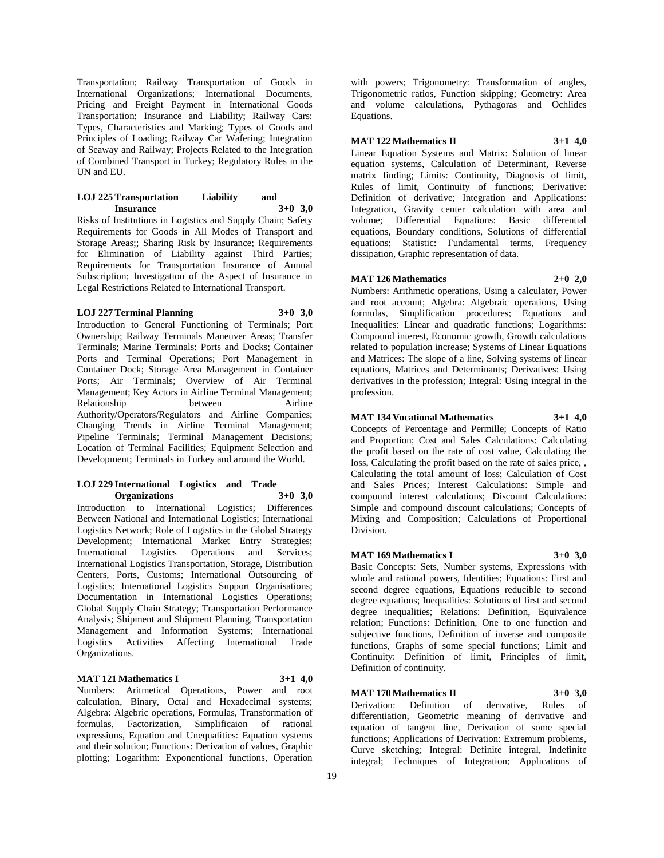Transportation; Railway Transportation of Goods in International Organizations; International Documents, Pricing and Freight Payment in International Goods Transportation; Insurance and Liability; Railway Cars: Types, Characteristics and Marking; Types of Goods and Principles of Loading; Railway Car Wafering; Integration of Seaway and Railway; Projects Related to the Integration of Combined Transport in Turkey; Regulatory Rules in the UN and EU.

# **LOJ 225 Transportation Liability and Insurance 3+0 3,0**

Risks of Institutions in Logistics and Supply Chain; Safety Requirements for Goods in All Modes of Transport and Storage Areas;; Sharing Risk by Insurance; Requirements for Elimination of Liability against Third Parties; Requirements for Transportation Insurance of Annual Subscription; Investigation of the Aspect of Insurance in Legal Restrictions Related to International Transport.

#### **LOJ 227 Terminal Planning 3+0 3,0**

Introduction to General Functioning of Terminals; Port Ownership; Railway Terminals Maneuver Areas; Transfer Terminals; Marine Terminals: Ports and Docks; Container Ports and Terminal Operations; Port Management in Container Dock; Storage Area Management in Container Ports; Air Terminals; Overview of Air Terminal Management; Key Actors in Airline Terminal Management; Relationship between Airline Authority/Operators/Regulators and Airline Companies; Changing Trends in Airline Terminal Management; Pipeline Terminals; Terminal Management Decisions; Location of Terminal Facilities; Equipment Selection and Development; Terminals in Turkey and around the World.

#### **LOJ 229 International Logistics and Trade Organizations 3+0 3,0**

Introduction to International Logistics; Differences Between National and International Logistics; International Logistics Network; Role of Logistics in the Global Strategy Development; International Market Entry Strategies; International Logistics Operations and Services; International Logistics Transportation, Storage, Distribution Centers, Ports, Customs; International Outsourcing of Logistics; International Logistics Support Organisations; Documentation in International Logistics Operations; Global Supply Chain Strategy; Transportation Performance Analysis; Shipment and Shipment Planning, Transportation Management and Information Systems; International Logistics Activities Affecting International Trade Organizations.

# **MAT 121 Mathematics I 3+1 4,0**

Numbers: Aritmetical Operations, Power and root calculation, Binary, Octal and Hexadecimal systems; Algebra: Algebric operations, Formulas, Transformation of formulas, Factorization, Simplificaion of rational expressions, Equation and Unequalities: Equation systems and their solution; Functions: Derivation of values, Graphic plotting; Logarithm: Exponentional functions, Operation

with powers; Trigonometry: Transformation of angles, Trigonometric ratios, Function skipping; Geometry: Area and volume calculations, Pythagoras and Ochlides Equations.

# **MAT 122 Mathematics II 3+1 4,0**

Linear Equation Systems and Matrix: Solution of linear equation systems, Calculation of Determinant, Reverse matrix finding; Limits: Continuity, Diagnosis of limit, Rules of limit, Continuity of functions; Derivative: Definition of derivative; Integration and Applications: Integration, Gravity center calculation with area and volume; Differential Equations: Basic differential equations, Boundary conditions, Solutions of differential equations; Statistic: Fundamental terms, Frequency dissipation, Graphic representation of data.

#### **MAT 126 Mathematics 2+0 2,0**

Numbers: Arithmetic operations, Using a calculator, Power and root account; Algebra: Algebraic operations, Using formulas, Simplification procedures; Equations and Inequalities: Linear and quadratic functions; Logarithms: Compound interest, Economic growth, Growth calculations related to population increase; Systems of Linear Equations and Matrices: The slope of a line, Solving systems of linear equations, Matrices and Determinants; Derivatives: Using derivatives in the profession; Integral: Using integral in the profession.

# **MAT 134 Vocational Mathematics 3+1 4,0**

Concepts of Percentage and Permille; Concepts of Ratio and Proportion; Cost and Sales Calculations: Calculating the profit based on the rate of cost value, Calculating the loss, Calculating the profit based on the rate of sales price, , Calculating the total amount of loss; Calculation of Cost and Sales Prices; Interest Calculations: Simple and compound interest calculations; Discount Calculations: Simple and compound discount calculations; Concepts of Mixing and Composition; Calculations of Proportional Division.

# **MAT 169 Mathematics I 3+0 3,0**

Basic Concepts: Sets, Number systems, Expressions with whole and rational powers, Identities; Equations: First and second degree equations, Equations reducible to second degree equations; Inequalities: Solutions of first and second degree inequalities; Relations: Definition, Equivalence relation; Functions: Definition, One to one function and subjective functions, Definition of inverse and composite functions, Graphs of some special functions; Limit and Continuity: Definition of limit, Principles of limit, Definition of continuity.

#### **MAT 170 Mathematics II 3+0 3,0**

Derivation: Definition of derivative, Rules of differentiation, Geometric meaning of derivative and equation of tangent line, Derivation of some special functions; Applications of Derivation: Extremum problems, Curve sketching; Integral: Definite integral, Indefinite integral; Techniques of Integration; Applications of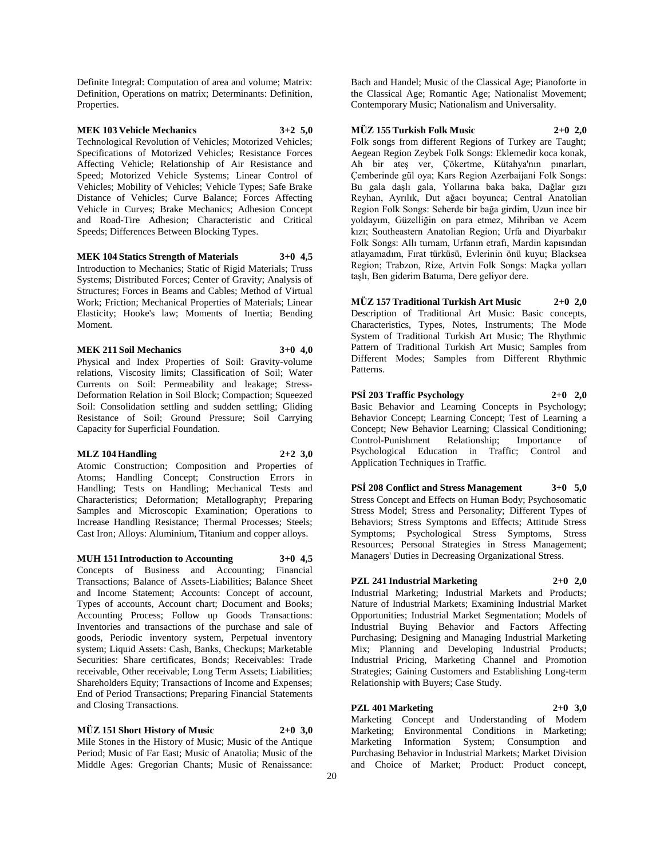Definite Integral: Computation of area and volume; Matrix: Definition, Operations on matrix; Determinants: Definition, Properties.

# **MEK 103 Vehicle Mechanics 3+2 5,0**

Technological Revolution of Vehicles; Motorized Vehicles; Specifications of Motorized Vehicles; Resistance Forces Affecting Vehicle; Relationship of Air Resistance and Speed; Motorized Vehicle Systems; Linear Control of Vehicles; Mobility of Vehicles; Vehicle Types; Safe Brake Distance of Vehicles; Curve Balance; Forces Affecting Vehicle in Curves; Brake Mechanics; Adhesion Concept and Road-Tire Adhesion; Characteristic and Critical Speeds; Differences Between Blocking Types.

#### **MEK 104 Statics Strength of Materials 3+0 4,5**

Introduction to Mechanics; Static of Rigid Materials; Truss Systems; Distributed Forces; Center of Gravity; Analysis of Structures; Forces in Beams and Cables; Method of Virtual Work; Friction; Mechanical Properties of Materials; Linear Elasticity; Hooke's law; Moments of Inertia; Bending Moment.

## **MEK 211 Soil Mechanics 3+0 4,0**

Physical and Index Properties of Soil: Gravity-volume relations, Viscosity limits; Classification of Soil; Water Currents on Soil: Permeability and leakage; Stress-Deformation Relation in Soil Block; Compaction; Squeezed Soil: Consolidation settling and sudden settling; Gliding Resistance of Soil; Ground Pressure; Soil Carrying Capacity for Superficial Foundation.

#### **MLZ 104 Handling 2+2 3,0**

Atomic Construction; Composition and Properties of Atoms; Handling Concept; Construction Errors in Handling; Tests on Handling; Mechanical Tests and Characteristics; Deformation; Metallography; Preparing Samples and Microscopic Examination; Operations to Increase Handling Resistance; Thermal Processes; Steels; Cast Iron; Alloys: Aluminium, Titanium and copper alloys.

**MUH 151 Introduction to Accounting 3+0 4,5**

Concepts of Business and Accounting; Financial Transactions; Balance of Assets-Liabilities; Balance Sheet and Income Statement; Accounts: Concept of account, Types of accounts, Account chart; Document and Books; Accounting Process; Follow up Goods Transactions: Inventories and transactions of the purchase and sale of goods, Periodic inventory system, Perpetual inventory system; Liquid Assets: Cash, Banks, Checkups; Marketable Securities: Share certificates, Bonds; Receivables: Trade receivable, Other receivable; Long Term Assets; Liabilities; Shareholders Equity; Transactions of Income and Expenses; End of Period Transactions; Preparing Financial Statements and Closing Transactions.

### **MÜZ 151 Short History of Music 2+0 3,0**

Mile Stones in the History of Music; Music of the Antique Period; Music of Far East; Music of Anatolia; Music of the Middle Ages: Gregorian Chants; Music of Renaissance:

Bach and Handel; Music of the Classical Age; Pianoforte in the Classical Age; Romantic Age; Nationalist Movement; Contemporary Music; Nationalism and Universality.

#### **MÜZ 155 Turkish Folk Music 2+0 2,0**

Folk songs from different Regions of Turkey are Taught; Aegean Region Zeybek Folk Songs: Eklemedir koca konak, Ah bir ateş ver, Çökertme, Kütahya'nın pınarları, Çemberinde gül oya; Kars Region Azerbaijani Folk Songs: Bu gala daşlı gala, Yollarına baka baka, Dağlar gızı Reyhan, Ayrılık, Dut ağacı boyunca; Central Anatolian Region Folk Songs: Seherde bir bağa girdim, Uzun ince bir yoldayım, Güzelliğin on para etmez, Mihriban ve Acem kızı; Southeastern Anatolian Region; Urfa and Diyarbakır Folk Songs: Allı turnam, Urfanın etrafı, Mardin kapısından atlayamadım, Fırat türküsü, Evlerinin önü kuyu; Blacksea Region; Trabzon, Rize, Artvin Folk Songs: Maçka yolları taşlı, Ben giderim Batuma, Dere geliyor dere.

**MÜZ 157 Traditional Turkish Art Music 2+0 2,0** Description of Traditional Art Music: Basic concepts, Characteristics, Types, Notes, Instruments; The Mode System of Traditional Turkish Art Music; The Rhythmic Pattern of Traditional Turkish Art Music; Samples from Different Modes; Samples from Different Rhythmic Patterns.

**PSİ 203 Traffic Psychology 2+0 2,0** Basic Behavior and Learning Concepts in Psychology; Behavior Concept; Learning Concept; Test of Learning a Concept; New Behavior Learning; Classical Conditioning; Control-Punishment Relationship; Importance of Psychological Education in Traffic; Control and Application Techniques in Traffic.

**PSİ 208 Conflict and Stress Management 3+0 5,0** Stress Concept and Effects on Human Body; Psychosomatic Stress Model; Stress and Personality; Different Types of Behaviors; Stress Symptoms and Effects; Attitude Stress Symptoms; Psychological Stress Symptoms, Stress Resources; Personal Strategies in Stress Management; Managers' Duties in Decreasing Organizational Stress.

# **PZL 241 Industrial Marketing 2+0 2,0**

Industrial Marketing; Industrial Markets and Products; Nature of Industrial Markets; Examining Industrial Market Opportunities; Industrial Market Segmentation; Models of Industrial Buying Behavior and Factors Affecting Purchasing; Designing and Managing Industrial Marketing Mix; Planning and Developing Industrial Products; Industrial Pricing, Marketing Channel and Promotion Strategies; Gaining Customers and Establishing Long-term Relationship with Buyers; Case Study.

#### **PZL 401 Marketing 2+0 3,0**

Marketing Concept and Understanding of Modern Marketing; Environmental Conditions in Marketing; Marketing Information System; Consumption and Purchasing Behavior in Industrial Markets; Market Division and Choice of Market; Product: Product concept,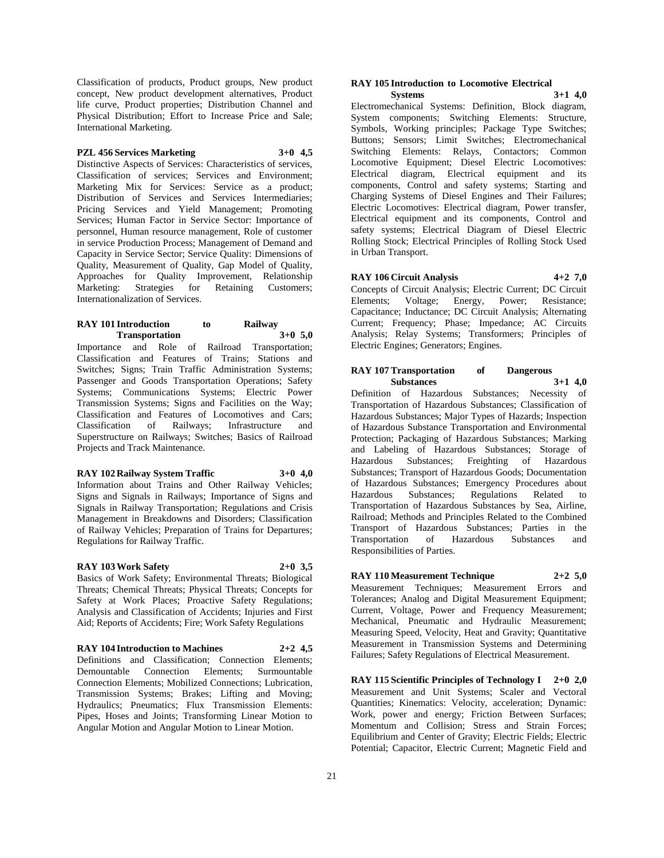Classification of products, Product groups, New product concept, New product development alternatives, Product life curve, Product properties; Distribution Channel and Physical Distribution; Effort to Increase Price and Sale; International Marketing.

#### **PZL 456 Services Marketing 3+0 4,5**

Distinctive Aspects of Services: Characteristics of services, Classification of services; Services and Environment; Marketing Mix for Services: Service as a product; Distribution of Services and Services Intermediaries; Pricing Services and Yield Management; Promoting Services; Human Factor in Service Sector: Importance of personnel, Human resource management, Role of customer in service Production Process; Management of Demand and Capacity in Service Sector; Service Quality: Dimensions of Quality, Measurement of Quality, Gap Model of Quality, Approaches for Quality Improvement, Relationship Marketing: Strategies for Retaining Customers; Internationalization of Services.

# **RAY 101 Introduction to Railway Transportation 3+0 5,0**

Importance and Role of Railroad Transportation; Classification and Features of Trains; Stations and Switches; Signs; Train Traffic Administration Systems; Passenger and Goods Transportation Operations; Safety Systems; Communications Systems; Electric Power Transmission Systems; Signs and Facilities on the Way; Classification and Features of Locomotives and Cars; Classification of Railways; Infrastructure and Superstructure on Railways; Switches; Basics of Railroad Projects and Track Maintenance.

#### **RAY 102 Railway System Traffic 3+0 4,0**

Information about Trains and Other Railway Vehicles; Signs and Signals in Railways; Importance of Signs and Signals in Railway Transportation; Regulations and Crisis Management in Breakdowns and Disorders; Classification of Railway Vehicles; Preparation of Trains for Departures; Regulations for Railway Traffic.

#### **RAY 103 Work Safety 2+0 3,5**

Basics of Work Safety; Environmental Threats; Biological Threats; Chemical Threats; Physical Threats; Concepts for Safety at Work Places; Proactive Safety Regulations; Analysis and Classification of Accidents; Injuries and First Aid; Reports of Accidents; Fire; Work Safety Regulations

**RAY 104 Introduction to Machines 2+2 4,5**

Definitions and Classification; Connection Elements; Demountable Connection Elements; Surmountable Connection Elements; Mobilized Connections; Lubrication, Transmission Systems; Brakes; Lifting and Moving; Hydraulics; Pneumatics; Flux Transmission Elements: Pipes, Hoses and Joints; Transforming Linear Motion to Angular Motion and Angular Motion to Linear Motion.

# **RAY 105 Introduction to Locomotive Electrical**

**Systems 3+1 4,0** Electromechanical Systems: Definition, Block diagram, System components; Switching Elements: Structure, Symbols, Working principles; Package Type Switches; Buttons; Sensors; Limit Switches; Electromechanical Switching Elements: Relays, Contactors; Common Locomotive Equipment; Diesel Electric Locomotives: Electrical diagram, Electrical equipment and its components, Control and safety systems; Starting and Charging Systems of Diesel Engines and Their Failures; Electric Locomotives: Electrical diagram, Power transfer, Electrical equipment and its components, Control and safety systems; Electrical Diagram of Diesel Electric Rolling Stock; Electrical Principles of Rolling Stock Used in Urban Transport.

# **RAY 106 Circuit Analysis 4+2 7,0**

Concepts of Circuit Analysis; Electric Current; DC Circuit Elements; Voltage; Energy, Power; Resistance; Capacitance; Inductance; DC Circuit Analysis; Alternating Current; Frequency; Phase; Impedance; AC Circuits Analysis; Relay Systems; Transformers; Principles of Electric Engines; Generators; Engines.

#### **RAY 107 Transportation of Dangerous Substances 3+1 4,0**

Definition of Hazardous Substances; Necessity of Transportation of Hazardous Substances; Classification of Hazardous Substances; Major Types of Hazards; Inspection of Hazardous Substance Transportation and Environmental Protection; Packaging of Hazardous Substances; Marking and Labeling of Hazardous Substances; Storage of Hazardous Substances; Freighting of Hazardous Substances; Transport of Hazardous Goods; Documentation of Hazardous Substances; Emergency Procedures about Hazardous Substances; Regulations Related to Transportation of Hazardous Substances by Sea, Airline, Railroad; Methods and Principles Related to the Combined Transport of Hazardous Substances; Parties in the Transportation of Hazardous Substances and Responsibilities of Parties.

**RAY 110 Measurement Technique 2+2 5,0** Measurement Techniques; Measurement Errors and Tolerances; Analog and Digital Measurement Equipment; Current, Voltage, Power and Frequency Measurement; Mechanical, Pneumatic and Hydraulic Measurement; Measuring Speed, Velocity, Heat and Gravity; Quantitative Measurement in Transmission Systems and Determining Failures; Safety Regulations of Electrical Measurement.

**RAY 115 Scientific Principles of Technology I 2+0 2,0** Measurement and Unit Systems; Scaler and Vectoral Quantities; Kinematics: Velocity, acceleration; Dynamic: Work, power and energy; Friction Between Surfaces; Momentum and Collision; Stress and Strain Forces; Equilibrium and Center of Gravity; Electric Fields; Electric Potential; Capacitor, Electric Current; Magnetic Field and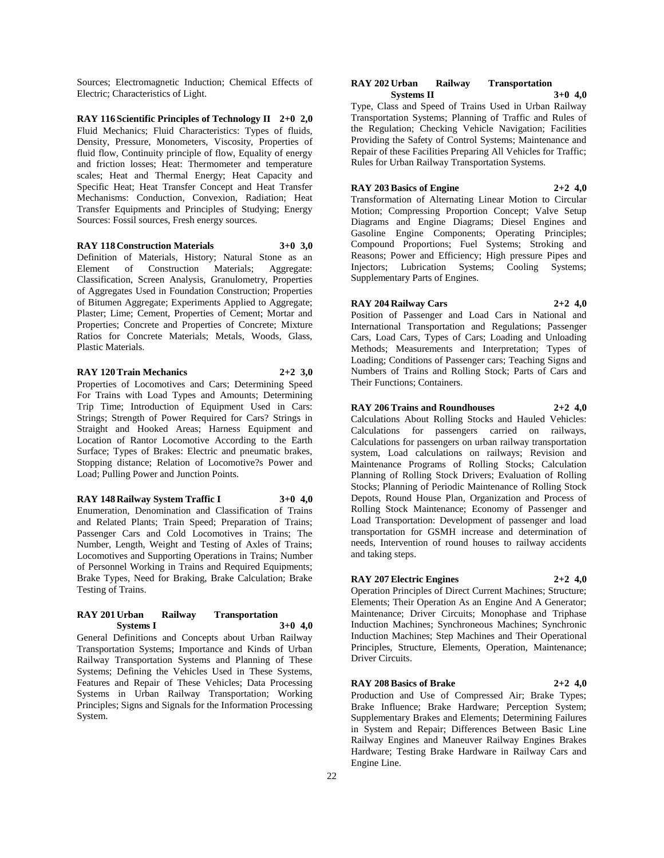Sources; Electromagnetic Induction; Chemical Effects of Electric; Characteristics of Light.

**RAY 116 Scientific Principles of Technology II 2+0 2,0** Fluid Mechanics; Fluid Characteristics: Types of fluids, Density, Pressure, Monometers, Viscosity, Properties of fluid flow, Continuity principle of flow, Equality of energy and friction losses; Heat: Thermometer and temperature scales; Heat and Thermal Energy; Heat Capacity and Specific Heat; Heat Transfer Concept and Heat Transfer Mechanisms: Conduction, Convexion, Radiation; Heat Transfer Equipments and Principles of Studying; Energy Sources: Fossil sources, Fresh energy sources.

#### **RAY 118 Construction Materials 3+0 3,0**

Definition of Materials, History; Natural Stone as an Element of Construction Materials; Aggregate: Classification, Screen Analysis, Granulometry, Properties of Aggregates Used in Foundation Construction; Properties of Bitumen Aggregate; Experiments Applied to Aggregate; Plaster; Lime; Cement, Properties of Cement; Mortar and Properties; Concrete and Properties of Concrete; Mixture Ratios for Concrete Materials; Metals, Woods, Glass, Plastic Materials.

#### **RAY 120 Train Mechanics 2+2 3,0**

Properties of Locomotives and Cars; Determining Speed For Trains with Load Types and Amounts; Determining Trip Time; Introduction of Equipment Used in Cars: Strings; Strength of Power Required for Cars? Strings in Straight and Hooked Areas; Harness Equipment and Location of Rantor Locomotive According to the Earth Surface; Types of Brakes: Electric and pneumatic brakes, Stopping distance; Relation of Locomotive?s Power and Load; Pulling Power and Junction Points.

#### **RAY 148 Railway System Traffic I 3+0 4,0**

Enumeration, Denomination and Classification of Trains and Related Plants; Train Speed; Preparation of Trains; Passenger Cars and Cold Locomotives in Trains; The Number, Length, Weight and Testing of Axles of Trains; Locomotives and Supporting Operations in Trains; Number of Personnel Working in Trains and Required Equipments; Brake Types, Need for Braking, Brake Calculation; Brake Testing of Trains.

#### **RAY 201 Urban Railway Transportation Systems I 3+0 4,0**

General Definitions and Concepts about Urban Railway Transportation Systems; Importance and Kinds of Urban Railway Transportation Systems and Planning of These Systems; Defining the Vehicles Used in These Systems, Features and Repair of These Vehicles; Data Processing Systems in Urban Railway Transportation; Working Principles; Signs and Signals for the Information Processing System.

#### **RAY 202 Urban Railway Transportation Systems II 3+0 4,0**

Type, Class and Speed of Trains Used in Urban Railway Transportation Systems; Planning of Traffic and Rules of the Regulation; Checking Vehicle Navigation; Facilities Providing the Safety of Control Systems; Maintenance and Repair of these Facilities Preparing All Vehicles for Traffic; Rules for Urban Railway Transportation Systems.

#### **RAY 203 Basics of Engine 2+2 4,0**

Transformation of Alternating Linear Motion to Circular Motion; Compressing Proportion Concept; Valve Setup Diagrams and Engine Diagrams; Diesel Engines and Gasoline Engine Components; Operating Principles; Compound Proportions; Fuel Systems; Stroking and Reasons; Power and Efficiency; High pressure Pipes and Injectors; Lubrication Systems; Cooling Systems; Supplementary Parts of Engines.

# **RAY 204 Railway Cars 2+2 4,0**

Position of Passenger and Load Cars in National and International Transportation and Regulations; Passenger Cars, Load Cars, Types of Cars; Loading and Unloading Methods; Measurements and Interpretation; Types of Loading; Conditions of Passenger cars; Teaching Signs and Numbers of Trains and Rolling Stock; Parts of Cars and Their Functions; Containers.

#### **RAY 206 Trains and Roundhouses 2+2 4,0**

Calculations About Rolling Stocks and Hauled Vehicles: Calculations for passengers carried on railways, Calculations for passengers on urban railway transportation system, Load calculations on railways; Revision and Maintenance Programs of Rolling Stocks; Calculation Planning of Rolling Stock Drivers; Evaluation of Rolling Stocks; Planning of Periodic Maintenance of Rolling Stock Depots, Round House Plan, Organization and Process of Rolling Stock Maintenance; Economy of Passenger and Load Transportation: Development of passenger and load transportation for GSMH increase and determination of needs, Intervention of round houses to railway accidents and taking steps.

# **RAY 207 Electric Engines 2+2 4,0**

Operation Principles of Direct Current Machines; Structure; Elements; Their Operation As an Engine And A Generator; Maintenance; Driver Circuits; Monophase and Triphase Induction Machines; Synchroneous Machines; Synchronic Induction Machines; Step Machines and Their Operational Principles, Structure, Elements, Operation, Maintenance; Driver Circuits.

#### **RAY 208 Basics of Brake 2+2 4,0**

Production and Use of Compressed Air; Brake Types; Brake Influence; Brake Hardware; Perception System; Supplementary Brakes and Elements; Determining Failures in System and Repair; Differences Between Basic Line Railway Engines and Maneuver Railway Engines Brakes Hardware; Testing Brake Hardware in Railway Cars and Engine Line.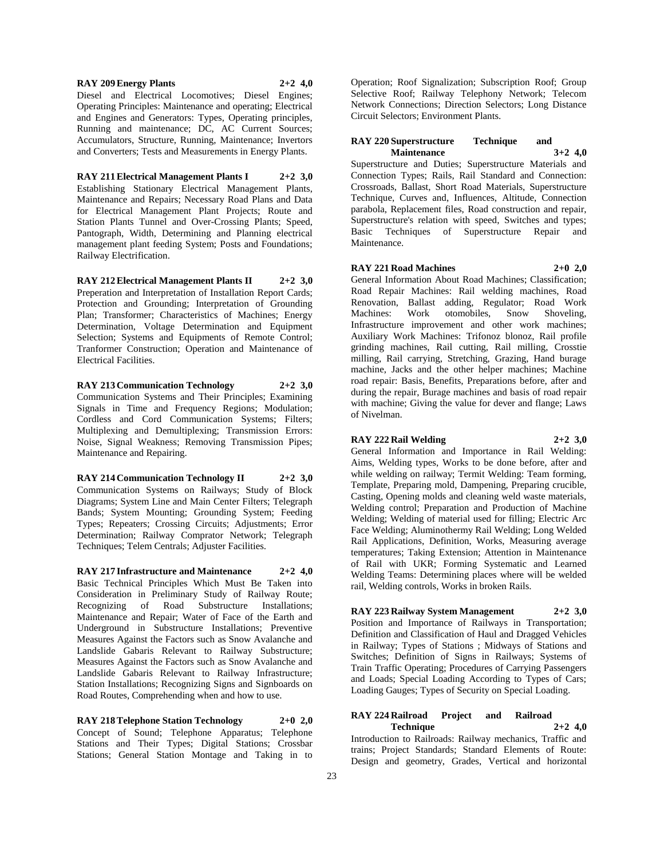**RAY 209 Energy Plants 2+2 4,0** Diesel and Electrical Locomotives; Diesel Engines; Operating Principles: Maintenance and operating; Electrical and Engines and Generators: Types, Operating principles, Running and maintenance; DC, AC Current Sources; Accumulators, Structure, Running, Maintenance; Invertors

and Converters; Tests and Measurements in Energy Plants.

**RAY 211 Electrical Management Plants I 2+2 3,0** Establishing Stationary Electrical Management Plants, Maintenance and Repairs; Necessary Road Plans and Data for Electrical Management Plant Projects; Route and Station Plants Tunnel and Over-Crossing Plants; Speed, Pantograph, Width, Determining and Planning electrical management plant feeding System; Posts and Foundations; Railway Electrification.

**RAY 212 Electrical Management Plants II 2+2 3,0** Preperation and Interpretation of Installation Report Cards; Protection and Grounding; Interpretation of Grounding Plan; Transformer; Characteristics of Machines; Energy Determination, Voltage Determination and Equipment Selection; Systems and Equipments of Remote Control; Tranformer Construction; Operation and Maintenance of Electrical Facilities.

**RAY 213 Communication Technology 2+2 3,0** Communication Systems and Their Principles; Examining Signals in Time and Frequency Regions; Modulation; Cordless and Cord Communication Systems; Filters; Multiplexing and Demultiplexing; Transmission Errors: Noise, Signal Weakness; Removing Transmission Pipes; Maintenance and Repairing.

**RAY 214 Communication Technology II 2+2 3,0** Communication Systems on Railways; Study of Block Diagrams; System Line and Main Center Filters; Telegraph Bands; System Mounting; Grounding System; Feeding Types; Repeaters; Crossing Circuits; Adjustments; Error Determination; Railway Comprator Network; Telegraph Techniques; Telem Centrals; Adjuster Facilities.

**RAY 217 Infrastructure and Maintenance 2+2 4,0** Basic Technical Principles Which Must Be Taken into Consideration in Preliminary Study of Railway Route; Recognizing of Road Substructure Installations; Maintenance and Repair; Water of Face of the Earth and Underground in Substructure Installations; Preventive Measures Against the Factors such as Snow Avalanche and Landslide Gabaris Relevant to Railway Substructure; Measures Against the Factors such as Snow Avalanche and Landslide Gabaris Relevant to Railway Infrastructure; Station Installations; Recognizing Signs and Signboards on Road Routes, Comprehending when and how to use.

**RAY 218 Telephone Station Technology 2+0 2,0** Concept of Sound; Telephone Apparatus; Telephone Stations and Their Types; Digital Stations; Crossbar Stations; General Station Montage and Taking in to

Operation; Roof Signalization; Subscription Roof; Group Selective Roof; Railway Telephony Network; Telecom Network Connections; Direction Selectors; Long Distance Circuit Selectors; Environment Plants.

#### **RAY 220 Superstructure Technique and Maintenance 3+2 4,0**

Superstructure and Duties; Superstructure Materials and Connection Types; Rails, Rail Standard and Connection: Crossroads, Ballast, Short Road Materials, Superstructure Technique, Curves and, Influences, Altitude, Connection parabola, Replacement files, Road construction and repair, Superstructure's relation with speed, Switches and types; Basic Techniques of Superstructure Repair and Maintenance.

**RAY 221 Road Machines 2+0 2,0** General Information About Road Machines; Classification; Road Repair Machines: Rail welding machines, Road Renovation, Ballast adding, Regulator; Road Work Machines: Work otomobiles, Snow Shoveling, Infrastructure improvement and other work machines; Auxiliary Work Machines: Trifonoz blonoz, Rail profile grinding machines, Rail cutting, Rail milling, Crosstie milling, Rail carrying, Stretching, Grazing, Hand burage machine, Jacks and the other helper machines; Machine road repair: Basis, Benefits, Preparations before, after and during the repair, Burage machines and basis of road repair with machine; Giving the value for dever and flange; Laws of Nivelman.

**RAY 222 Rail Welding 2+2 3,0** General Information and Importance in Rail Welding: Aims, Welding types, Works to be done before, after and while welding on railway; Termit Welding: Team forming, Template, Preparing mold, Dampening, Preparing crucible, Casting, Opening molds and cleaning weld waste materials, Welding control; Preparation and Production of Machine Welding; Welding of material used for filling; Electric Arc Face Welding; Aluminothermy Rail Welding; Long Welded Rail Applications, Definition, Works, Measuring average temperatures; Taking Extension; Attention in Maintenance of Rail with UKR; Forming Systematic and Learned Welding Teams: Determining places where will be welded rail, Welding controls, Works in broken Rails.

**RAY 223 Railway System Management 2+2 3,0** Position and Importance of Railways in Transportation; Definition and Classification of Haul and Dragged Vehicles in Railway; Types of Stations ; Midways of Stations and Switches; Definition of Signs in Railways; Systems of Train Traffic Operating; Procedures of Carrying Passengers and Loads; Special Loading According to Types of Cars; Loading Gauges; Types of Security on Special Loading.

# **RAY 224 Railroad Project and Railroad**   $Technique$

Introduction to Railroads: Railway mechanics, Traffic and trains; Project Standards; Standard Elements of Route: Design and geometry, Grades, Vertical and horizontal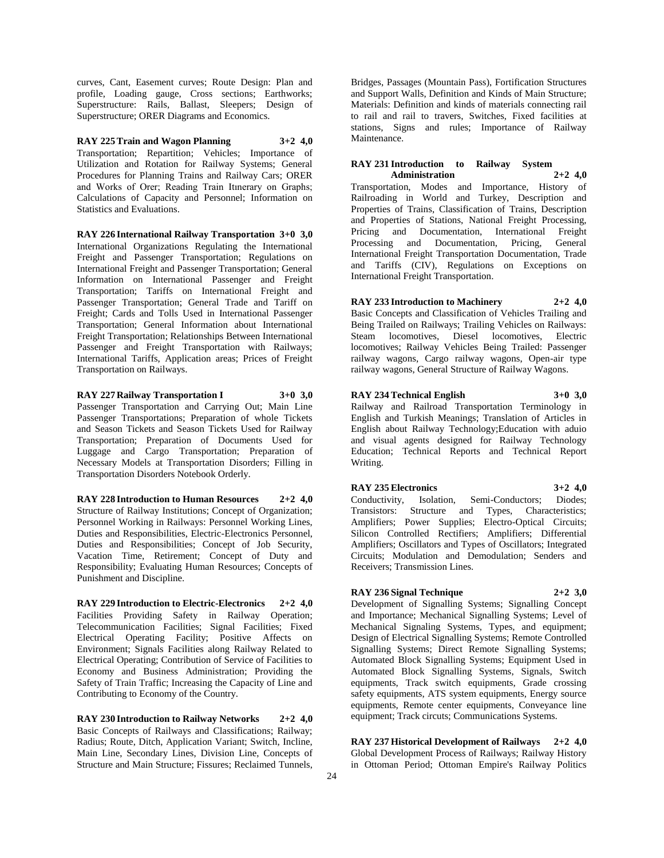curves, Cant, Easement curves; Route Design: Plan and profile, Loading gauge, Cross sections; Earthworks; Superstructure: Rails, Ballast, Sleepers; Design of Superstructure; ORER Diagrams and Economics.

**RAY 225 Train and Wagon Planning 3+2 4,0** Transportation; Repartition; Vehicles; Importance of Utilization and Rotation for Railway Systems; General Procedures for Planning Trains and Railway Cars; ORER and Works of Orer; Reading Train Itınerary on Graphs; Calculations of Capacity and Personnel; Information on Statistics and Evaluations.

**RAY 226 International Railway Transportation 3+0 3,0** International Organizations Regulating the International Freight and Passenger Transportation; Regulations on International Freight and Passenger Transportation; General Information on International Passenger and Freight Transportation; Tariffs on International Freight and Passenger Transportation; General Trade and Tariff on Freight; Cards and Tolls Used in International Passenger Transportation; General Information about International Freight Transportation; Relationships Between International Passenger and Freight Transportation with Railways; International Tariffs, Application areas; Prices of Freight Transportation on Railways.

**RAY 227 Railway Transportation I 3+0 3,0** Passenger Transportation and Carrying Out; Main Line Passenger Transportations; Preparation of whole Tickets and Season Tickets and Season Tickets Used for Railway Transportation; Preparation of Documents Used for Luggage and Cargo Transportation; Preparation of Necessary Models at Transportation Disorders; Filling in Transportation Disorders Notebook Orderly.

**RAY 228 Introduction to Human Resources 2+2 4,0** Structure of Railway Institutions; Concept of Organization; Personnel Working in Railways: Personnel Working Lines, Duties and Responsibilities, Electric-Electronics Personnel, Duties and Responsibilities; Concept of Job Security, Vacation Time, Retirement; Concept of Duty and Responsibility; Evaluating Human Resources; Concepts of Punishment and Discipline.

**RAY 229 Introduction to Electric-Electronics 2+2 4,0** Facilities Providing Safety in Railway Operation; Telecommunication Facilities; Signal Facilities; Fixed Electrical Operating Facility; Positive Affects on Environment; Signals Facilities along Railway Related to Electrical Operating; Contribution of Service of Facilities to Economy and Business Administration; Providing the Safety of Train Traffic; Increasing the Capacity of Line and Contributing to Economy of the Country.

**RAY 230 Introduction to Railway Networks 2+2 4,0** Basic Concepts of Railways and Classifications; Railway; Radius; Route, Ditch, Application Variant; Switch, Incline, Main Line, Secondary Lines, Division Line, Concepts of Structure and Main Structure; Fissures; Reclaimed Tunnels,

Bridges, Passages (Mountain Pass), Fortification Structures and Support Walls, Definition and Kinds of Main Structure; Materials: Definition and kinds of materials connecting rail to rail and rail to travers, Switches, Fixed facilities at stations, Signs and rules; Importance of Railway Maintenance.

#### **RAY 231 Introduction to Railway System Administration 2+2 4,0**

Transportation, Modes and Importance, History of Railroading in World and Turkey, Description and Properties of Trains, Classification of Trains, Description and Properties of Stations, National Freight Processing, Pricing and Documentation, International Freight Processing and Documentation, Pricing, General International Freight Transportation Documentation, Trade and Tariffs (CIV), Regulations on Exceptions on International Freight Transportation.

# **RAY 233 Introduction to Machinery 2+2 4,0**

Basic Concepts and Classification of Vehicles Trailing and Being Trailed on Railways; Trailing Vehicles on Railways: Steam locomotives, Diesel locomotives, Electric locomotives; Railway Vehicles Being Trailed: Passenger railway wagons, Cargo railway wagons, Open-air type railway wagons, General Structure of Railway Wagons.

#### **RAY 234 Technical English 3+0 3,0**

Railway and Railroad Transportation Terminology in English and Turkish Meanings; Translation of Articles in English about Railway Technology;Education with aduio and visual agents designed for Railway Technology Education; Technical Reports and Technical Report Writing.

#### **RAY 235 Electronics 3+2 4,0**

Conductivity, Isolation, Semi-Conductors; Diodes; Transistors: Structure and Types, Characteristics; Amplifiers; Power Supplies; Electro-Optical Circuits; Silicon Controlled Rectifiers; Amplifiers; Differential Amplifiers; Oscillators and Types of Oscillators; Integrated Circuits; Modulation and Demodulation; Senders and Receivers; Transmission Lines.

# **RAY 236 Signal Technique 2+2 3,0**

Development of Signalling Systems; Signalling Concept and Importance; Mechanical Signalling Systems; Level of Mechanical Signaling Systems, Types, and equipment; Design of Electrical Signalling Systems; Remote Controlled Signalling Systems; Direct Remote Signalling Systems; Automated Block Signalling Systems; Equipment Used in Automated Block Signalling Systems, Signals, Switch equipments, Track switch equipments, Grade crossing safety equipments, ATS system equipments, Energy source equipments, Remote center equipments, Conveyance line equipment; Track circuts; Communications Systems.

**RAY 237 Historical Development of Railways 2+2 4,0** Global Development Process of Railways; Railway History in Ottoman Period; Ottoman Empire's Railway Politics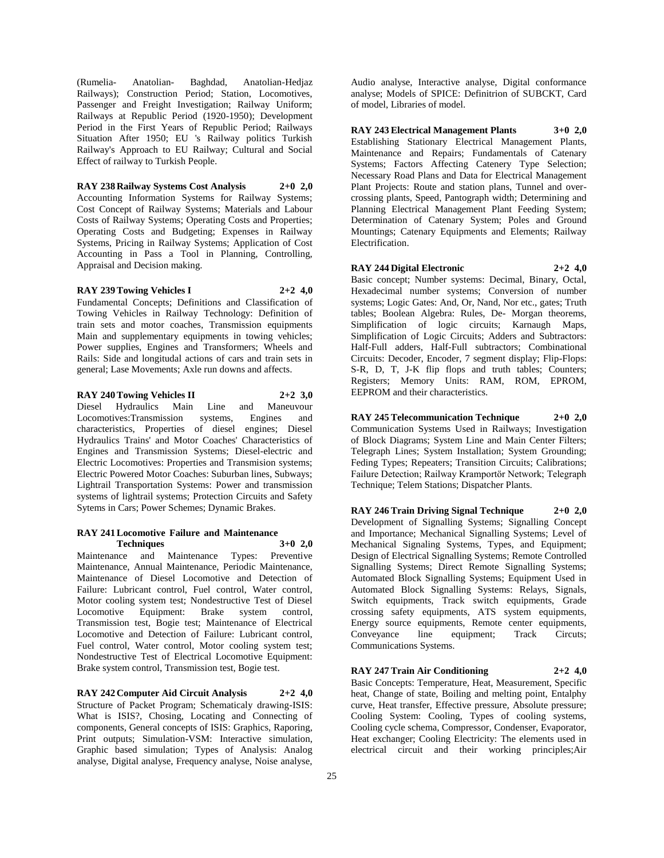(Rumelia- Anatolian- Baghdad, Anatolian-Hedjaz Railways); Construction Period; Station, Locomotives, Passenger and Freight Investigation; Railway Uniform; Railways at Republic Period (1920-1950); Development Period in the First Years of Republic Period; Railways Situation After 1950; EU 's Railway politics Turkish Railway's Approach to EU Railway; Cultural and Social Effect of railway to Turkish People.

#### **RAY 238 Railway Systems Cost Analysis 2+0 2,0**

Accounting Information Systems for Railway Systems; Cost Concept of Railway Systems; Materials and Labour Costs of Railway Systems; Operating Costs and Properties; Operating Costs and Budgeting; Expenses in Railway Systems, Pricing in Railway Systems; Application of Cost Accounting in Pass a Tool in Planning, Controlling, Appraisal and Decision making.

#### **RAY 239 Towing Vehicles I 2+2 4,0**

Fundamental Concepts; Definitions and Classification of Towing Vehicles in Railway Technology: Definition of train sets and motor coaches, Transmission equipments Main and supplementary equipments in towing vehicles; Power supplies, Engines and Transformers; Wheels and Rails: Side and longitudal actions of cars and train sets in general; Lase Movements; Axle run downs and affects.

**RAY 240 Towing Vehicles II 2+2 3,0**

Diesel Hydraulics Main Line and Maneuvour Locomotives:Transmission systems, Engines and characteristics, Properties of diesel engines; Diesel Hydraulics Trains' and Motor Coaches' Characteristics of Engines and Transmission Systems; Diesel-electric and Electric Locomotives: Properties and Transmision systems; Electric Powered Motor Coaches: Suburban lines, Subways; Lightrail Transportation Systems: Power and transmission systems of lightrail systems; Protection Circuits and Safety Sytems in Cars; Power Schemes; Dynamic Brakes.

#### **RAY 241 Locomotive Failure and Maintenance Techniques 3+0 2,0**

Maintenance and Maintenance Types: Preventive Maintenance, Annual Maintenance, Periodic Maintenance, Maintenance of Diesel Locomotive and Detection of Failure: Lubricant control, Fuel control, Water control, Motor cooling system test; Nondestructive Test of Diesel Locomotive Equipment: Brake system control, Transmission test, Bogie test; Maintenance of Electrical Locomotive and Detection of Failure: Lubricant control, Fuel control, Water control, Motor cooling system test; Nondestructive Test of Electrical Locomotive Equipment: Brake system control, Transmission test, Bogie test.

**RAY 242 Computer Aid Circuit Analysis 2+2 4,0** Structure of Packet Program; Schematicaly drawing-ISIS: What is ISIS?, Chosing, Locating and Connecting of components, General concepts of ISIS: Graphics, Raporing, Print outputs; Simulation-VSM: Interactive simulation, Graphic based simulation; Types of Analysis: Analog analyse, Digital analyse, Frequency analyse, Noise analyse,

Audio analyse, Interactive analyse, Digital conformance analyse; Models of SPICE: Definitrion of SUBCKT, Card of model, Libraries of model.

**RAY 243 Electrical Management Plants 3+0 2,0** Establishing Stationary Electrical Management Plants, Maintenance and Repairs; Fundamentals of Catenary Systems; Factors Affecting Catenery Type Selection; Necessary Road Plans and Data for Electrical Management Plant Projects: Route and station plans, Tunnel and overcrossing plants, Speed, Pantograph width; Determining and Planning Electrical Management Plant Feeding System; Determination of Catenary System; Poles and Ground Mountings; Catenary Equipments and Elements; Railway Electrification.

**RAY 244 Digital Electronic 2+2 4,0**

Basic concept; Number systems: Decimal, Binary, Octal, Hexadecimal number systems; Conversion of number systems; Logic Gates: And, Or, Nand, Nor etc., gates; Truth tables; Boolean Algebra: Rules, De- Morgan theorems, Simplification of logic circuits; Karnaugh Maps, Simplification of Logic Circuits; Adders and Subtractors: Half-Full adders, Half-Full subtractors; Combinational Circuits: Decoder, Encoder, 7 segment display; Flip-Flops: S-R, D, T, J-K flip flops and truth tables; Counters; Registers; Memory Units: RAM, ROM, EPROM, EEPROM and their characteristics.

**RAY 245 Telecommunication Technique 2+0 2,0** Communication Systems Used in Railways; Investigation of Block Diagrams; System Line and Main Center Filters; Telegraph Lines; System Installation; System Grounding; Feding Types; Repeaters; Transition Circuits; Calibrations; Failure Detection; Railway Kramportör Network; Telegraph Technique; Telem Stations; Dispatcher Plants.

**RAY 246 Train Driving Signal Technique 2+0 2,0** Development of Signalling Systems; Signalling Concept and Importance; Mechanical Signalling Systems; Level of Mechanical Signaling Systems, Types, and Equipment; Design of Electrical Signalling Systems; Remote Controlled Signalling Systems; Direct Remote Signalling Systems; Automated Block Signalling Systems; Equipment Used in Automated Block Signalling Systems: Relays, Signals, Switch equipments, Track switch equipments, Grade crossing safety equipments, ATS system equipments, Energy source equipments, Remote center equipments, Conveyance line equipment; Track Circuts; Communications Systems.

**RAY 247 Train Air Conditioning 2+2 4,0** Basic Concepts: Temperature, Heat, Measurement, Specific heat, Change of state, Boiling and melting point, Entalphy curve, Heat transfer, Effective pressure, Absolute pressure; Cooling System: Cooling, Types of cooling systems, Cooling cycle schema, Compressor, Condenser, Evaporator, Heat exchanger; Cooling Electricity: The elements used in electrical circuit and their working principles;Air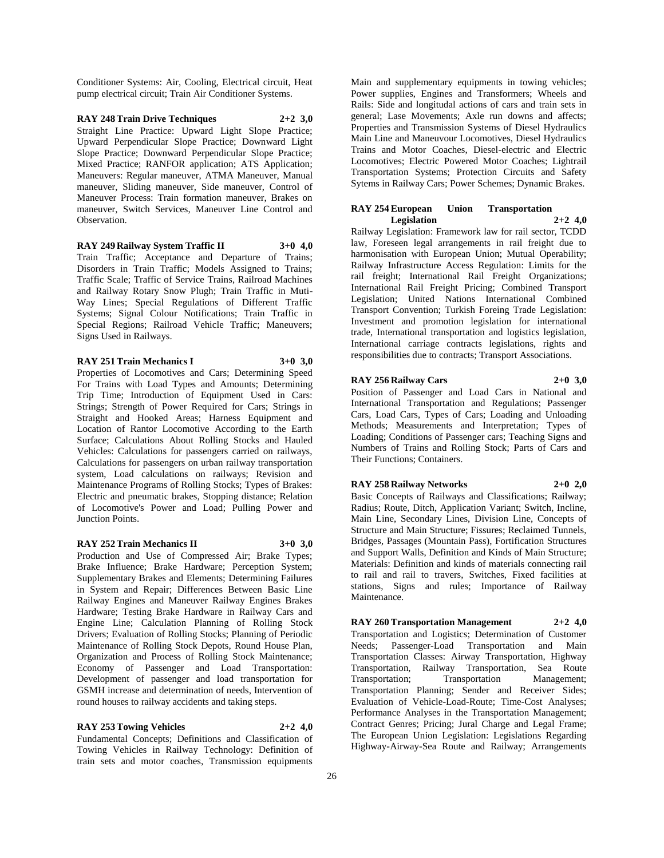Conditioner Systems: Air, Cooling, Electrical circuit, Heat pump electrical circuit; Train Air Conditioner Systems.

#### **RAY 248 Train Drive Techniques 2+2 3,0** Straight Line Practice: Upward Light Slope Practice; Upward Perpendicular Slope Practice; Downward Light Slope Practice; Downward Perpendicular Slope Practice; Mixed Practice; RANFOR application; ATS Application; Maneuvers: Regular maneuver, ATMA Maneuver, Manual maneuver, Sliding maneuver, Side maneuver, Control of Maneuver Process: Train formation maneuver, Brakes on maneuver, Switch Services, Maneuver Line Control and Observation.

#### **RAY 249 Railway System Traffic II 3+0 4,0**

Train Traffic; Acceptance and Departure of Trains; Disorders in Train Traffic; Models Assigned to Trains; Traffic Scale; Traffic of Service Trains, Railroad Machines and Railway Rotary Snow Plugh; Train Traffic in Muti-Way Lines; Special Regulations of Different Traffic Systems; Signal Colour Notifications; Train Traffic in Special Regions; Railroad Vehicle Traffic; Maneuvers; Signs Used in Railways.

#### **RAY 251 Train Mechanics I 3+0 3,0**

Properties of Locomotives and Cars; Determining Speed For Trains with Load Types and Amounts; Determining Trip Time; Introduction of Equipment Used in Cars: Strings; Strength of Power Required for Cars; Strings in Straight and Hooked Areas; Harness Equipment and Location of Rantor Locomotive According to the Earth Surface; Calculations About Rolling Stocks and Hauled Vehicles: Calculations for passengers carried on railways, Calculations for passengers on urban railway transportation system, Load calculations on railways; Revision and Maintenance Programs of Rolling Stocks; Types of Brakes: Electric and pneumatic brakes, Stopping distance; Relation of Locomotive's Power and Load; Pulling Power and Junction Points.

#### **RAY 252 Train Mechanics II 3+0 3,0**

Production and Use of Compressed Air; Brake Types; Brake Influence; Brake Hardware; Perception System; Supplementary Brakes and Elements; Determining Failures in System and Repair; Differences Between Basic Line Railway Engines and Maneuver Railway Engines Brakes Hardware; Testing Brake Hardware in Railway Cars and Engine Line; Calculation Planning of Rolling Stock Drivers; Evaluation of Rolling Stocks; Planning of Periodic Maintenance of Rolling Stock Depots, Round House Plan, Organization and Process of Rolling Stock Maintenance; Economy of Passenger and Load Transportation: Development of passenger and load transportation for GSMH increase and determination of needs, Intervention of round houses to railway accidents and taking steps.

#### **RAY 253 Towing Vehicles 2+2 4,0**

Fundamental Concepts; Definitions and Classification of Towing Vehicles in Railway Technology: Definition of train sets and motor coaches, Transmission equipments

Main and supplementary equipments in towing vehicles; Power supplies, Engines and Transformers; Wheels and Rails: Side and longitudal actions of cars and train sets in general; Lase Movements; Axle run downs and affects; Properties and Transmission Systems of Diesel Hydraulics Main Line and Maneuvour Locomotives, Diesel Hydraulics Trains and Motor Coaches, Diesel-electric and Electric Locomotives; Electric Powered Motor Coaches; Lightrail Transportation Systems; Protection Circuits and Safety Sytems in Railway Cars; Power Schemes; Dynamic Brakes.

#### **RAY 254 European Union Transportation Legislation 2+2 4,0**

Railway Legislation: Framework law for rail sector, TCDD law, Foreseen legal arrangements in rail freight due to harmonisation with European Union; Mutual Operability; Railway Infrastructure Access Regulation: Limits for the rail freight; International Rail Freight Organizations; International Rail Freight Pricing; Combined Transport Legislation; United Nations International Combined Transport Convention; Turkish Foreing Trade Legislation: Investment and promotion legislation for international trade, International transportation and logistics legislation, International carriage contracts legislations, rights and responsibilities due to contracts; Transport Associations.

#### **RAY 256 Railway Cars 2+0 3,0**

Position of Passenger and Load Cars in National and International Transportation and Regulations; Passenger Cars, Load Cars, Types of Cars; Loading and Unloading Methods; Measurements and Interpretation; Types of Loading; Conditions of Passenger cars; Teaching Signs and Numbers of Trains and Rolling Stock; Parts of Cars and Their Functions; Containers.

#### **RAY 258 Railway Networks 2+0 2,0**

Basic Concepts of Railways and Classifications; Railway; Radius; Route, Ditch, Application Variant; Switch, Incline, Main Line, Secondary Lines, Division Line, Concepts of Structure and Main Structure; Fissures; Reclaimed Tunnels, Bridges, Passages (Mountain Pass), Fortification Structures and Support Walls, Definition and Kinds of Main Structure; Materials: Definition and kinds of materials connecting rail to rail and rail to travers, Switches, Fixed facilities at stations, Signs and rules; Importance of Railway Maintenance.

#### **RAY 260 Transportation Management 2+2 4,0**

Transportation and Logistics; Determination of Customer Needs; Passenger-Load Transportation and Main Transportation Classes: Airway Transportation, Highway Transportation, Railway Transportation, Sea Route Transportation; Transportation Management; Transportation Planning; Sender and Receiver Sides; Evaluation of Vehicle-Load-Route; Time-Cost Analyses; Performance Analyses in the Transportation Management; Contract Genres; Pricing; Jural Charge and Legal Frame; The European Union Legislation: Legislations Regarding Highway-Airway-Sea Route and Railway; Arrangements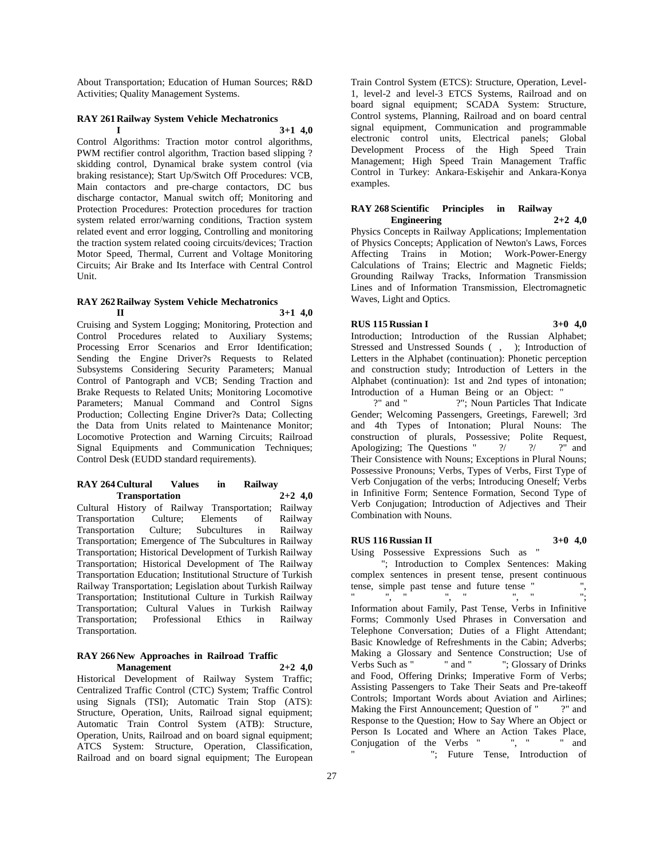About Transportation; Education of Human Sources; R&D Activities; Quality Management Systems.

#### **RAY 261 Railway System Vehicle Mechatronics I 3+1 4,0**

Control Algorithms: Traction motor control algorithms, PWM rectifier control algorithm, Traction based slipping ? skidding control, Dynamical brake system control (via braking resistance); Start Up/Switch Off Procedures: VCB, Main contactors and pre-charge contactors, DC bus discharge contactor, Manual switch off; Monitoring and Protection Procedures: Protection procedures for traction system related error/warning conditions, Traction system related event and error logging, Controlling and monitoring the traction system related cooing circuits/devices; Traction Motor Speed, Thermal, Current and Voltage Monitoring Circuits; Air Brake and Its Interface with Central Control Unit.

#### **RAY 262 Railway System Vehicle Mechatronics II 3+1 4,0**

Cruising and System Logging; Monitoring, Protection and Control Procedures related to Auxiliary Systems; Processing Error Scenarios and Error Identification; Sending the Engine Driver?s Requests to Related Subsystems Considering Security Parameters; Manual Control of Pantograph and VCB; Sending Traction and Brake Requests to Related Units; Monitoring Locomotive Parameters; Manual Command and Control Signs Production; Collecting Engine Driver?s Data; Collecting the Data from Units related to Maintenance Monitor; Locomotive Protection and Warning Circuits; Railroad Signal Equipments and Communication Techniques; Control Desk (EUDD standard requirements).

#### **RAY 264 Cultural Values in Railway Transportation 2+2 4,0**

Cultural History of Railway Transportation; Railway Transportation Culture; Elements of Railway Transportation Culture; Subcultures in Railway Transportation; Emergence of The Subcultures in Railway Transportation; Historical Development of Turkish Railway Transportation; Historical Development of The Railway Transportation Education; Institutional Structure of Turkish Railway Transportation; Legislation about Turkish Railway Transportation; Institutional Culture in Turkish Railway Transportation; Cultural Values in Turkish Railway Transportation; Professional Ethics in Railway Transportation.

#### **RAY 266 New Approaches in Railroad Traffic Management 2+2 4,0**

Historical Development of Railway System Traffic; Centralized Traffic Control (CTC) System; Traffic Control using Signals (TSI); Automatic Train Stop (ATS): Structure, Operation, Units, Railroad signal equipment; Automatic Train Control System (ATB): Structure, Operation, Units, Railroad and on board signal equipment; ATCS System: Structure, Operation, Classification, Railroad and on board signal equipment; The European Train Control System (ETCS): Structure, Operation, Level-1, level-2 and level-3 ETCS Systems, Railroad and on board signal equipment; SCADA System: Structure, Control systems, Planning, Railroad and on board central signal equipment, Communication and programmable electronic control units, Electrical panels; Global Development Process of the High Speed Train Management; High Speed Train Management Traffic Control in Turkey: Ankara-Eskişehir and Ankara-Konya examples.

#### **RAY 268 Scientific Principles in Railway Engineering 2+2 4,0**

Physics Concepts in Railway Applications; Implementation of Physics Concepts; Application of Newton's Laws, Forces Affecting Trains in Motion; Work-Power-Energy Calculations of Trains; Electric and Magnetic Fields; Grounding Railway Tracks, Information Transmission Lines and of Information Transmission, Electromagnetic Waves, Light and Optics.

### **RUS 115 Russian I 3+0 4,0**

Introduction; Introduction of the Russian Alphabet; Stressed and Unstressed Sounds ( , ); Introduction of Letters in the Alphabet (continuation): Phonetic perception and construction study; Introduction of Letters in the Alphabet (continuation): 1st and 2nd types of intonation; Introduction of a Human Being or an Object: "

?" and " ?"; Noun Particles That Indicate Gender; Welcoming Passengers, Greetings, Farewell; 3rd and 4th Types of Intonation; Plural Nouns: The construction of plurals, Possessive; Polite Request, Apologizing; The Questions " $\frac{2}{1}$  ?" and Apologizing; The Questions " Their Consistence with Nouns; Exceptions in Plural Nouns; Possessive Pronouns; Verbs, Types of Verbs, First Type of Verb Conjugation of the verbs; Introducing Oneself; Verbs in Infinitive Form; Sentence Formation, Second Type of Verb Conjugation; Introduction of Adjectives and Their Combination with Nouns.

#### **RUS 116 Russian II 3+0 4,0**

Using Possessive Expressions Such as "

"; Introduction to Complex Sentences: Making complex sentences in present tense, present continuous tense, simple past tense and future tense "",  $\mathbb{Z}$ ", "", " Information about Family, Past Tense, Verbs in Infinitive Forms; Commonly Used Phrases in Conversation and Telephone Conversation; Duties of a Flight Attendant; Basic Knowledge of Refreshments in the Cabin; Adverbs; Making a Glossary and Sentence Construction; Use of Verbs Such as " "" and " ": Glossary of Drinks" and Food, Offering Drinks; Imperative Form of Verbs; Assisting Passengers to Take Their Seats and Pre-takeoff Controls; Important Words about Aviation and Airlines; Making the First Announcement; Question of "?" and Response to the Question; How to Say Where an Object or Person Is Located and Where an Action Takes Place, Conjugation of the Verbs " ", " " and "; Future Tense, Introduction of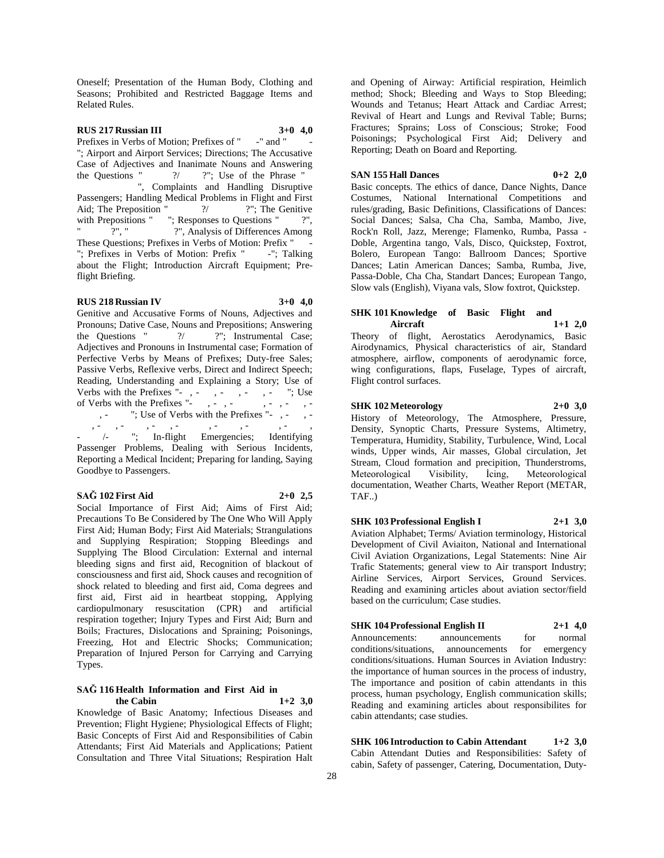Oneself; Presentation of the Human Body, Clothing and Seasons; Prohibited and Restricted Baggage Items and Related Rules.

# **RUS 217 Russian III 3+0 4,0**

Prefixes in Verbs of Motion; Prefixes of "-" and " "; Airport and Airport Services; Directions; The Accusative Case of Adjectives and Inanimate Nouns and Answering the Questions " $?$  ?"; Use of the Phrase " ", Complaints and Handling Disruptive Passengers; Handling Medical Problems in Flight and First Aid; The Preposition "  $\frac{?}{'}$  ?": The Genitive Aid; The Preposition " with Prepositions " $\therefore$  Responses to Questions " $\therefore$ ".<br>" $\therefore$ ". Analysis of Differences Among ?", Analysis of Differences Among These Questions; Prefixes in Verbs of Motion: Prefix " "; Prefixes in Verbs of Motion: Prefix "-"; Talking about the Flight; Introduction Aircraft Equipment; Preflight Briefing.

#### **RUS 218 Russian IV 3+0 4,0**

Genitive and Accusative Forms of Nouns, Adjectives and Pronouns; Dative Case, Nouns and Prepositions; Answering<br>the Questions "<br>  $\frac{?}{'}$  ?"; Instrumental Case; ?/ ?"; Instrumental Case; Adjectives and Pronouns in Instrumental case; Formation of Perfective Verbs by Means of Prefixes; Duty-free Sales; Passive Verbs, Reflexive verbs, Direct and Indirect Speech; Reading, Understanding and Explaining a Story; Use of Verbs with the Prefixes "-, -, -, -, -, -"; Use of Verbs with the Prefixes "-, -, -, -, -, - "; Use of Verbs with the Prefixes "-, -, -, -, -, -, -, -, -, -, -/-"; In-flight Emergencies; Identifying Passenger Problems, Dealing with Serious Incidents, Reporting a Medical Incident; Preparing for landing, Saying Goodbye to Passengers.

#### **SAĞ 102 First Aid 2+0 2,5**

Social Importance of First Aid; Aims of First Aid; Precautions To Be Considered by The One Who Will Apply First Aid; Human Body; First Aid Materials; Strangulations and Supplying Respiration; Stopping Bleedings and Supplying The Blood Circulation: External and internal bleeding signs and first aid, Recognition of blackout of consciousness and first aid, Shock causes and recognition of shock related to bleeding and first aid, Coma degrees and first aid, First aid in heartbeat stopping, Applying cardiopulmonary resuscitation (CPR) and artificial respiration together; Injury Types and First Aid; Burn and Boils; Fractures, Dislocations and Spraining; Poisonings, Freezing, Hot and Electric Shocks; Communication; Preparation of Injured Person for Carrying and Carrying Types.

#### **SAĞ 116 Health Information and First Aid in the Cabin 1+2 3,0**

Knowledge of Basic Anatomy; Infectious Diseases and Prevention; Flight Hygiene; Physiological Effects of Flight; Basic Concepts of First Aid and Responsibilities of Cabin Attendants; First Aid Materials and Applications; Patient Consultation and Three Vital Situations; Respiration Halt

and Opening of Airway: Artificial respiration, Heimlich method; Shock; Bleeding and Ways to Stop Bleeding; Wounds and Tetanus; Heart Attack and Cardiac Arrest; Revival of Heart and Lungs and Revival Table; Burns; Fractures; Sprains; Loss of Conscious; Stroke; Food Poisonings; Psychological First Aid; Delivery and Reporting; Death on Board and Reporting.

#### **SAN 155 Hall Dances 0+2 2,0**

Basic concepts. The ethics of dance, Dance Nights, Dance Costumes, National International Competitions and rules/grading, Basic Definitions, Classifications of Dances: Social Dances; Salsa, Cha Cha, Samba, Mambo, Jive, Rock'n Roll, Jazz, Merenge; Flamenko, Rumba, Passa - Doble, Argentina tango, Vals, Disco, Quickstep, Foxtrot, Bolero, European Tango: Ballroom Dances; Sportive Dances; Latin American Dances; Samba, Rumba, Jive, Passa-Doble, Cha Cha, Standart Dances; European Tango, Slow vals (English), Viyana vals, Slow foxtrot, Quickstep.

## **SHK 101 Knowledge of Basic Flight and Aircraft 1+1 2,0**

Theory of flight, Aerostatics Aerodynamics, Basic Airodynamics, Physical characteristics of air, Standard atmosphere, airflow, components of aerodynamic force, wing configurations, flaps, Fuselage, Types of aircraft, Flight control surfaces.

#### **SHK 102 Meteorology 2+0 3,0**

History of Meteorology, The Atmosphere, Pressure, Density, Synoptic Charts, Pressure Systems, Altimetry, Temperatura, Humidity, Stability, Turbulence, Wind, Local winds, Upper winds, Air masses, Global circulation, Jet Stream, Cloud formation and precipition, Thunderstroms, Meteorological Visibility, İcing, Meteorological documentation, Weather Charts, Weather Report (METAR, TAF..)

**SHK 103 Professional English I 2+1 3,0** Aviation Alphabet; Terms/ Aviation terminology, Historical Development of Civil Aviaiton, National and International Civil Aviation Organizations, Legal Statements: Nine Air Trafic Statements; general view to Air transport Industry; Airline Services, Airport Services, Ground Services. Reading and examining articles about aviation sector/field based on the curriculum; Case studies.

# **SHK 104 Professional English II 2+1 4,0**

Announcements: announcements for normal conditions/situations, announcements for emergency conditions/situations. Human Sources in Aviation Industry: the importance of human sources in the process of industry, The importance and position of cabin attendants in this process, human psychology, English communication skills; Reading and examining articles about responsibilites for cabin attendants; case studies.

**SHK 106 Introduction to Cabin Attendant 1+2 3,0** Cabin Attendant Duties and Responsibilities: Safety of cabin, Safety of passenger, Catering, Documentation, Duty-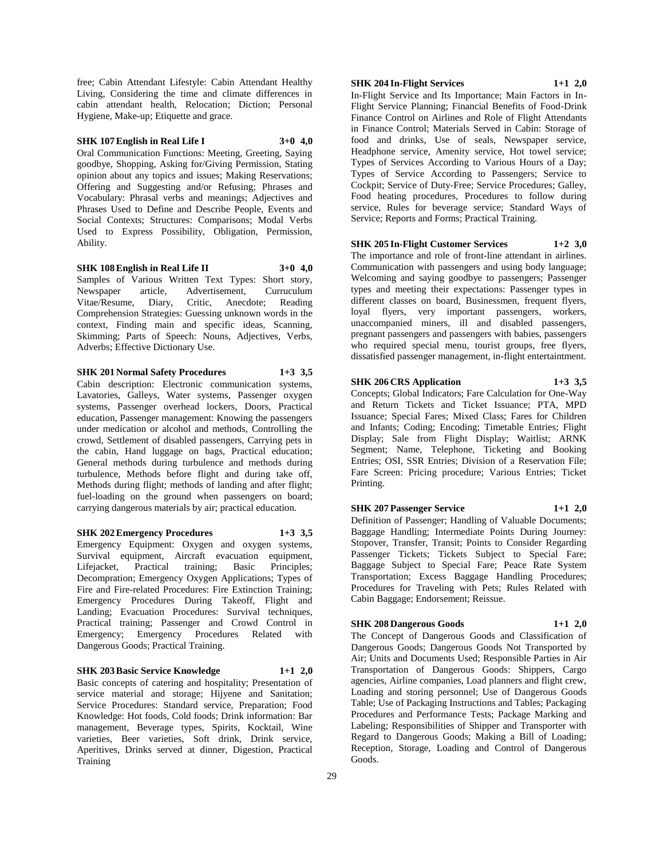free; Cabin Attendant Lifestyle: Cabin Attendant Healthy Living, Considering the time and climate differences in cabin attendant health, Relocation; Diction; Personal Hygiene, Make-up; Etiquette and grace.

# **SHK 107 English in Real Life I 3+0 4,0**

Oral Communication Functions: Meeting, Greeting, Saying goodbye, Shopping, Asking for/Giving Permission, Stating opinion about any topics and issues; Making Reservations; Offering and Suggesting and/or Refusing; Phrases and Vocabulary: Phrasal verbs and meanings; Adjectives and Phrases Used to Define and Describe People, Events and Social Contexts; Structures: Comparisons; Modal Verbs Used to Express Possibility, Obligation, Permission, Ability.

**SHK 108 English in Real Life II 3+0 4,0** Samples of Various Written Text Types: Short story, Newspaper article, Advertisement, Curruculum Vitae/Resume, Diary, Critic, Anecdote; Reading Comprehension Strategies: Guessing unknown words in the context, Finding main and specific ideas, Scanning, Skimming; Parts of Speech: Nouns, Adjectives, Verbs, Adverbs; Effective Dictionary Use.

**SHK 201 Normal Safety Procedures 1+3 3,5**

Cabin description: Electronic communication systems, Lavatories, Galleys, Water systems, Passenger oxygen systems, Passenger overhead lockers, Doors, Practical education, Passenger management: Knowing the passengers under medication or alcohol and methods, Controlling the crowd, Settlement of disabled passengers, Carrying pets in the cabin, Hand luggage on bags, Practical education; General methods during turbulence and methods during turbulence, Methods before flight and during take off, Methods during flight; methods of landing and after flight; fuel-loading on the ground when passengers on board; carrying dangerous materials by air; practical education.

**SHK 202 Emergency Procedures 1+3 3,5** Emergency Equipment: Oxygen and oxygen systems, Survival equipment, Aircraft evacuation equipment, Lifeiacket, Practical training; Basic Principles; Practical training; Basic Principles; Decompration; Emergency Oxygen Applications; Types of Fire and Fire-related Procedures: Fire Extinction Training; Emergency Procedures During Takeoff, Flight and Landing; Evacuation Procedures: Survival techniques, Practical training; Passenger and Crowd Control in Emergency; Emergency Procedures Related with Dangerous Goods; Practical Training.

#### **SHK 203 Basic Service Knowledge 1+1 2,0**

Basic concepts of catering and hospitality; Presentation of service material and storage; Hijyene and Sanitation; Service Procedures: Standard service, Preparation; Food Knowledge: Hot foods, Cold foods; Drink information: Bar management, Beverage types, Spirits, Kocktail, Wine varieties, Beer varieties, Soft drink, Drink service, Aperitives, Drinks served at dinner, Digestion, Practical Training

#### **SHK 204 In-Flight Services 1+1 2,0**

In-Flight Service and Its Importance; Main Factors in In-Flight Service Planning; Financial Benefits of Food-Drink Finance Control on Airlines and Role of Flight Attendants in Finance Control; Materials Served in Cabin: Storage of food and drinks, Use of seals, Newspaper service, Headphone service, Amenity service, Hot towel service; Types of Services According to Various Hours of a Day; Types of Service According to Passengers; Service to Cockpit; Service of Duty-Free; Service Procedures; Galley, Food heating procedures, Procedures to follow during service, Rules for beverage service; Standard Ways of Service; Reports and Forms; Practical Training.

#### **SHK 205 In-Flight Customer Services 1+2 3,0**

The importance and role of front-line attendant in airlines. Communication with passengers and using body language; Welcoming and saying goodbye to passengers; Passenger types and meeting their expectations: Passenger types in different classes on board, Businessmen, frequent flyers, loyal flyers, very important passengers, workers, unaccompanied miners, ill and disabled passengers, pregnant passengers and passengers with babies, passengers who required special menu, tourist groups, free flyers, dissatisfied passenger management, in-flight entertaintment.

# **SHK 206 CRS Application 1+3 3,5**

Concepts; Global Indicators; Fare Calculation for One-Way and Return Tickets and Ticket Issuance; PTA, MPD Issuance; Special Fares; Mixed Class; Fares for Children and Infants; Coding; Encoding; Timetable Entries; Flight Display; Sale from Flight Display; Waitlist; ARNK Segment; Name, Telephone, Ticketing and Booking Entries; OSI, SSR Entries; Division of a Reservation File; Fare Screen: Pricing procedure; Various Entries; Ticket Printing.

**SHK 207 Passenger Service 1+1 2,0**

Definition of Passenger; Handling of Valuable Documents; Baggage Handling; Intermediate Points During Journey: Stopover, Transfer, Transit; Points to Consider Regarding Passenger Tickets; Tickets Subject to Special Fare; Baggage Subject to Special Fare; Peace Rate System Transportation; Excess Baggage Handling Procedures; Procedures for Traveling with Pets; Rules Related with Cabin Baggage; Endorsement; Reissue.

#### **SHK 208 Dangerous Goods 1+1 2,0**

The Concept of Dangerous Goods and Classification of Dangerous Goods; Dangerous Goods Not Transported by Air; Units and Documents Used; Responsible Parties in Air Transportation of Dangerous Goods: Shippers, Cargo agencies, Airline companies, Load planners and flight crew, Loading and storing personnel; Use of Dangerous Goods Table; Use of Packaging Instructions and Tables; Packaging Procedures and Performance Tests; Package Marking and Labeling; Responsibilities of Shipper and Transporter with Regard to Dangerous Goods; Making a Bill of Loading; Reception, Storage, Loading and Control of Dangerous Goods.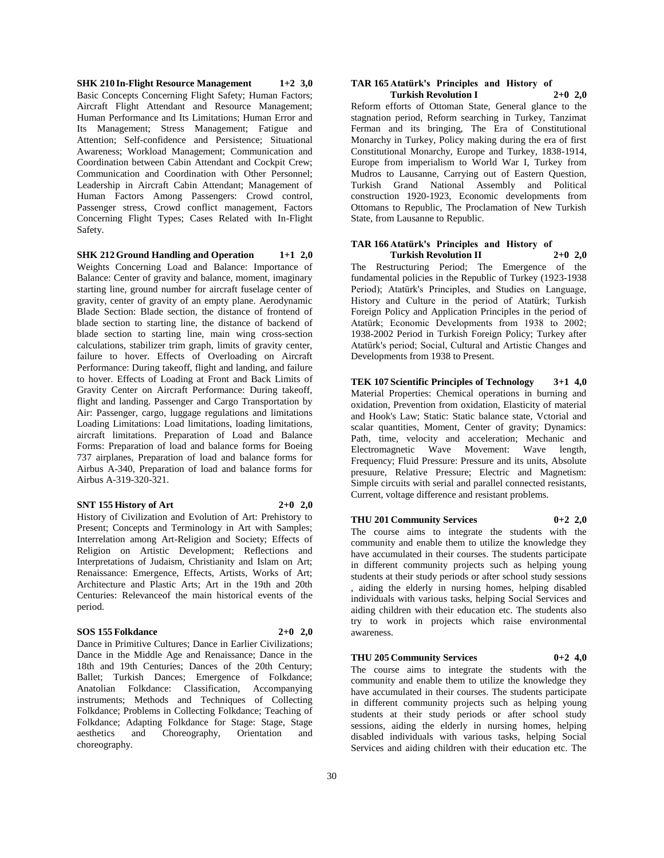**SHK 210 In-Flight Resource Management 1+2 3,0** Basic Concepts Concerning Flight Safety; Human Factors; Aircraft Flight Attendant and Resource Management; Human Performance and Its Limitations; Human Error and Its Management; Stress Management; Fatigue and Attention; Self-confidence and Persistence; Situational Awareness; Workload Management; Communication and Coordination between Cabin Attendant and Cockpit Crew; Communication and Coordination with Other Personnel; Leadership in Aircraft Cabin Attendant; Management of Human Factors Among Passengers: Crowd control, Passenger stress, Crowd conflict management, Factors Concerning Flight Types; Cases Related with In-Flight Safety.

**SHK 212 Ground Handling and Operation 1+1 2,0** Weights Concerning Load and Balance: Importance of Balance: Center of gravity and balance, moment, imaginary starting line, ground number for aircraft fuselage center of gravity, center of gravity of an empty plane. Aerodynamic Blade Section: Blade section, the distance of frontend of blade section to starting line, the distance of backend of blade section to starting line, main wing cross-section calculations, stabilizer trim graph, limits of gravity center, failure to hover. Effects of Overloading on Aircraft Performance: During takeoff, flight and landing, and failure to hover. Effects of Loading at Front and Back Limits of Gravity Center on Aircraft Performance: During takeoff, flight and landing. Passenger and Cargo Transportation by Air: Passenger, cargo, luggage regulations and limitations Loading Limitations: Load limitations, loading limitations, aircraft limitations. Preparation of Load and Balance Forms: Preparation of load and balance forms for Boeing 737 airplanes, Preparation of load and balance forms for Airbus A-340, Preparation of load and balance forms for Airbus A-319-320-321.

#### **SNT 155 History of Art 2+0 2,0**

History of Civilization and Evolution of Art: Prehistory to Present; Concepts and Terminology in Art with Samples; Interrelation among Art-Religion and Society; Effects of Religion on Artistic Development; Reflections and Interpretations of Judaism, Christianity and Islam on Art; Renaissance: Emergence, Effects, Artists, Works of Art; Architecture and Plastic Arts; Art in the 19th and 20th Centuries: Relevanceof the main historical events of the period.

#### **SOS 155 Folkdance 2+0 2,0**

Dance in Primitive Cultures; Dance in Earlier Civilizations; Dance in the Middle Age and Renaissance; Dance in the 18th and 19th Centuries; Dances of the 20th Century; Ballet; Turkish Dances; Emergence of Folkdance; Anatolian Folkdance: Classification, Accompanying instruments; Methods and Techniques of Collecting Folkdance; Problems in Collecting Folkdance; Teaching of Folkdance; Adapting Folkdance for Stage: Stage, Stage aesthetics and Choreography, Orientation and aesthetics and Choreography, Orientation and choreography.

#### **TAR 165 Atatürk's Principles and History of Turkish Revolution I 2+0 2,0**

Reform efforts of Ottoman State, General glance to the stagnation period, Reform searching in Turkey, Tanzimat Ferman and its bringing, The Era of Constitutional Monarchy in Turkey, Policy making during the era of first Constitutional Monarchy, Europe and Turkey, 1838-1914, Europe from imperialism to World War I, Turkey from Mudros to Lausanne, Carrying out of Eastern Question, Turkish Grand National Assembly and Political construction 1920-1923, Economic developments from Ottomans to Republic, The Proclamation of New Turkish State, from Lausanne to Republic.

#### **TAR 166 Atatürk's Principles and History of Turkish Revolution II 2+0 2,0**

The Restructuring Period; The Emergence of the fundamental policies in the Republic of Turkey (1923-1938 Period); Atatürk's Principles, and Studies on Language, History and Culture in the period of Atatürk; Turkish Foreign Policy and Application Principles in the period of Atatürk; Economic Developments from 1938 to 2002; 1938-2002 Period in Turkish Foreign Policy; Turkey after Atatürk's period; Social, Cultural and Artistic Changes and Developments from 1938 to Present.

**TEK 107 Scientific Principles of Technology 3+1 4,0** Material Properties: Chemical operations in burning and oxidation, Prevention from oxidation, Elasticity of material and Hook's Law; Static: Static balance state, Vctorial and scalar quantities, Moment, Center of gravity; Dynamics: Path, time, velocity and acceleration; Mechanic and Electromagnetic Wave Movement: Wave length, Frequency; Fluid Pressure: Pressure and its units, Absolute presuure, Relative Pressure; Electric and Magnetism: Simple circuits with serial and parallel connected resistants, Current, voltage difference and resistant problems.

#### **THU 201 Community Services 0+2 2,0**

The course aims to integrate the students with the community and enable them to utilize the knowledge they have accumulated in their courses. The students participate in different community projects such as helping young students at their study periods or after school study sessions , aiding the elderly in nursing homes, helping disabled individuals with various tasks, helping Social Services and aiding children with their education etc. The students also try to work in projects which raise environmental awareness.

#### **THU 205 Community Services 0+2 4,0**

The course aims to integrate the students with the community and enable them to utilize the knowledge they have accumulated in their courses. The students participate in different community projects such as helping young students at their study periods or after school study sessions, aiding the elderly in nursing homes, helping disabled individuals with various tasks, helping Social Services and aiding children with their education etc. The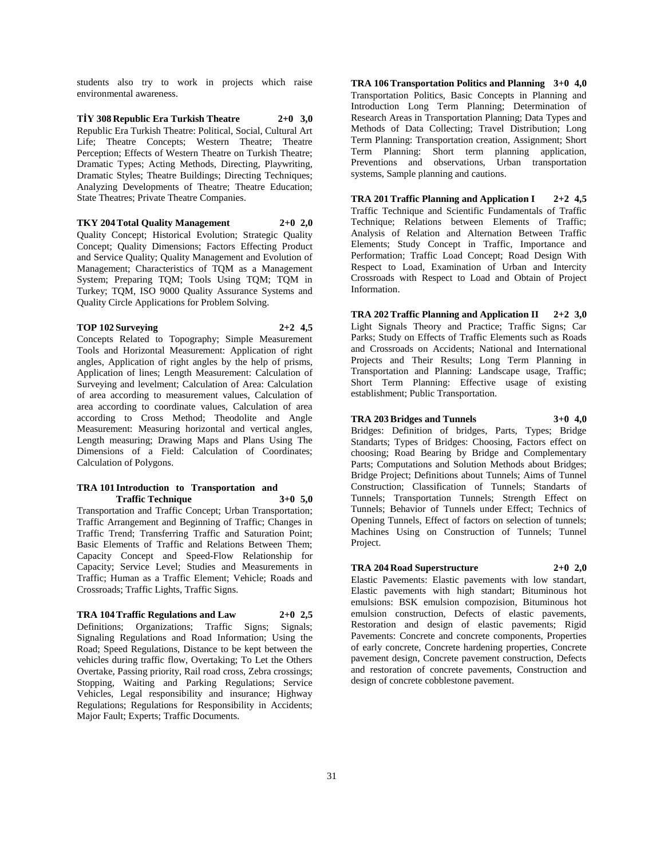students also try to work in projects which raise environmental awareness.

**TİY 308 Republic Era Turkish Theatre 2+0 3,0** Republic Era Turkish Theatre: Political, Social, Cultural Art Life; Theatre Concepts; Western Theatre; Theatre Perception; Effects of Western Theatre on Turkish Theatre; Dramatic Types; Acting Methods, Directing, Playwriting, Dramatic Styles; Theatre Buildings; Directing Techniques; Analyzing Developments of Theatre; Theatre Education; State Theatres; Private Theatre Companies.

#### **TKY 204 Total Quality Management 2+0 2,0**

Quality Concept; Historical Evolution; Strategic Quality Concept; Quality Dimensions; Factors Effecting Product and Service Quality; Quality Management and Evolution of Management; Characteristics of TQM as a Management System; Preparing TQM; Tools Using TQM; TQM in Turkey; TQM, ISO 9000 Quality Assurance Systems and Quality Circle Applications for Problem Solving.

### **TOP 102 Surveying 2+2 4,5**

Concepts Related to Topography; Simple Measurement Tools and Horizontal Measurement: Application of right angles, Application of right angles by the help of prisms, Application of lines; Length Measurement: Calculation of Surveying and levelment; Calculation of Area: Calculation of area according to measurement values, Calculation of area according to coordinate values, Calculation of area according to Cross Method; Theodolite and Angle Measurement: Measuring horizontal and vertical angles, Length measuring; Drawing Maps and Plans Using The Dimensions of a Field: Calculation of Coordinates; Calculation of Polygons.

#### **TRA 101 Introduction to Transportation and Traffic Technique 3+0 5,0**

Transportation and Traffic Concept; Urban Transportation; Traffic Arrangement and Beginning of Traffic; Changes in Traffic Trend; Transferring Traffic and Saturation Point; Basic Elements of Traffic and Relations Between Them; Capacity Concept and Speed-Flow Relationship for Capacity; Service Level; Studies and Measurements in Traffic; Human as a Traffic Element; Vehicle; Roads and Crossroads; Traffic Lights, Traffic Signs.

#### **TRA 104 Traffic Regulations and Law 2+0 2,5**

Definitions; Organizations; Traffic Signs; Signals; Signaling Regulations and Road Information; Using the Road; Speed Regulations, Distance to be kept between the vehicles during traffic flow, Overtaking; To Let the Others Overtake, Passing priority, Rail road cross, Zebra crossings; Stopping, Waiting and Parking Regulations; Service Vehicles, Legal responsibility and insurance; Highway Regulations; Regulations for Responsibility in Accidents; Major Fault; Experts; Traffic Documents.

**TRA 106 Transportation Politics and Planning 3+0 4,0** Transportation Politics, Basic Concepts in Planning and Introduction Long Term Planning; Determination of Research Areas in Transportation Planning; Data Types and Methods of Data Collecting; Travel Distribution; Long Term Planning: Transportation creation, Assignment; Short Term Planning: Short term planning application, Preventions and observations, Urban transportation systems, Sample planning and cautions.

**TRA 201 Traffic Planning and Application I 2+2 4,5** Traffic Technique and Scientific Fundamentals of Traffic Technique; Relations between Elements of Traffic; Analysis of Relation and Alternation Between Traffic Elements; Study Concept in Traffic, Importance and Performation; Traffic Load Concept; Road Design With Respect to Load, Examination of Urban and Intercity Crossroads with Respect to Load and Obtain of Project Information.

**TRA 202 Traffic Planning and Application II 2+2 3,0** Light Signals Theory and Practice; Traffic Signs; Car Parks; Study on Effects of Traffic Elements such as Roads and Crossroads on Accidents; National and International Projects and Their Results; Long Term Planning in Transportation and Planning: Landscape usage, Traffic; Short Term Planning: Effective usage of existing establishment; Public Transportation.

#### **TRA 203 Bridges and Tunnels 3+0 4,0**

Bridges: Definition of bridges, Parts, Types; Bridge Standarts; Types of Bridges: Choosing, Factors effect on choosing; Road Bearing by Bridge and Complementary Parts; Computations and Solution Methods about Bridges; Bridge Project; Definitions about Tunnels; Aims of Tunnel Construction; Classification of Tunnels; Standarts of Tunnels; Transportation Tunnels; Strength Effect on Tunnels; Behavior of Tunnels under Effect; Technics of Opening Tunnels, Effect of factors on selection of tunnels; Machines Using on Construction of Tunnels; Tunnel Project.

# **TRA 204 Road Superstructure 2+0 2,0**

Elastic Pavements: Elastic pavements with low standart, Elastic pavements with high standart; Bituminous hot emulsions: BSK emulsion compozision, Bituminous hot emulsion construction, Defects of elastic pavements, Restoration and design of elastic pavements; Rigid Pavements: Concrete and concrete components, Properties of early concrete, Concrete hardening properties, Concrete pavement design, Concrete pavement construction, Defects and restoration of concrete pavements, Construction and design of concrete cobblestone pavement.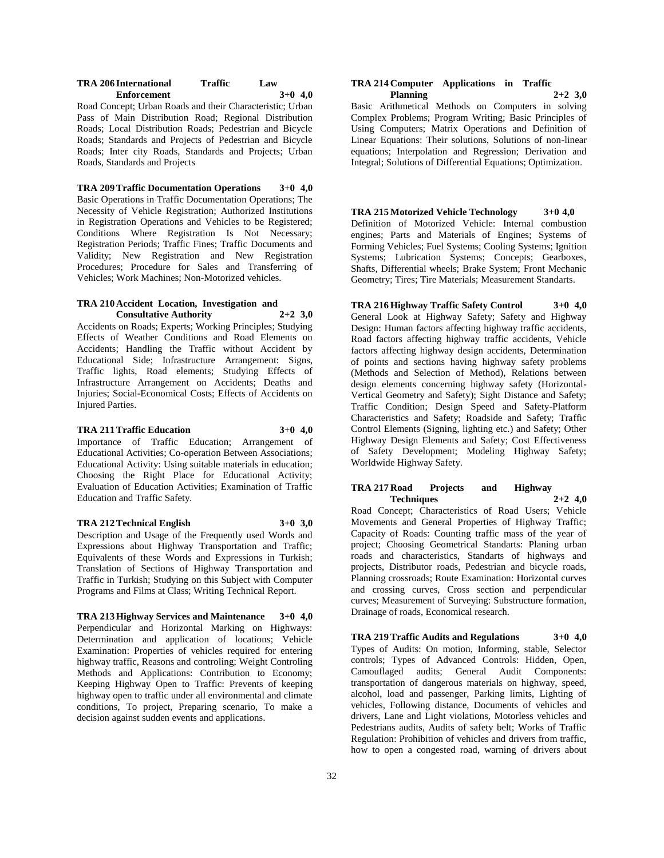| TRA 206 International | Traffic | Law       |
|-----------------------|---------|-----------|
| <b>Enforcement</b>    |         | $3+0$ 4,0 |

Road Concept; Urban Roads and their Characteristic; Urban Pass of Main Distribution Road; Regional Distribution Roads; Local Distribution Roads; Pedestrian and Bicycle Roads; Standards and Projects of Pedestrian and Bicycle Roads; Inter city Roads, Standards and Projects; Urban Roads, Standards and Projects

**TRA 209 Traffic Documentation Operations 3+0 4,0** Basic Operations in Traffic Documentation Operations; The Necessity of Vehicle Registration; Authorized Institutions in Registration Operations and Vehicles to be Registered; Conditions Where Registration Is Not Necessary; Registration Periods; Traffic Fines; Traffic Documents and Validity; New Registration and New Registration Procedures; Procedure for Sales and Transferring of Vehicles; Work Machines; Non-Motorized vehicles.

#### **TRA 210 Accident Location, Investigation and Consultative Authority 2+2 3,0**

Accidents on Roads; Experts; Working Principles; Studying Effects of Weather Conditions and Road Elements on Accidents; Handling the Traffic without Accident by Educational Side; Infrastructure Arrangement: Signs, Traffic lights, Road elements; Studying Effects of Infrastructure Arrangement on Accidents; Deaths and Injuries; Social-Economical Costs; Effects of Accidents on Injured Parties.

#### **TRA 211 Traffic Education 3+0 4,0**

Importance of Traffic Education; Arrangement of Educational Activities; Co-operation Between Associations; Educational Activity: Using suitable materials in education; Choosing the Right Place for Educational Activity; Evaluation of Education Activities; Examination of Traffic Education and Traffic Safety.

#### **TRA 212 Technical English 3+0 3,0**

Description and Usage of the Frequently used Words and Expressions about Highway Transportation and Traffic; Equivalents of these Words and Expressions in Turkish; Translation of Sections of Highway Transportation and Traffic in Turkish; Studying on this Subject with Computer Programs and Films at Class; Writing Technical Report.

**TRA 213 Highway Services and Maintenance 3+0 4,0** Perpendicular and Horizontal Marking on Highways: Determination and application of locations; Vehicle Examination: Properties of vehicles required for entering highway traffic, Reasons and controling; Weight Controling Methods and Applications: Contribution to Economy; Keeping Highway Open to Traffic: Prevents of keeping highway open to traffic under all environmental and climate conditions, To project, Preparing scenario, To make a decision against sudden events and applications.

#### **TRA 214 Computer Applications in Traffic Planning 2+2 3,0**

Basic Arithmetical Methods on Computers in solving Complex Problems; Program Writing; Basic Principles of Using Computers; Matrix Operations and Definition of Linear Equations: Their solutions, Solutions of non-linear equations; Interpolation and Regression; Derivation and Integral; Solutions of Differential Equations; Optimization.

**TRA 215 Motorized Vehicle Technology 3+0 4,0** Definition of Motorized Vehicle: Internal combustion engines; Parts and Materials of Engines; Systems of Forming Vehicles; Fuel Systems; Cooling Systems; Ignition Systems; Lubrication Systems; Concepts; Gearboxes, Shafts, Differential wheels; Brake System; Front Mechanic Geometry; Tires; Tire Materials; Measurement Standarts.

**TRA 216 Highway Traffic Safety Control 3+0 4,0** General Look at Highway Safety; Safety and Highway Design: Human factors affecting highway traffic accidents, Road factors affecting highway traffic accidents, Vehicle factors affecting highway design accidents, Determination of points and sections having highway safety problems (Methods and Selection of Method), Relations between design elements concerning highway safety (Horizontal-Vertical Geometry and Safety); Sight Distance and Safety; Traffic Condition; Design Speed and Safety-Platform Characteristics and Safety; Roadside and Safety; Traffic Control Elements (Signing, lighting etc.) and Safety; Other Highway Design Elements and Safety; Cost Effectiveness of Safety Development; Modeling Highway Safety; Worldwide Highway Safety.

# **TRA 217 Road Projects and Highway Techniques 2+2 4,0**

Road Concept; Characteristics of Road Users; Vehicle Movements and General Properties of Highway Traffic; Capacity of Roads: Counting traffic mass of the year of project; Choosing Geometrical Standarts: Planing urban roads and characteristics, Standarts of highways and projects, Distributor roads, Pedestrian and bicycle roads, Planning crossroads; Route Examination: Horizontal curves and crossing curves, Cross section and perpendicular curves; Measurement of Surveying: Substructure formation, Drainage of roads, Economical research.

**TRA 219 Traffic Audits and Regulations 3+0 4,0** Types of Audits: On motion, Informing, stable, Selector controls; Types of Advanced Controls: Hidden, Open, Camouflaged audits; General Audit Components: transportation of dangerous materials on highway, speed, alcohol, load and passenger, Parking limits, Lighting of vehicles, Following distance, Documents of vehicles and drivers, Lane and Light violations, Motorless vehicles and Pedestrians audits, Audits of safety belt; Works of Traffic Regulation: Prohibition of vehicles and drivers from traffic, how to open a congested road, warning of drivers about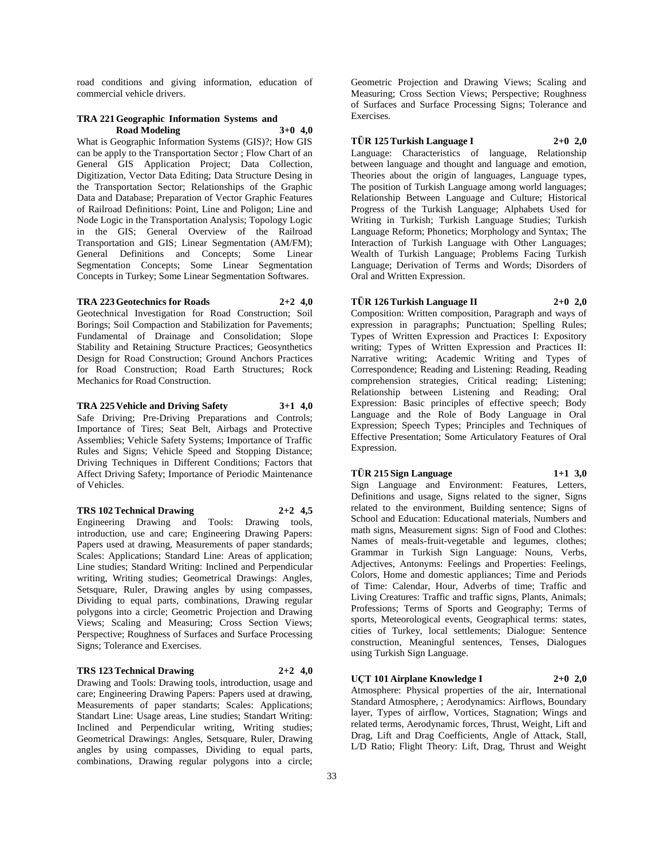road conditions and giving information, education of commercial vehicle drivers.

#### **TRA 221 Geographic Information Systems and Road Modeling 3+0 4,0**

What is Geographic Information Systems (GIS)?; How GIS can be apply to the Transportation Sector ; Flow Chart of an General GIS Application Project; Data Collection, Digitization, Vector Data Editing; Data Structure Desing in the Transportation Sector; Relationships of the Graphic Data and Database; Preparation of Vector Graphic Features of Railroad Definitions: Point, Line and Poligon; Line and Node Logic in the Transportation Analysis; Topology Logic in the GIS; General Overview of the Railroad Transportation and GIS; Linear Segmentation (AM/FM); General Definitions and Concepts; Some Linear Segmentation Concepts; Some Linear Segmentation Concepts in Turkey; Some Linear Segmentation Softwares.

# **TRA 223 Geotechnics for Roads 2+2 4,0**

Geotechnical Investigation for Road Construction; Soil Borings; Soil Compaction and Stabilization for Pavements; Fundamental of Drainage and Consolidation; Slope Stability and Retaining Structure Practices; Geosynthetics Design for Road Construction; Ground Anchors Practices for Road Construction; Road Earth Structures; Rock Mechanics for Road Construction.

#### **TRA 225 Vehicle and Driving Safety 3+1 4,0**

Safe Driving; Pre-Driving Preparations and Controls; Importance of Tires; Seat Belt, Airbags and Protective Assemblies; Vehicle Safety Systems; Importance of Traffic Rules and Signs; Vehicle Speed and Stopping Distance; Driving Techniques in Different Conditions; Factors that Affect Driving Safety; Importance of Periodic Maintenance of Vehicles.

#### **TRS 102 Technical Drawing 2+2 4,5**

Engineering Drawing and Tools: Drawing tools, introduction, use and care; Engineering Drawing Papers: Papers used at drawing, Measurements of paper standards; Scales: Applications; Standard Line: Areas of application; Line studies; Standard Writing: Inclined and Perpendicular writing, Writing studies; Geometrical Drawings: Angles, Setsquare, Ruler, Drawing angles by using compasses, Dividing to equal parts, combinations, Drawing regular polygons into a circle; Geometric Projection and Drawing Views; Scaling and Measuring; Cross Section Views; Perspective; Roughness of Surfaces and Surface Processing Signs; Tolerance and Exercises.

#### **TRS 123 Technical Drawing 2+2 4,0**

Drawing and Tools: Drawing tools, introduction, usage and care; Engineering Drawing Papers: Papers used at drawing, Measurements of paper standarts; Scales: Applications; Standart Line: Usage areas, Line studies; Standart Writing: Inclined and Perpendicular writing, Writing studies; Geometrical Drawings: Angles, Setsquare, Ruler, Drawing angles by using compasses, Dividing to equal parts, combinations, Drawing regular polygons into a circle;

Geometric Projection and Drawing Views; Scaling and Measuring; Cross Section Views; Perspective; Roughness of Surfaces and Surface Processing Signs; Tolerance and Exercises.

# **TÜR 125 Turkish Language I 2+0 2,0**

Language: Characteristics of language, Relationship between language and thought and language and emotion, Theories about the origin of languages, Language types, The position of Turkish Language among world languages; Relationship Between Language and Culture; Historical Progress of the Turkish Language; Alphabets Used for Writing in Turkish; Turkish Language Studies; Turkish Language Reform; Phonetics; Morphology and Syntax; The Interaction of Turkish Language with Other Languages; Wealth of Turkish Language; Problems Facing Turkish Language; Derivation of Terms and Words; Disorders of Oral and Written Expression.

# **TÜR 126 Turkish Language II 2+0 2,0**

Composition: Written composition, Paragraph and ways of expression in paragraphs; Punctuation; Spelling Rules; Types of Written Expression and Practices I: Expository writing; Types of Written Expression and Practices II: Narrative writing; Academic Writing and Types of Correspondence; Reading and Listening: Reading, Reading comprehension strategies, Critical reading; Listening; Relationship between Listening and Reading; Oral Expression: Basic principles of effective speech; Body Language and the Role of Body Language in Oral Expression; Speech Types; Principles and Techniques of Effective Presentation; Some Articulatory Features of Oral Expression.

# **TÜR 215 Sign Language 1+1 3,0**

Sign Language and Environment: Features, Letters, Definitions and usage, Signs related to the signer, Signs related to the environment, Building sentence; Signs of School and Education: Educational materials, Numbers and math signs, Measurement signs: Sign of Food and Clothes: Names of meals-fruit-vegetable and legumes, clothes; Grammar in Turkish Sign Language: Nouns, Verbs, Adjectives, Antonyms: Feelings and Properties: Feelings, Colors, Home and domestic appliances; Time and Periods of Time: Calendar, Hour, Adverbs of time; Traffic and Living Creatures: Traffic and traffic signs, Plants, Animals; Professions; Terms of Sports and Geography; Terms of sports, Meteorological events, Geographical terms: states, cities of Turkey, local settlements; Dialogue: Sentence construction, Meaningful sentences, Tenses, Dialogues using Turkish Sign Language.

## **UÇT 101 Airplane Knowledge I 2+0 2,0**

Atmosphere: Physical properties of the air, International Standard Atmosphere, ; Aerodynamics: Airflows, Boundary layer, Types of airflow, Vortices, Stagnation; Wings and related terms, Aerodynamic forces, Thrust, Weight, Lift and Drag, Lift and Drag Coefficients, Angle of Attack, Stall, L/D Ratio; Flight Theory: Lift, Drag, Thrust and Weight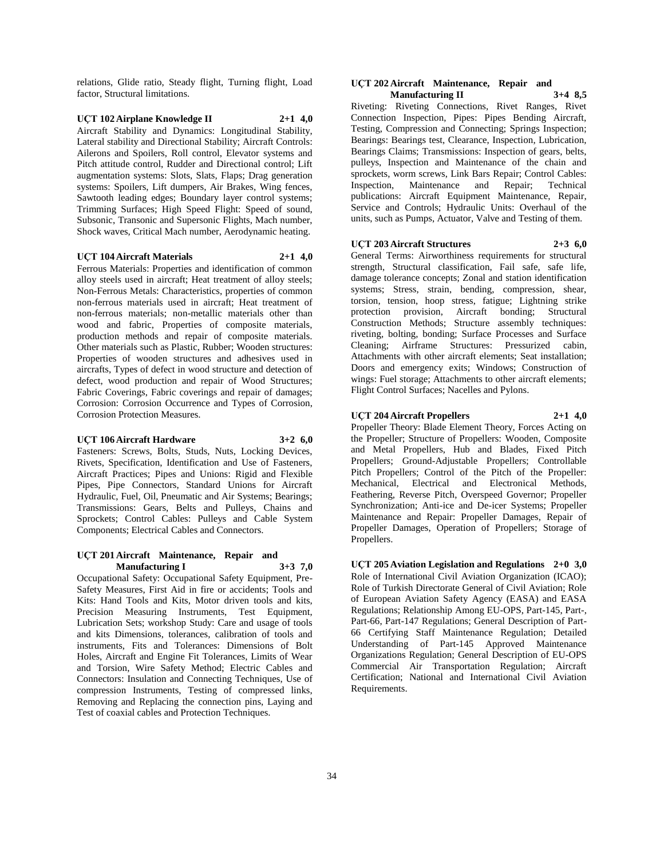relations, Glide ratio, Steady flight, Turning flight, Load factor, Structural limitations.

#### **UÇT 102 Airplane Knowledge II 2+1 4,0** Aircraft Stability and Dynamics: Longitudinal Stability, Lateral stability and Directional Stability; Aircraft Controls: Ailerons and Spoilers, Roll control, Elevator systems and Pitch attitude control, Rudder and Directional control; Lift augmentation systems: Slots, Slats, Flaps; Drag generation systems: Spoilers, Lift dumpers, Air Brakes, Wing fences,

Sawtooth leading edges; Boundary layer control systems; Trimming Surfaces; High Speed Flight: Speed of sound, Subsonic, Transonic and Supersonic Flights, Mach number, Shock waves, Critical Mach number, Aerodynamic heating.

#### **UÇT 104 Aircraft Materials 2+1 4,0**

Ferrous Materials: Properties and identification of common alloy steels used in aircraft; Heat treatment of alloy steels; Non-Ferrous Metals: Characteristics, properties of common non-ferrous materials used in aircraft; Heat treatment of non-ferrous materials; non-metallic materials other than wood and fabric, Properties of composite materials, production methods and repair of composite materials. Other materials such as Plastic, Rubber; Wooden structures: Properties of wooden structures and adhesives used in aircrafts, Types of defect in wood structure and detection of defect, wood production and repair of Wood Structures; Fabric Coverings, Fabric coverings and repair of damages; Corrosion: Corrosion Occurrence and Types of Corrosion, Corrosion Protection Measures.

#### **UÇT 106 Aircraft Hardware 3+2 6,0**

Fasteners: Screws, Bolts, Studs, Nuts, Locking Devices, Rivets, Specification, Identification and Use of Fasteners, Aircraft Practices; Pipes and Unions: Rigid and Flexible Pipes, Pipe Connectors, Standard Unions for Aircraft Hydraulic, Fuel, Oil, Pneumatic and Air Systems; Bearings; Transmissions: Gears, Belts and Pulleys, Chains and Sprockets; Control Cables: Pulleys and Cable System Components; Electrical Cables and Connectors.

#### **UÇT 201 Aircraft Maintenance, Repair and Manufacturing I 3+3 7,0**

Occupational Safety: Occupational Safety Equipment, Pre-Safety Measures, First Aid in fire or accidents; Tools and Kits: Hand Tools and Kits, Motor driven tools and kits, Precision Measuring Instruments, Test Equipment, Lubrication Sets; workshop Study: Care and usage of tools and kits Dimensions, tolerances, calibration of tools and instruments, Fits and Tolerances: Dimensions of Bolt Holes, Aircraft and Engine Fit Tolerances, Limits of Wear and Torsion, Wire Safety Method; Electric Cables and Connectors: Insulation and Connecting Techniques, Use of compression Instruments, Testing of compressed links, Removing and Replacing the connection pins, Laying and Test of coaxial cables and Protection Techniques.

#### **UÇT 202 Aircraft Maintenance, Repair and Manufacturing II 3+4 8,5**

Riveting: Riveting Connections, Rivet Ranges, Rivet Connection Inspection, Pipes: Pipes Bending Aircraft, Testing, Compression and Connecting; Springs Inspection; Bearings: Bearings test, Clearance, Inspection, Lubrication, Bearings Claims; Transmissions: Inspection of gears, belts, pulleys, Inspection and Maintenance of the chain and sprockets, worm screws, Link Bars Repair; Control Cables: Inspection, Maintenance and Repair; Technical publications: Aircraft Equipment Maintenance, Repair, Service and Controls; Hydraulic Units: Overhaul of the units, such as Pumps, Actuator, Valve and Testing of them.

#### **UÇT 203 Aircraft Structures 2+3 6,0**

General Terms: Airworthiness requirements for structural strength, Structural classification, Fail safe, safe life, damage tolerance concepts; Zonal and station identification systems; Stress, strain, bending, compression, shear, torsion, tension, hoop stress, fatigue; Lightning strike protection provision, Aircraft bonding; Structural Construction Methods; Structure assembly techniques: riveting, bolting, bonding; Surface Processes and Surface Cleaning; Airframe Structures: Pressurized cabin, Attachments with other aircraft elements; Seat installation; Doors and emergency exits; Windows; Construction of wings: Fuel storage; Attachments to other aircraft elements; Flight Control Surfaces; Nacelles and Pylons.

### **UÇT 204 Aircraft Propellers 2+1 4,0**

Propeller Theory: Blade Element Theory, Forces Acting on the Propeller; Structure of Propellers: Wooden, Composite and Metal Propellers, Hub and Blades, Fixed Pitch Propellers; Ground-Adjustable Propellers; Controllable Pitch Propellers; Control of the Pitch of the Propeller: Mechanical, Electrical and Electronical Methods, Feathering, Reverse Pitch, Overspeed Governor; Propeller Synchronization; Anti-ice and De-icer Systems; Propeller Maintenance and Repair: Propeller Damages, Repair of Propeller Damages, Operation of Propellers; Storage of Propellers.

**UÇT 205 Aviation Legislation and Regulations 2+0 3,0** Role of International Civil Aviation Organization (ICAO); Role of Turkish Directorate General of Civil Aviation; Role of European Aviation Safety Agency (EASA) and EASA Regulations; Relationship Among EU-OPS, Part-145, Part-, Part-66, Part-147 Regulations; General Description of Part-66 Certifying Staff Maintenance Regulation; Detailed Understanding of Part-145 Approved Maintenance Organizations Regulation; General Description of EU-OPS Commercial Air Transportation Regulation; Aircraft Certification; National and International Civil Aviation Requirements.